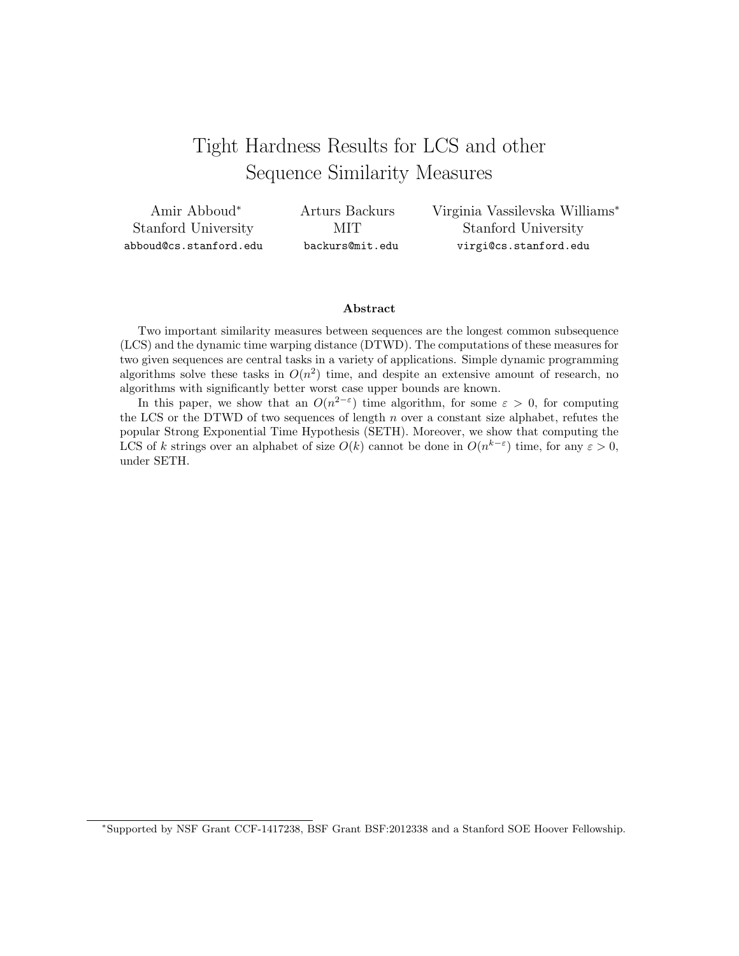# Tight Hardness Results for LCS and other Sequence Similarity Measures

| Amir Abboud <sup>*</sup> | Arturs Backurs  | Virginia Vassilevska Williams* |
|--------------------------|-----------------|--------------------------------|
| Stanford University      | MIT.            | Stanford University            |
| abboud@cs.stanford.edu   | backurs@mit.edu | virgi@cs.stanford.edu          |

#### Abstract

Two important similarity measures between sequences are the longest common subsequence (LCS) and the dynamic time warping distance (DTWD). The computations of these measures for two given sequences are central tasks in a variety of applications. Simple dynamic programming algorithms solve these tasks in  $O(n^2)$  time, and despite an extensive amount of research, no algorithms with significantly better worst case upper bounds are known.

In this paper, we show that an  $O(n^{2-\epsilon})$  time algorithm, for some  $\varepsilon > 0$ , for computing the LCS or the DTWD of two sequences of length  $n$  over a constant size alphabet, refutes the popular Strong Exponential Time Hypothesis (SETH). Moreover, we show that computing the LCS of k strings over an alphabet of size  $O(k)$  cannot be done in  $O(n^{k-\epsilon})$  time, for any  $\varepsilon > 0$ , under SETH.

<sup>∗</sup>Supported by NSF Grant CCF-1417238, BSF Grant BSF:2012338 and a Stanford SOE Hoover Fellowship.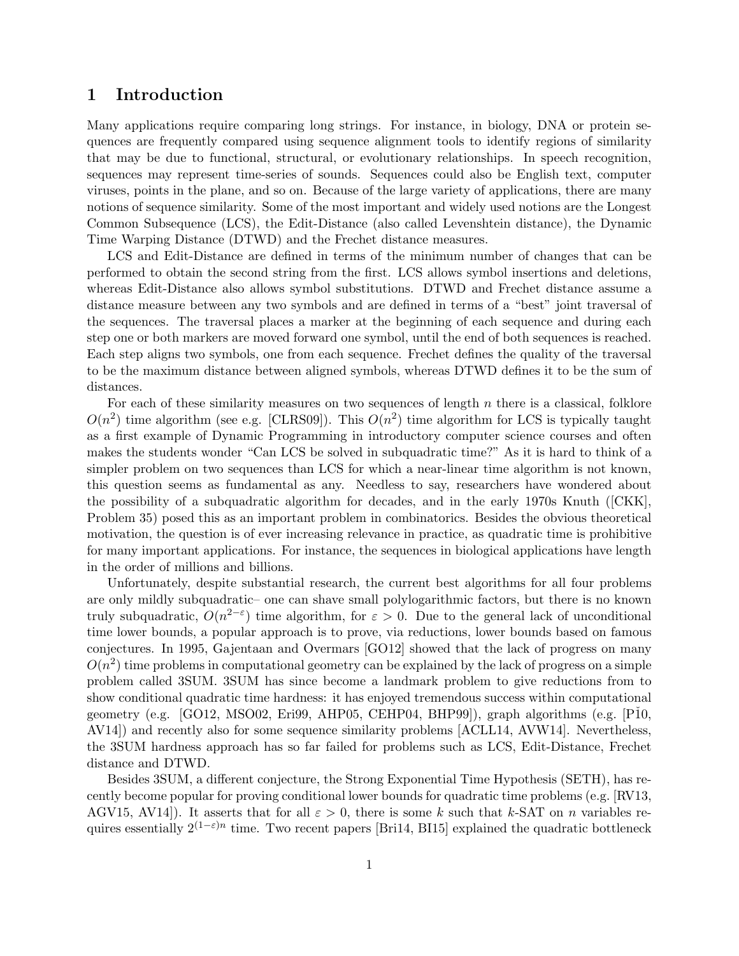# 1 Introduction

Many applications require comparing long strings. For instance, in biology, DNA or protein sequences are frequently compared using sequence alignment tools to identify regions of similarity that may be due to functional, structural, or evolutionary relationships. In speech recognition, sequences may represent time-series of sounds. Sequences could also be English text, computer viruses, points in the plane, and so on. Because of the large variety of applications, there are many notions of sequence similarity. Some of the most important and widely used notions are the Longest Common Subsequence (LCS), the Edit-Distance (also called Levenshtein distance), the Dynamic Time Warping Distance (DTWD) and the Frechet distance measures.

LCS and Edit-Distance are defined in terms of the minimum number of changes that can be performed to obtain the second string from the first. LCS allows symbol insertions and deletions, whereas Edit-Distance also allows symbol substitutions. DTWD and Frechet distance assume a distance measure between any two symbols and are defined in terms of a "best" joint traversal of the sequences. The traversal places a marker at the beginning of each sequence and during each step one or both markers are moved forward one symbol, until the end of both sequences is reached. Each step aligns two symbols, one from each sequence. Frechet defines the quality of the traversal to be the maximum distance between aligned symbols, whereas DTWD defines it to be the sum of distances.

For each of these similarity measures on two sequences of length  $n$  there is a classical, folklore  $O(n^2)$  time algorithm (see e.g. [CLRS09]). This  $O(n^2)$  time algorithm for LCS is typically taught as a first example of Dynamic Programming in introductory computer science courses and often makes the students wonder "Can LCS be solved in subquadratic time?" As it is hard to think of a simpler problem on two sequences than LCS for which a near-linear time algorithm is not known, this question seems as fundamental as any. Needless to say, researchers have wondered about the possibility of a subquadratic algorithm for decades, and in the early 1970s Knuth ([CKK], Problem 35) posed this as an important problem in combinatorics. Besides the obvious theoretical motivation, the question is of ever increasing relevance in practice, as quadratic time is prohibitive for many important applications. For instance, the sequences in biological applications have length in the order of millions and billions.

Unfortunately, despite substantial research, the current best algorithms for all four problems are only mildly subquadratic– one can shave small polylogarithmic factors, but there is no known truly subquadratic,  $O(n^{2-\epsilon})$  time algorithm, for  $\varepsilon > 0$ . Due to the general lack of unconditional time lower bounds, a popular approach is to prove, via reductions, lower bounds based on famous conjectures. In 1995, Gajentaan and Overmars [GO12] showed that the lack of progress on many  $O(n^2)$  time problems in computational geometry can be explained by the lack of progress on a simple problem called 3SUM. 3SUM has since become a landmark problem to give reductions from to show conditional quadratic time hardness: it has enjoyed tremendous success within computational geometry (e.g. [GO12, MSO02, Eri99, AHP05, CEHP04, BHP99]), graph algorithms (e.g. [P $10$ , AV14]) and recently also for some sequence similarity problems [ACLL14, AVW14]. Nevertheless, the 3SUM hardness approach has so far failed for problems such as LCS, Edit-Distance, Frechet distance and DTWD.

Besides 3SUM, a different conjecture, the Strong Exponential Time Hypothesis (SETH), has recently become popular for proving conditional lower bounds for quadratic time problems (e.g. [RV13, AGV15, AV14.]. It asserts that for all  $\varepsilon > 0$ , there is some k such that k-SAT on n variables requires essentially  $2^{(1-\varepsilon)n}$  time. Two recent papers [Bri14, BI15] explained the quadratic bottleneck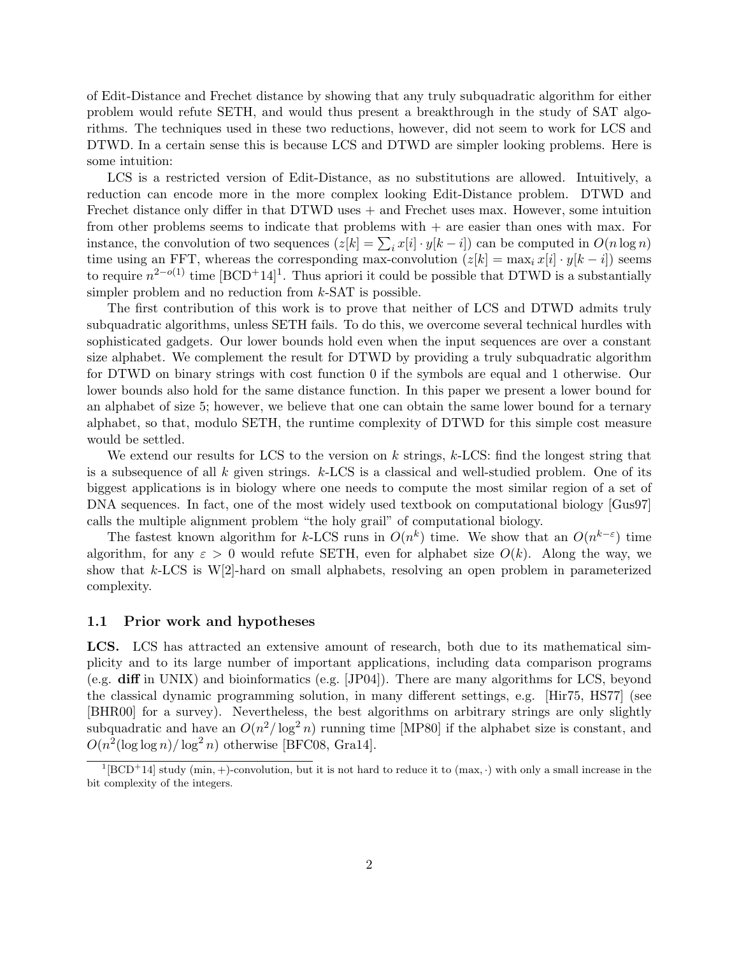of Edit-Distance and Frechet distance by showing that any truly subquadratic algorithm for either problem would refute SETH, and would thus present a breakthrough in the study of SAT algorithms. The techniques used in these two reductions, however, did not seem to work for LCS and DTWD. In a certain sense this is because LCS and DTWD are simpler looking problems. Here is some intuition:

LCS is a restricted version of Edit-Distance, as no substitutions are allowed. Intuitively, a reduction can encode more in the more complex looking Edit-Distance problem. DTWD and Frechet distance only differ in that  $DTWD$  uses  $+$  and Frechet uses max. However, some intuition from other problems seems to indicate that problems with  $+$  are easier than ones with max. For instance, the convolution of two sequences  $(z[k] = \sum_i x[i] \cdot y[k-i])$  can be computed in  $O(n \log n)$ time using an FFT, whereas the corresponding max-convolution  $(z[k] = \max_i x[i] \cdot y[k - i])$  seems to require  $n^{2-o(1)}$  time  $[BCD+14]$ <sup>1</sup>. Thus apriori it could be possible that DTWD is a substantially simpler problem and no reduction from  $k$ -SAT is possible.

The first contribution of this work is to prove that neither of LCS and DTWD admits truly subquadratic algorithms, unless SETH fails. To do this, we overcome several technical hurdles with sophisticated gadgets. Our lower bounds hold even when the input sequences are over a constant size alphabet. We complement the result for DTWD by providing a truly subquadratic algorithm for DTWD on binary strings with cost function 0 if the symbols are equal and 1 otherwise. Our lower bounds also hold for the same distance function. In this paper we present a lower bound for an alphabet of size 5; however, we believe that one can obtain the same lower bound for a ternary alphabet, so that, modulo SETH, the runtime complexity of DTWD for this simple cost measure would be settled.

We extend our results for LCS to the version on  $k$  strings,  $k$ -LCS: find the longest string that is a subsequence of all  $k$  given strings.  $k$ -LCS is a classical and well-studied problem. One of its biggest applications is in biology where one needs to compute the most similar region of a set of DNA sequences. In fact, one of the most widely used textbook on computational biology [Gus97] calls the multiple alignment problem "the holy grail" of computational biology.

The fastest known algorithm for k-LCS runs in  $O(n^k)$  time. We show that an  $O(n^{k-\epsilon})$  time algorithm, for any  $\varepsilon > 0$  would refute SETH, even for alphabet size  $O(k)$ . Along the way, we show that  $k$ -LCS is W[2]-hard on small alphabets, resolving an open problem in parameterized complexity.

#### 1.1 Prior work and hypotheses

LCS. LCS has attracted an extensive amount of research, both due to its mathematical simplicity and to its large number of important applications, including data comparison programs (e.g. diff in UNIX) and bioinformatics (e.g. [JP04]). There are many algorithms for LCS, beyond the classical dynamic programming solution, in many different settings, e.g. [Hir75, HS77] (see [BHR00] for a survey). Nevertheless, the best algorithms on arbitrary strings are only slightly subquadratic and have an  $O(n^2/\log^2 n)$  running time [MP80] if the alphabet size is constant, and  $O(n^2(\log \log n)/\log^2 n)$  otherwise [BFC08, Gra14].

 $1$ [BCD<sup>+</sup>14] study (min, +)-convolution, but it is not hard to reduce it to (max, ·) with only a small increase in the bit complexity of the integers.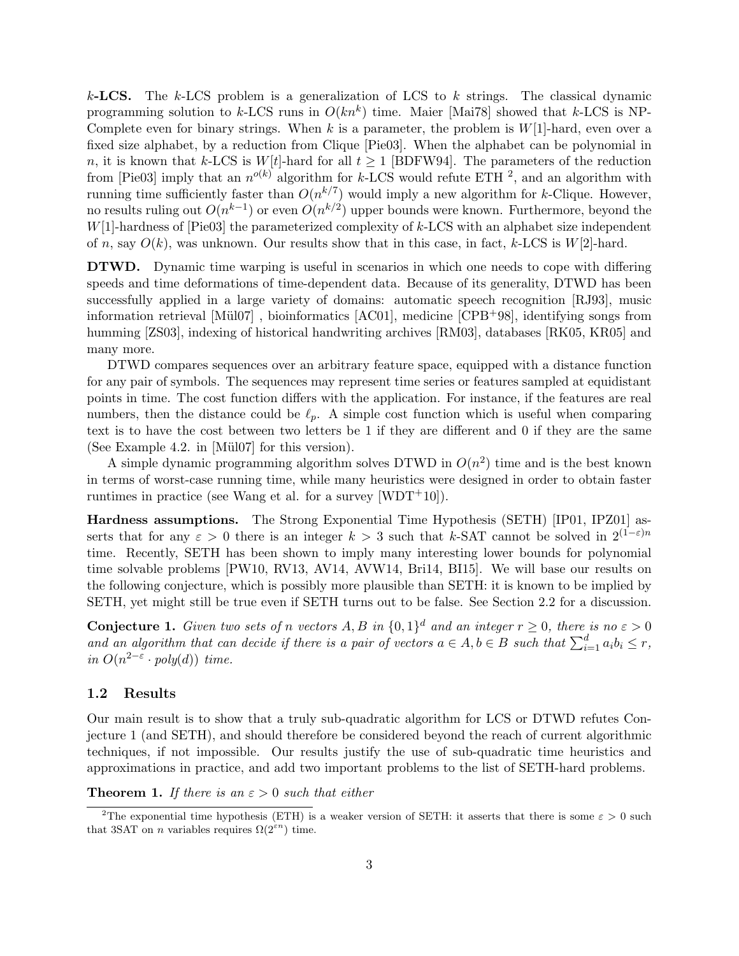$k$ -**LCS.** The k-LCS problem is a generalization of LCS to  $k$  strings. The classical dynamic programming solution to k-LCS runs in  $O(kn^k)$  time. Maier [Mai78] showed that k-LCS is NP-Complete even for binary strings. When k is a parameter, the problem is  $W[1]$ -hard, even over a fixed size alphabet, by a reduction from Clique [Pie03]. When the alphabet can be polynomial in n, it is known that k-LCS is  $W[t]$ -hard for all  $t \geq 1$  [BDFW94]. The parameters of the reduction from [Pie03] imply that an  $n^{o(k)}$  algorithm for k-LCS would refute ETH <sup>2</sup>, and an algorithm with running time sufficiently faster than  $O(n^{k/7})$  would imply a new algorithm for k-Clique. However, no results ruling out  $O(n^{k-1})$  or even  $O(n^{k/2})$  upper bounds were known. Furthermore, beyond the  $W[1]$ -hardness of [Pie03] the parameterized complexity of  $k$ -LCS with an alphabet size independent of n, say  $O(k)$ , was unknown. Our results show that in this case, in fact, k-LCS is  $W[2]$ -hard.

DTWD. Dynamic time warping is useful in scenarios in which one needs to cope with differing speeds and time deformations of time-dependent data. Because of its generality, DTWD has been successfully applied in a large variety of domains: automatic speech recognition [RJ93], music information retrieval  $\text{[Mü107]}$ , bioinformatics  $\text{[AC01]}$ , medicine  $\text{[CPB+98]}$ , identifying songs from humming [ZS03], indexing of historical handwriting archives [RM03], databases [RK05, KR05] and many more.

DTWD compares sequences over an arbitrary feature space, equipped with a distance function for any pair of symbols. The sequences may represent time series or features sampled at equidistant points in time. The cost function differs with the application. For instance, if the features are real numbers, then the distance could be  $\ell_p$ . A simple cost function which is useful when comparing text is to have the cost between two letters be 1 if they are different and 0 if they are the same (See Example 4.2. in [Mül07] for this version).

A simple dynamic programming algorithm solves DTWD in  $O(n^2)$  time and is the best known in terms of worst-case running time, while many heuristics were designed in order to obtain faster runtimes in practice (see Wang et al. for a survey  $[WDT^+10]$ ).

Hardness assumptions. The Strong Exponential Time Hypothesis (SETH) [IP01, IPZ01] asserts that for any  $\varepsilon > 0$  there is an integer  $k > 3$  such that k-SAT cannot be solved in  $2^{(1-\varepsilon)n}$ time. Recently, SETH has been shown to imply many interesting lower bounds for polynomial time solvable problems [PW10, RV13, AV14, AVW14, Bri14, BI15]. We will base our results on the following conjecture, which is possibly more plausible than SETH: it is known to be implied by SETH, yet might still be true even if SETH turns out to be false. See Section 2.2 for a discussion.

**Conjecture 1.** Given two sets of n vectors  $A, B$  in  $\{0,1\}^d$  and an integer  $r \geq 0$ , there is no  $\varepsilon > 0$ and an algorithm that can decide if there is a pair of vectors  $a \in A, b \in B$  such that  $\sum_{i=1}^{d} a_i b_i \leq r$ , in  $O(n^{2-\epsilon} \cdot poly(d))$  time.

## 1.2 Results

Our main result is to show that a truly sub-quadratic algorithm for LCS or DTWD refutes Conjecture 1 (and SETH), and should therefore be considered beyond the reach of current algorithmic techniques, if not impossible. Our results justify the use of sub-quadratic time heuristics and approximations in practice, and add two important problems to the list of SETH-hard problems.

**Theorem 1.** If there is an  $\varepsilon > 0$  such that either

<sup>&</sup>lt;sup>2</sup>The exponential time hypothesis (ETH) is a weaker version of SETH: it asserts that there is some  $\varepsilon > 0$  such that 3SAT on *n* variables requires  $\Omega(2^{\varepsilon n})$  time.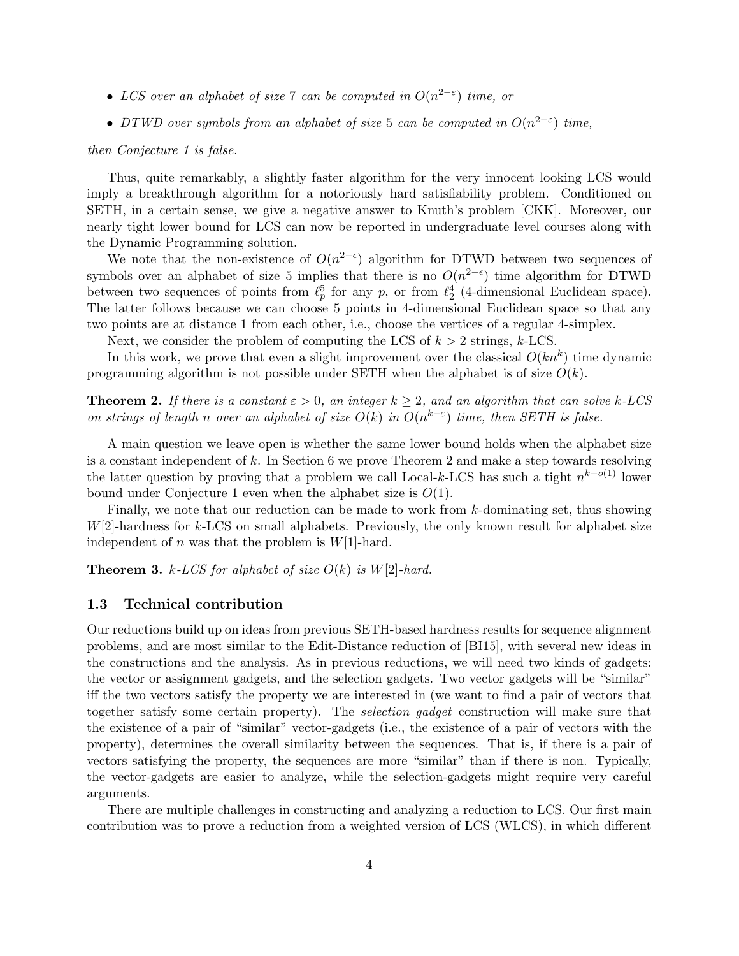- LCS over an alphabet of size 7 can be computed in  $O(n^{2-\epsilon})$  time, or
- DTWD over symbols from an alphabet of size 5 can be computed in  $O(n^{2-\epsilon})$  time,

#### then Conjecture 1 is false.

Thus, quite remarkably, a slightly faster algorithm for the very innocent looking LCS would imply a breakthrough algorithm for a notoriously hard satisfiability problem. Conditioned on SETH, in a certain sense, we give a negative answer to Knuth's problem [CKK]. Moreover, our nearly tight lower bound for LCS can now be reported in undergraduate level courses along with the Dynamic Programming solution.

We note that the non-existence of  $O(n^{2-\epsilon})$  algorithm for DTWD between two sequences of symbols over an alphabet of size 5 implies that there is no  $O(n^{2-\epsilon})$  time algorithm for DTWD between two sequences of points from  $\ell_p^5$  for any p, or from  $\ell_2^4$  (4-dimensional Euclidean space). The latter follows because we can choose 5 points in 4-dimensional Euclidean space so that any two points are at distance 1 from each other, i.e., choose the vertices of a regular 4-simplex.

Next, we consider the problem of computing the LCS of  $k > 2$  strings, k-LCS.

In this work, we prove that even a slight improvement over the classical  $O(kn^k)$  time dynamic programming algorithm is not possible under SETH when the alphabet is of size  $O(k)$ .

**Theorem 2.** If there is a constant  $\varepsilon > 0$ , an integer  $k > 2$ , and an algorithm that can solve k-LCS on strings of length n over an alphabet of size  $O(k)$  in  $O(n^{k-\epsilon})$  time, then SETH is false.

A main question we leave open is whether the same lower bound holds when the alphabet size is a constant independent of k. In Section 6 we prove Theorem 2 and make a step towards resolving the latter question by proving that a problem we call Local-k-LCS has such a tight  $n^{k-o(1)}$  lower bound under Conjecture 1 even when the alphabet size is  $O(1)$ .

Finally, we note that our reduction can be made to work from k-dominating set, thus showing  $W[2]$ -hardness for k-LCS on small alphabets. Previously, the only known result for alphabet size independent of n was that the problem is  $W[1]$ -hard.

**Theorem 3.** k-LCS for alphabet of size  $O(k)$  is  $W[2]$ -hard.

#### 1.3 Technical contribution

Our reductions build up on ideas from previous SETH-based hardness results for sequence alignment problems, and are most similar to the Edit-Distance reduction of [BI15], with several new ideas in the constructions and the analysis. As in previous reductions, we will need two kinds of gadgets: the vector or assignment gadgets, and the selection gadgets. Two vector gadgets will be "similar" iff the two vectors satisfy the property we are interested in (we want to find a pair of vectors that together satisfy some certain property). The selection gadget construction will make sure that the existence of a pair of "similar" vector-gadgets (i.e., the existence of a pair of vectors with the property), determines the overall similarity between the sequences. That is, if there is a pair of vectors satisfying the property, the sequences are more "similar" than if there is non. Typically, the vector-gadgets are easier to analyze, while the selection-gadgets might require very careful arguments.

There are multiple challenges in constructing and analyzing a reduction to LCS. Our first main contribution was to prove a reduction from a weighted version of LCS (WLCS), in which different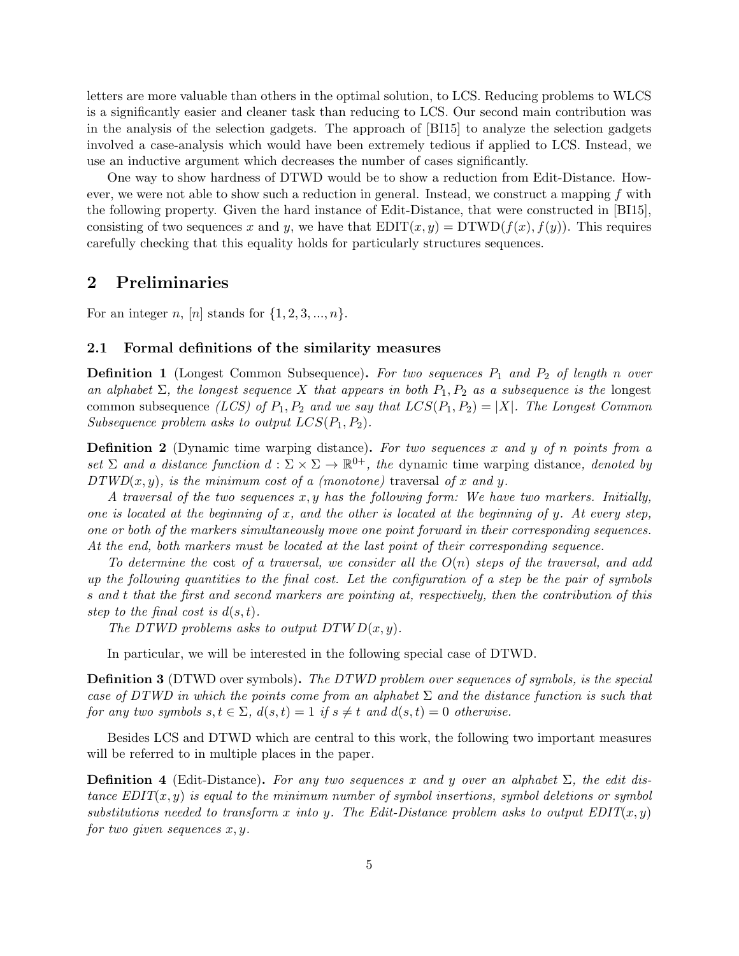letters are more valuable than others in the optimal solution, to LCS. Reducing problems to WLCS is a significantly easier and cleaner task than reducing to LCS. Our second main contribution was in the analysis of the selection gadgets. The approach of [BI15] to analyze the selection gadgets involved a case-analysis which would have been extremely tedious if applied to LCS. Instead, we use an inductive argument which decreases the number of cases significantly.

One way to show hardness of DTWD would be to show a reduction from Edit-Distance. However, we were not able to show such a reduction in general. Instead, we construct a mapping  $f$  with the following property. Given the hard instance of Edit-Distance, that were constructed in [BI15], consisting of two sequences x and y, we have that  $EDIT(x, y) = DTWD(f(x), f(y))$ . This requires carefully checking that this equality holds for particularly structures sequences.

## 2 Preliminaries

For an integer n,  $[n]$  stands for  $\{1, 2, 3, ..., n\}$ .

## 2.1 Formal definitions of the similarity measures

**Definition 1** (Longest Common Subsequence). For two sequences  $P_1$  and  $P_2$  of length n over an alphabet  $\Sigma$ , the longest sequence X that appears in both  $P_1, P_2$  as a subsequence is the longest common subsequence (LCS) of  $P_1, P_2$  and we say that  $LCS(P_1, P_2) = |X|$ . The Longest Common Subsequence problem asks to output  $LCS(P_1, P_2)$ .

**Definition 2** (Dynamic time warping distance). For two sequences x and y of n points from a set  $\Sigma$  and a distance function  $d: \Sigma \times \Sigma \to \mathbb{R}^{0+}$ , the dynamic time warping distance, denoted by  $DTWD(x, y)$ , is the minimum cost of a (monotone) traversal of x and y.

A traversal of the two sequences  $x, y$  has the following form: We have two markers. Initially, one is located at the beginning of x, and the other is located at the beginning of y. At every step, one or both of the markers simultaneously move one point forward in their corresponding sequences. At the end, both markers must be located at the last point of their corresponding sequence.

To determine the cost of a traversal, we consider all the  $O(n)$  steps of the traversal, and add up the following quantities to the final cost. Let the configuration of a step be the pair of symbols s and t that the first and second markers are pointing at, respectively, then the contribution of this step to the final cost is  $d(s,t)$ .

The DTWD problems asks to output  $DTWD(x,y)$ .

In particular, we will be interested in the following special case of DTWD.

Definition 3 (DTWD over symbols). The DTWD problem over sequences of symbols, is the special case of DTWD in which the points come from an alphabet  $\Sigma$  and the distance function is such that for any two symbols  $s, t \in \Sigma$ ,  $d(s,t) = 1$  if  $s \neq t$  and  $d(s,t) = 0$  otherwise.

Besides LCS and DTWD which are central to this work, the following two important measures will be referred to in multiple places in the paper.

**Definition 4** (Edit-Distance). For any two sequences x and y over an alphabet  $\Sigma$ , the edit distance  $EDIT(x, y)$  is equal to the minimum number of symbol insertions, symbol deletions or symbol substitutions needed to transform x into y. The Edit-Distance problem asks to output  $EDIT(x, y)$ for two given sequences  $x, y$ .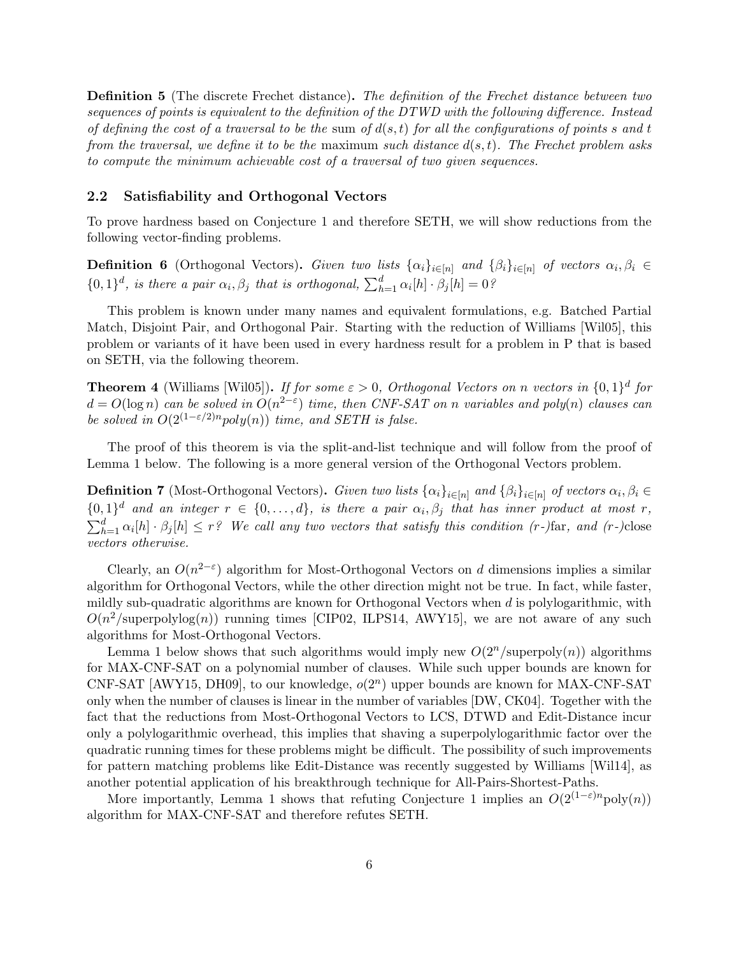**Definition 5** (The discrete Frechet distance). The definition of the Frechet distance between two sequences of points is equivalent to the definition of the DTWD with the following difference. Instead of defining the cost of a traversal to be the sum of  $d(s,t)$  for all the configurations of points s and t from the traversal, we define it to be the maximum such distance  $d(s,t)$ . The Frechet problem asks to compute the minimum achievable cost of a traversal of two given sequences.

#### 2.2 Satisfiability and Orthogonal Vectors

To prove hardness based on Conjecture 1 and therefore SETH, we will show reductions from the following vector-finding problems.

**Definition 6** (Orthogonal Vectors). Given two lists  $\{\alpha_i\}_{i\in[n]}$  and  $\{\beta_i\}_{i\in[n]}$  of vectors  $\alpha_i, \beta_i \in$  $\{0,1\}^d$ , is there a pair  $\alpha_i, \beta_j$  that is orthogonal,  $\sum_{h=1}^d \alpha_i[h] \cdot \beta_j[h] = 0$ ?

This problem is known under many names and equivalent formulations, e.g. Batched Partial Match, Disjoint Pair, and Orthogonal Pair. Starting with the reduction of Williams [Wil05], this problem or variants of it have been used in every hardness result for a problem in P that is based on SETH, via the following theorem.

**Theorem 4** (Williams [Wil05]). If for some  $\varepsilon > 0$ , Orthogonal Vectors on n vectors in  $\{0,1\}^d$  for  $d = O(\log n)$  can be solved in  $O(n^{2-\epsilon})$  time, then CNF-SAT on n variables and poly $(n)$  clauses can be solved in  $O(2^{(1-\varepsilon/2)n}poly(n))$  time, and SETH is false.

The proof of this theorem is via the split-and-list technique and will follow from the proof of Lemma 1 below. The following is a more general version of the Orthogonal Vectors problem.

**Definition 7** (Most-Orthogonal Vectors). Given two lists  $\{\alpha_i\}_{i\in[n]}$  and  $\{\beta_i\}_{i\in[n]}$  of vectors  $\alpha_i, \beta_i \in$  $\{0,1\}^d$  and an integer  $r \in \{0,\ldots,d\}$ , is there a pair  $\alpha_i,\beta_j$  that has inner product at most r,  $\sum_{h=1}^{d} \alpha_i[h] \cdot \beta_j[h] \leq r$ ? We call any two vectors that satisfy this condition (r-)far, and (r-)close vectors otherwise.

Clearly, an  $O(n^{2-\epsilon})$  algorithm for Most-Orthogonal Vectors on d dimensions implies a similar algorithm for Orthogonal Vectors, while the other direction might not be true. In fact, while faster, mildly sub-quadratic algorithms are known for Orthogonal Vectors when  $d$  is polylogarithmic, with  $O(n^2/\text{superpolylog}(n))$  running times [CIP02, ILPS14, AWY15], we are not aware of any such algorithms for Most-Orthogonal Vectors.

Lemma 1 below shows that such algorithms would imply new  $O(2^n/\text{superpoly}(n))$  algorithms for MAX-CNF-SAT on a polynomial number of clauses. While such upper bounds are known for CNF-SAT [AWY15, DH09], to our knowledge,  $o(2<sup>n</sup>)$  upper bounds are known for MAX-CNF-SAT only when the number of clauses is linear in the number of variables [DW, CK04]. Together with the fact that the reductions from Most-Orthogonal Vectors to LCS, DTWD and Edit-Distance incur only a polylogarithmic overhead, this implies that shaving a superpolylogarithmic factor over the quadratic running times for these problems might be difficult. The possibility of such improvements for pattern matching problems like Edit-Distance was recently suggested by Williams [Wil14], as another potential application of his breakthrough technique for All-Pairs-Shortest-Paths.

More importantly, Lemma 1 shows that refuting Conjecture 1 implies an  $O(2^{(1-\varepsilon)n} \text{poly}(n))$ algorithm for MAX-CNF-SAT and therefore refutes SETH.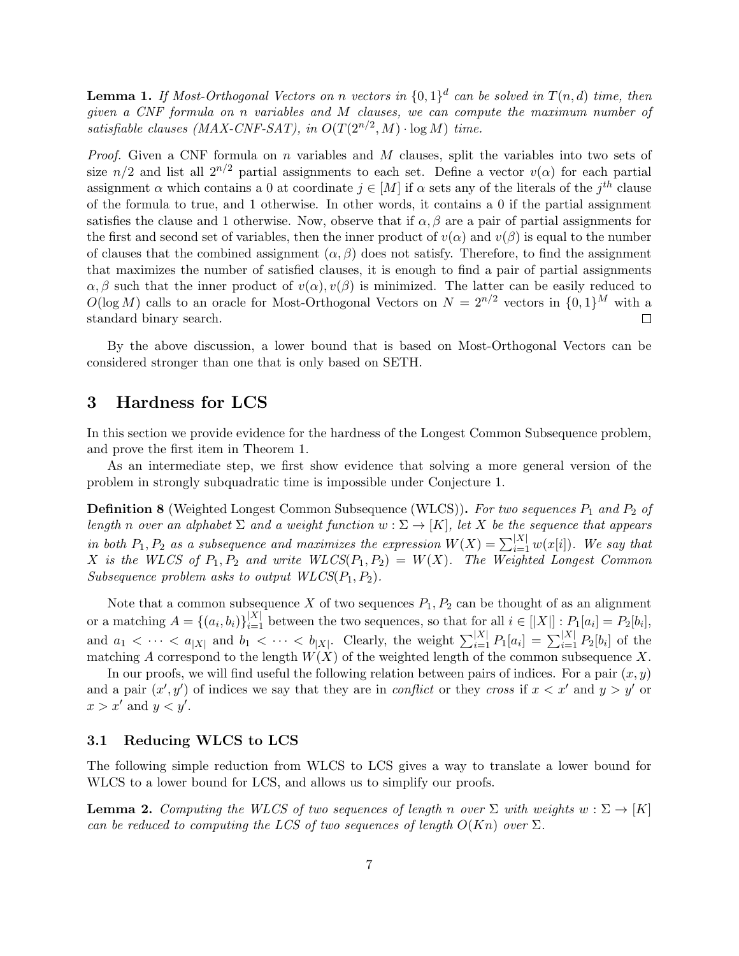**Lemma 1.** If Most-Orthogonal Vectors on n vectors in  $\{0,1\}^d$  can be solved in  $T(n,d)$  time, then given a CNF formula on n variables and M clauses, we can compute the maximum number of satisfiable clauses (MAX-CNF-SAT), in  $O(T(2^{n/2}, M) \cdot \log M)$  time.

*Proof.* Given a CNF formula on n variables and M clauses, split the variables into two sets of size  $n/2$  and list all  $2^{n/2}$  partial assignments to each set. Define a vector  $v(\alpha)$  for each partial assignment  $\alpha$  which contains a 0 at coordinate  $j \in [M]$  if  $\alpha$  sets any of the literals of the  $j<sup>th</sup>$  clause of the formula to true, and 1 otherwise. In other words, it contains a 0 if the partial assignment satisfies the clause and 1 otherwise. Now, observe that if  $\alpha, \beta$  are a pair of partial assignments for the first and second set of variables, then the inner product of  $v(\alpha)$  and  $v(\beta)$  is equal to the number of clauses that the combined assignment  $(\alpha, \beta)$  does not satisfy. Therefore, to find the assignment that maximizes the number of satisfied clauses, it is enough to find a pair of partial assignments  $\alpha, \beta$  such that the inner product of  $v(\alpha), v(\beta)$  is minimized. The latter can be easily reduced to  $O(\log M)$  calls to an oracle for Most-Orthogonal Vectors on  $N = 2^{n/2}$  vectors in  $\{0,1\}^M$  with a standard binary search.  $\Box$ 

By the above discussion, a lower bound that is based on Most-Orthogonal Vectors can be considered stronger than one that is only based on SETH.

## 3 Hardness for LCS

In this section we provide evidence for the hardness of the Longest Common Subsequence problem, and prove the first item in Theorem 1.

As an intermediate step, we first show evidence that solving a more general version of the problem in strongly subquadratic time is impossible under Conjecture 1.

**Definition 8** (Weighted Longest Common Subsequence (WLCS)). For two sequences  $P_1$  and  $P_2$  of length n over an alphabet  $\Sigma$  and a weight function  $w : \Sigma \to [K]$ , let X be the sequence that appears in both  $P_1, P_2$  as a subsequence and maximizes the expression  $W(X) = \sum_{i=1}^{|X|} w(x[i])$ . We say that X is the WLCS of  $P_1, P_2$  and write  $WLCS(P_1, P_2) = W(X)$ . The Weighted Longest Common Subsequence problem asks to output  $WLCS(P_1, P_2)$ .

Note that a common subsequence X of two sequences  $P_1, P_2$  can be thought of as an alignment or a matching  $A = \{(a_i, b_i)\}_{i=1}^{|X|}$  between the two sequences, so that for all  $i \in [|X|] : P_1[a_i] = P_2[b_i]$ , and  $a_1 < \cdots < a_{|X|}$  and  $b_1 < \cdots < b_{|X|}$ . Clearly, the weight  $\sum_{i=1}^{|X|} P_1[a_i] = \sum_{i=1}^{|X|} P_2[b_i]$  of the matching A correspond to the length  $W(X)$  of the weighted length of the common subsequence X.

In our proofs, we will find useful the following relation between pairs of indices. For a pair  $(x, y)$ and a pair  $(x', y')$  of indices we say that they are in *conflict* or they cross if  $x < x'$  and  $y > y'$  or  $x > x'$  and  $y < y'$ .

#### 3.1 Reducing WLCS to LCS

The following simple reduction from WLCS to LCS gives a way to translate a lower bound for WLCS to a lower bound for LCS, and allows us to simplify our proofs.

**Lemma 2.** Computing the WLCS of two sequences of length n over  $\Sigma$  with weights  $w : \Sigma \to [K]$ can be reduced to computing the LCS of two sequences of length  $O(Kn)$  over  $\Sigma$ .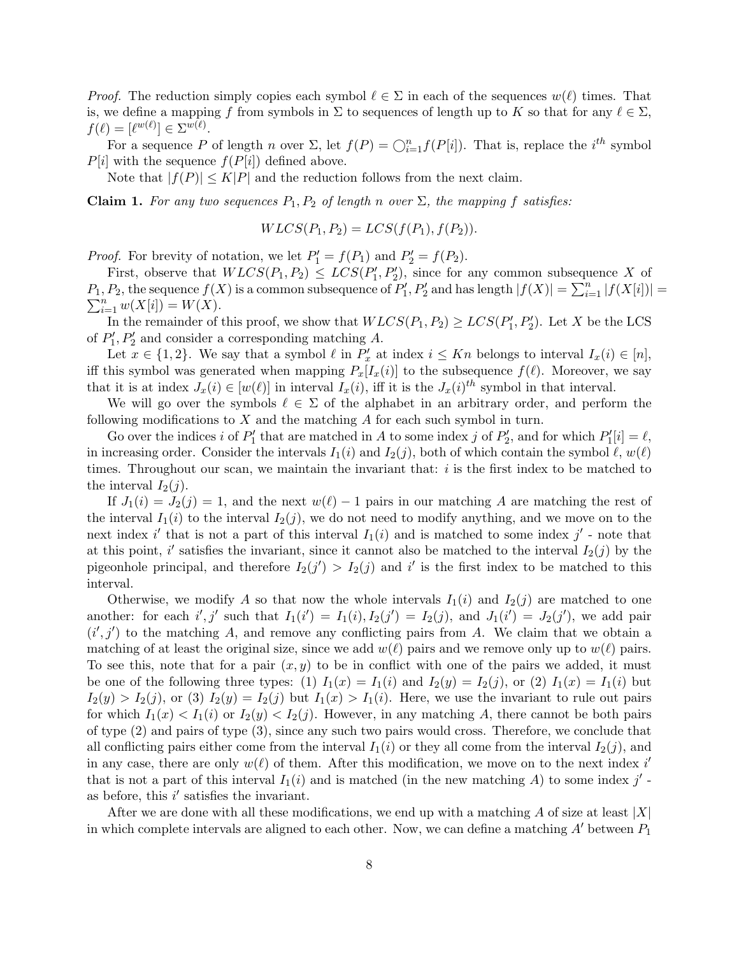*Proof.* The reduction simply copies each symbol  $\ell \in \Sigma$  in each of the sequences  $w(\ell)$  times. That is, we define a mapping f from symbols in  $\Sigma$  to sequences of length up to K so that for any  $\ell \in \Sigma$ ,  $f(\ell) = [\ell^{w(\ell)}] \in \Sigma^{w(\ell)}.$ 

For a sequence P of length n over  $\Sigma$ , let  $f(P) = \bigcirc_{i=1}^{n} f(P[i])$ . That is, replace the  $i^{th}$  symbol  $P[i]$  with the sequence  $f(P[i])$  defined above.

Note that  $|f(P)| \leq K|P|$  and the reduction follows from the next claim.

**Claim 1.** For any two sequences  $P_1, P_2$  of length n over  $\Sigma$ , the mapping f satisfies:

$$
WLCS(P_1, P_2) = LCS(f(P_1), f(P_2)).
$$

*Proof.* For brevity of notation, we let  $P'_1 = f(P_1)$  and  $P'_2 = f(P_2)$ .

First, observe that  $WLCS(P_1, P_2) \leq LCS(P'_1, P'_2)$ , since for any common subsequence X of  $P_1, P_2$ , the sequence  $f(X)$  is a common subsequence of  $P'_1, P'_2$  and has length  $|f(X)| = \sum_{i=1}^n |f(X[i])|$  $\sum_{i=1}^{n} w(X[i]) = W(X).$ 

In the remainder of this proof, we show that  $WLCS(P_1, P_2) \geq LCS(P'_1, P'_2)$ . Let X be the LCS of  $P'_1, P'_2$  and consider a corresponding matching A.

Let  $x \in \{1,2\}$ . We say that a symbol  $\ell$  in  $P'_x$  at index  $i \leq Kn$  belongs to interval  $I_x(i) \in [n]$ , iff this symbol was generated when mapping  $P_x[I_x(i)]$  to the subsequence  $f(\ell)$ . Moreover, we say that it is at index  $J_x(i) \in [w(\ell)]$  in interval  $I_x(i)$ , iff it is the  $J_x(i)^{th}$  symbol in that interval.

We will go over the symbols  $\ell \in \Sigma$  of the alphabet in an arbitrary order, and perform the following modifications to  $X$  and the matching  $A$  for each such symbol in turn.

Go over the indices i of  $P'_1$  that are matched in A to some index j of  $P'_2$ , and for which  $P'_1[i] = \ell$ , in increasing order. Consider the intervals  $I_1(i)$  and  $I_2(j)$ , both of which contain the symbol  $\ell, w(\ell)$ times. Throughout our scan, we maintain the invariant that:  $i$  is the first index to be matched to the interval  $I_2(j)$ .

If  $J_1(i) = J_2(j) = 1$ , and the next  $w(\ell) - 1$  pairs in our matching A are matching the rest of the interval  $I_1(i)$  to the interval  $I_2(j)$ , we do not need to modify anything, and we move on to the next index i' that is not a part of this interval  $I_1(i)$  and is matched to some index j' - note that at this point, i' satisfies the invariant, since it cannot also be matched to the interval  $I_2(j)$  by the pigeonhole principal, and therefore  $I_2(j') > I_2(j)$  and i' is the first index to be matched to this interval.

Otherwise, we modify A so that now the whole intervals  $I_1(i)$  and  $I_2(j)$  are matched to one another: for each  $i', j'$  such that  $I_1(i') = I_1(i), I_2(j') = I_2(j),$  and  $J_1(i') = J_2(j')$ , we add pair  $(i', j')$  to the matching A, and remove any conflicting pairs from A. We claim that we obtain a matching of at least the original size, since we add  $w(\ell)$  pairs and we remove only up to  $w(\ell)$  pairs. To see this, note that for a pair  $(x, y)$  to be in conflict with one of the pairs we added, it must be one of the following three types: (1)  $I_1(x) = I_1(i)$  and  $I_2(y) = I_2(j)$ , or (2)  $I_1(x) = I_1(i)$  but  $I_2(y) > I_2(j)$ , or (3)  $I_2(y) = I_2(j)$  but  $I_1(x) > I_1(i)$ . Here, we use the invariant to rule out pairs for which  $I_1(x) < I_1(i)$  or  $I_2(y) < I_2(j)$ . However, in any matching A, there cannot be both pairs of type (2) and pairs of type (3), since any such two pairs would cross. Therefore, we conclude that all conflicting pairs either come from the interval  $I_1(i)$  or they all come from the interval  $I_2(j)$ , and in any case, there are only  $w(\ell)$  of them. After this modification, we move on to the next index i' that is not a part of this interval  $I_1(i)$  and is matched (in the new matching A) to some index j'as before, this  $i'$  satisfies the invariant.

After we are done with all these modifications, we end up with a matching A of size at least  $|X|$ in which complete intervals are aligned to each other. Now, we can define a matching  $A'$  between  $P_1$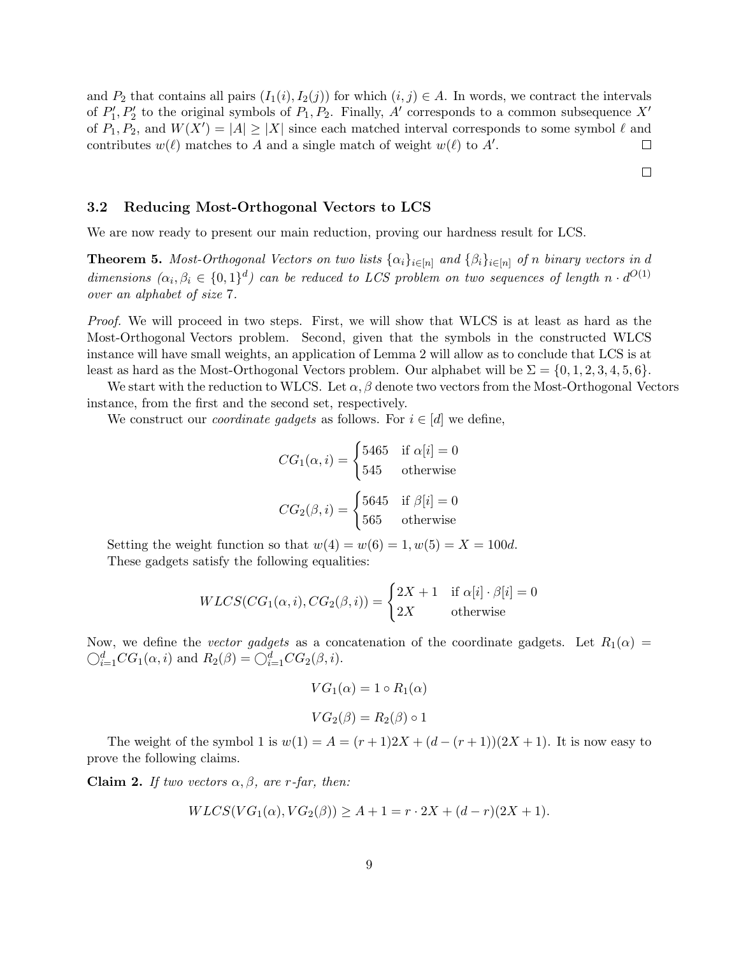and  $P_2$  that contains all pairs  $(I_1(i), I_2(j))$  for which  $(i, j) \in A$ . In words, we contract the intervals of  $P'_1, P'_2$  to the original symbols of  $P_1, P_2$ . Finally, A' corresponds to a common subsequence X' of  $P_1, P_2$ , and  $W(X') = |A| \ge |X|$  since each matched interval corresponds to some symbol  $\ell$  and contributes  $w(\ell)$  matches to A and a single match of weight  $w(\ell)$  to A'.  $\Box$ 

 $\Box$ 

## 3.2 Reducing Most-Orthogonal Vectors to LCS

We are now ready to present our main reduction, proving our hardness result for LCS.

**Theorem 5.** Most-Orthogonal Vectors on two lists  $\{\alpha_i\}_{i\in[n]}$  and  $\{\beta_i\}_{i\in[n]}$  of n binary vectors in d dimensions  $(\alpha_i, \beta_i \in \{0,1\}^d)$  can be reduced to LCS problem on two sequences of length  $n \cdot d^{O(1)}$ over an alphabet of size 7.

Proof. We will proceed in two steps. First, we will show that WLCS is at least as hard as the Most-Orthogonal Vectors problem. Second, given that the symbols in the constructed WLCS instance will have small weights, an application of Lemma 2 will allow as to conclude that LCS is at least as hard as the Most-Orthogonal Vectors problem. Our alphabet will be  $\Sigma = \{0, 1, 2, 3, 4, 5, 6\}.$ 

We start with the reduction to WLCS. Let  $\alpha, \beta$  denote two vectors from the Most-Orthogonal Vectors instance, from the first and the second set, respectively.

We construct our *coordinate gadgets* as follows. For  $i \in [d]$  we define,

$$
CG_1(\alpha, i) = \begin{cases} 5465 & \text{if } \alpha[i] = 0 \\ 545 & \text{otherwise} \end{cases}
$$

$$
CG_2(\beta, i) = \begin{cases} 5645 & \text{if } \beta[i] = 0 \\ 565 & \text{otherwise} \end{cases}
$$

Setting the weight function so that  $w(4) = w(6) = 1, w(5) = X = 100d$ . These gadgets satisfy the following equalities:

$$
WLCS(CG_1(\alpha, i), CG_2(\beta, i)) = \begin{cases} 2X + 1 & \text{if } \alpha[i] \cdot \beta[i] = 0\\ 2X & \text{otherwise} \end{cases}
$$

Now, we define the vector gadgets as a concatenation of the coordinate gadgets. Let  $R_1(\alpha)$  =  $\bigcirc_{i=1}^d CG_1(\alpha,i)$  and  $R_2(\beta) = \bigcirc_{i=1}^d CG_2(\beta,i)$ .

$$
VG_1(\alpha) = 1 \circ R_1(\alpha)
$$

$$
VG_2(\beta) = R_2(\beta) \circ 1
$$

The weight of the symbol 1 is  $w(1) = A = (r + 1)2X + (d - (r + 1))(2X + 1)$ . It is now easy to prove the following claims.

Claim 2. If two vectors  $\alpha, \beta$ , are r-far, then:

$$
WLCS(VG_1(\alpha), VG_2(\beta)) \ge A + 1 = r \cdot 2X + (d-r)(2X + 1).
$$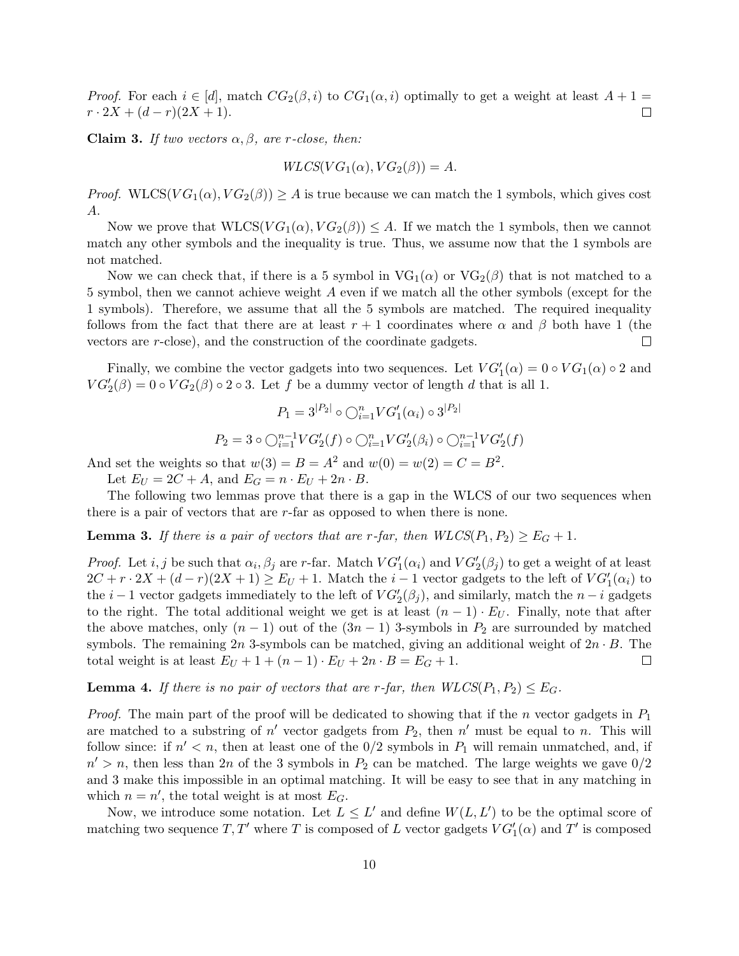*Proof.* For each  $i \in [d]$ , match  $CG_2(\beta, i)$  to  $CG_1(\alpha, i)$  optimally to get a weight at least  $A + 1 =$  $r \cdot 2X + (d-r)(2X+1).$  $\Box$ 

Claim 3. If two vectors  $\alpha, \beta$ , are r-close, then:

$$
WLCS(VG_1(\alpha), VG_2(\beta)) = A.
$$

*Proof.* WLCS( $VG_1(\alpha)$ ,  $VG_2(\beta)$ )  $\geq$  A is true because we can match the 1 symbols, which gives cost A.

Now we prove that  $WLCS(VG_1(\alpha), VG_2(\beta)) \leq A$ . If we match the 1 symbols, then we cannot match any other symbols and the inequality is true. Thus, we assume now that the 1 symbols are not matched.

Now we can check that, if there is a 5 symbol in  $VG_1(\alpha)$  or  $VG_2(\beta)$  that is not matched to a 5 symbol, then we cannot achieve weight A even if we match all the other symbols (except for the 1 symbols). Therefore, we assume that all the 5 symbols are matched. The required inequality follows from the fact that there are at least  $r + 1$  coordinates where  $\alpha$  and  $\beta$  both have 1 (the vectors are r-close), and the construction of the coordinate gadgets.  $\Box$ 

Finally, we combine the vector gadgets into two sequences. Let  $VG'_{1}(\alpha) = 0 \circ VG_{1}(\alpha) \circ 2$  and  $VG'_{2}(\beta) = 0 \circ VG_{2}(\beta) \circ 2 \circ 3$ . Let f be a dummy vector of length d that is all 1.

$$
P_1 = 3^{|P_2|} \circ \bigcirc_{i=1}^n V G'_1(\alpha_i) \circ 3^{|P_2|}
$$

$$
P_2 = 3 \circ \bigcirc_{i=1}^{n-1} V G'_2(f) \circ \bigcirc_{i=1}^n V G'_2(\beta_i) \circ \bigcirc_{i=1}^{n-1} V G'_2(f)
$$

And set the weights so that  $w(3) = B = A^2$  and  $w(0) = w(2) = C = B^2$ .

Let  $E_U = 2C + A$ , and  $E_G = n \cdot E_U + 2n \cdot B$ .

The following two lemmas prove that there is a gap in the WLCS of our two sequences when there is a pair of vectors that are r-far as opposed to when there is none.

**Lemma 3.** If there is a pair of vectors that are r-far, then  $WLCS(P_1, P_2) \geq E_G + 1$ .

*Proof.* Let *i*, *j* be such that  $\alpha_i$ ,  $\beta_j$  are *r*-far. Match  $VG'_1(\alpha_i)$  and  $VG'_2(\beta_j)$  to get a weight of at least  $2C + r \cdot 2X + (d - r)(2X + 1) \ge E_U + 1$ . Match the  $i - 1$  vector gadgets to the left of  $VG'_1(\alpha_i)$  to the  $i-1$  vector gadgets immediately to the left of  $VG'_{2}(\beta_{j})$ , and similarly, match the  $n-i$  gadgets to the right. The total additional weight we get is at least  $(n-1) \cdot E_U$ . Finally, note that after the above matches, only  $(n-1)$  out of the  $(3n-1)$  3-symbols in  $P_2$  are surrounded by matched symbols. The remaining 2n 3-symbols can be matched, giving an additional weight of  $2n \cdot B$ . The total weight is at least  $E_U + 1 + (n-1) \cdot E_U + 2n \cdot B = E_G + 1$ .  $\Box$ 

**Lemma 4.** If there is no pair of vectors that are r-far, then  $WLCS(P_1, P_2) \leq E_G$ .

*Proof.* The main part of the proof will be dedicated to showing that if the *n* vector gadgets in  $P_1$ are matched to a substring of  $n'$  vector gadgets from  $P_2$ , then  $n'$  must be equal to n. This will follow since: if  $n' < n$ , then at least one of the  $0/2$  symbols in  $P_1$  will remain unmatched, and, if  $n' > n$ , then less than 2n of the 3 symbols in  $P_2$  can be matched. The large weights we gave  $0/2$ and 3 make this impossible in an optimal matching. It will be easy to see that in any matching in which  $n = n'$ , the total weight is at most  $E_G$ .

Now, we introduce some notation. Let  $L \leq L'$  and define  $W(L, L')$  to be the optimal score of matching two sequence  $T, T'$  where T is composed of L vector gadgets  $VG'_{1}(\alpha)$  and T' is composed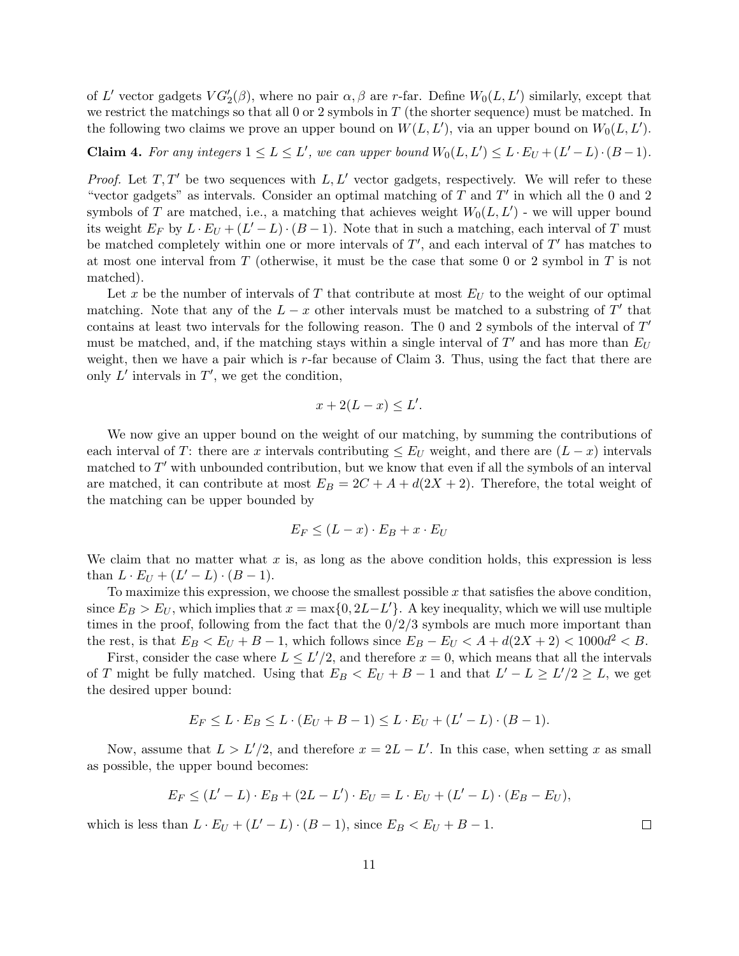of L' vector gadgets  $VG'_{2}(\beta)$ , where no pair  $\alpha, \beta$  are r-far. Define  $W_{0}(L, L')$  similarly, except that we restrict the matchings so that all 0 or 2 symbols in  $T$  (the shorter sequence) must be matched. In the following two claims we prove an upper bound on  $W(L, L')$ , via an upper bound on  $W_0(L, L')$ .

**Claim 4.** For any integers  $1 \le L \le L'$ , we can upper bound  $W_0(L, L') \le L \cdot E_U + (L' - L) \cdot (B - 1)$ .

*Proof.* Let  $T, T'$  be two sequences with  $L, L'$  vector gadgets, respectively. We will refer to these "vector gadgets" as intervals. Consider an optimal matching of  $T$  and  $T'$  in which all the 0 and 2 symbols of T are matched, i.e., a matching that achieves weight  $W_0(L, L')$  - we will upper bound its weight  $E_F$  by  $L \cdot E_U + (L' - L) \cdot (B - 1)$ . Note that in such a matching, each interval of T must be matched completely within one or more intervals of  $T'$ , and each interval of  $T'$  has matches to at most one interval from T (otherwise, it must be the case that some 0 or 2 symbol in  $T$  is not matched).

Let x be the number of intervals of T that contribute at most  $E_U$  to the weight of our optimal matching. Note that any of the  $L - x$  other intervals must be matched to a substring of T' that contains at least two intervals for the following reason. The 0 and 2 symbols of the interval of  $T'$ must be matched, and, if the matching stays within a single interval of  $T'$  and has more than  $E_U$ weight, then we have a pair which is  $r$ -far because of Claim 3. Thus, using the fact that there are only  $L'$  intervals in  $T'$ , we get the condition,

$$
x + 2(L - x) \le L'.
$$

We now give an upper bound on the weight of our matching, by summing the contributions of each interval of T: there are x intervals contributing  $\leq E_U$  weight, and there are  $(L-x)$  intervals matched to  $T'$  with unbounded contribution, but we know that even if all the symbols of an interval are matched, it can contribute at most  $E_B = 2C + A + d(2X + 2)$ . Therefore, the total weight of the matching can be upper bounded by

$$
E_F \le (L - x) \cdot E_B + x \cdot E_U
$$

We claim that no matter what  $x$  is, as long as the above condition holds, this expression is less than  $L \cdot E_U + (L' - L) \cdot (B - 1)$ .

To maximize this expression, we choose the smallest possible  $x$  that satisfies the above condition, since  $E_B > E_U$ , which implies that  $x = \max\{0, 2L - L'\}$ . A key inequality, which we will use multiple times in the proof, following from the fact that the  $0/2/3$  symbols are much more important than the rest, is that  $E_B < E_U + B - 1$ , which follows since  $E_B - E_U < A + d(2X + 2) < 1000d^2 < B$ .

First, consider the case where  $L \leq L'/2$ , and therefore  $x = 0$ , which means that all the intervals of T might be fully matched. Using that  $E_B < E_U + B - 1$  and that  $L' - L \ge L'/2 \ge L$ , we get the desired upper bound:

$$
E_F \le L \cdot E_B \le L \cdot (E_U + B - 1) \le L \cdot E_U + (L' - L) \cdot (B - 1).
$$

Now, assume that  $L > L'/2$ , and therefore  $x = 2L - L'$ . In this case, when setting x as small as possible, the upper bound becomes:

$$
E_F \le (L' - L) \cdot E_B + (2L - L') \cdot E_U = L \cdot E_U + (L' - L) \cdot (E_B - E_U),
$$

which is less than  $L \cdot E_U + (L' - L) \cdot (B - 1)$ , since  $E_B < E_U + B - 1$ .

11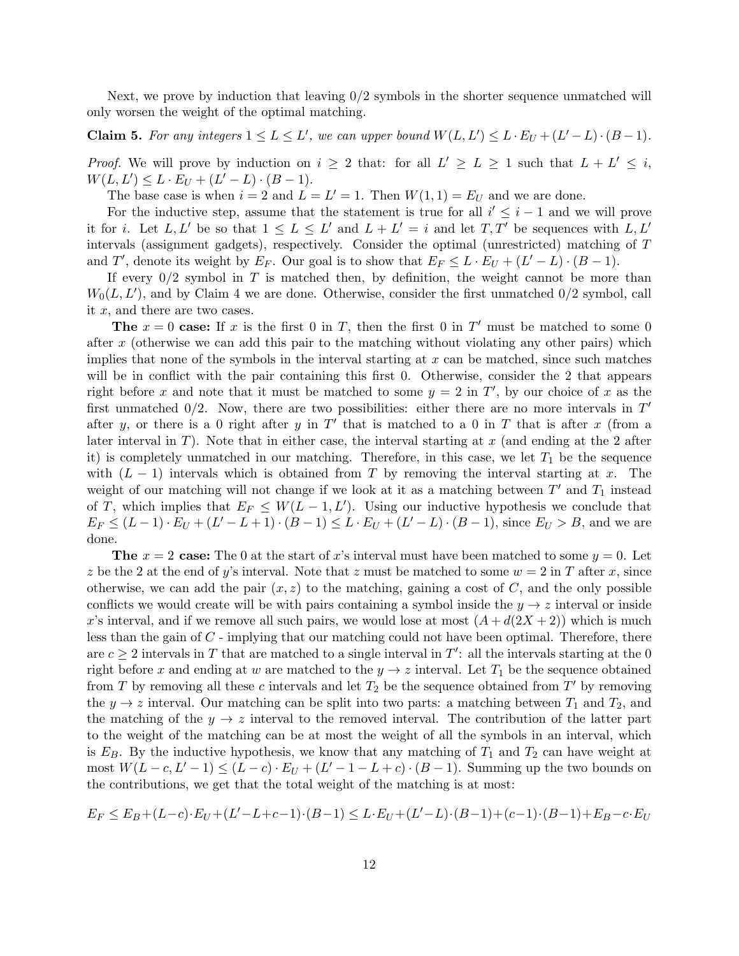Next, we prove by induction that leaving 0/2 symbols in the shorter sequence unmatched will only worsen the weight of the optimal matching.

**Claim 5.** For any integers  $1 \le L \le L'$ , we can upper bound  $W(L, L') \le L \cdot E_U + (L' - L) \cdot (B - 1)$ .

*Proof.* We will prove by induction on  $i \geq 2$  that: for all  $L' \geq L \geq 1$  such that  $L + L' \leq i$ ,  $W(L, L') \leq L \cdot E_U + (L' - L) \cdot (B - 1).$ 

The base case is when  $i = 2$  and  $L = L' = 1$ . Then  $W(1, 1) = E_U$  and we are done.

For the inductive step, assume that the statement is true for all  $i' \leq i - 1$  and we will prove it for *i*. Let L, L' be so that  $1 \leq L \leq L'$  and  $L + L' = i$  and let T, T' be sequences with L, L' intervals (assignment gadgets), respectively. Consider the optimal (unrestricted) matching of T and T', denote its weight by  $E_F$ . Our goal is to show that  $E_F \leq L \cdot E_U + (L' - L) \cdot (B - 1)$ .

If every  $0/2$  symbol in T is matched then, by definition, the weight cannot be more than  $W_0(L, L')$ , and by Claim 4 we are done. Otherwise, consider the first unmatched  $0/2$  symbol, call it  $x$ , and there are two cases.

The  $x = 0$  case: If x is the first 0 in T, then the first 0 in T' must be matched to some 0 after x (otherwise we can add this pair to the matching without violating any other pairs) which implies that none of the symbols in the interval starting at  $x$  can be matched, since such matches will be in conflict with the pair containing this first 0. Otherwise, consider the 2 that appears right before x and note that it must be matched to some  $y = 2$  in T', by our choice of x as the first unmatched  $0/2$ . Now, there are two possibilities: either there are no more intervals in  $T'$ after y, or there is a 0 right after y in  $T'$  that is matched to a 0 in T that is after x (from a later interval in T). Note that in either case, the interval starting at x (and ending at the 2 after it) is completely unmatched in our matching. Therefore, in this case, we let  $T_1$  be the sequence with  $(L - 1)$  intervals which is obtained from T by removing the interval starting at x. The weight of our matching will not change if we look at it as a matching between  $T'$  and  $T_1$  instead of T, which implies that  $E_F \leq W(L-1,L')$ . Using our inductive hypothesis we conclude that  $E_F \le (L-1) \cdot E_U + (L'-L+1) \cdot (B-1) \le L \cdot E_U + (L'-L) \cdot (B-1)$ , since  $E_U > B$ , and we are done.

**The**  $x = 2$  case: The 0 at the start of x's interval must have been matched to some  $y = 0$ . Let z be the 2 at the end of y's interval. Note that z must be matched to some  $w = 2$  in T after x, since otherwise, we can add the pair  $(x, z)$  to the matching, gaining a cost of C, and the only possible conflicts we would create will be with pairs containing a symbol inside the  $y \rightarrow z$  interval or inside x's interval, and if we remove all such pairs, we would lose at most  $(A + d(2X + 2))$  which is much less than the gain of C - implying that our matching could not have been optimal. Therefore, there are  $c \geq 2$  intervals in T that are matched to a single interval in T': all the intervals starting at the 0 right before x and ending at w are matched to the  $y \to z$  interval. Let  $T_1$  be the sequence obtained from T by removing all these c intervals and let  $T_2$  be the sequence obtained from T' by removing the  $y \rightarrow z$  interval. Our matching can be split into two parts: a matching between  $T_1$  and  $T_2$ , and the matching of the  $y \to z$  interval to the removed interval. The contribution of the latter part to the weight of the matching can be at most the weight of all the symbols in an interval, which is  $E_B$ . By the inductive hypothesis, we know that any matching of  $T_1$  and  $T_2$  can have weight at most  $W(L - c, L' - 1) \leq (L - c) \cdot E_U + (L' - 1 - L + c) \cdot (B - 1)$ . Summing up the two bounds on the contributions, we get that the total weight of the matching is at most:

$$
E_F \le E_B + (L-c) \cdot E_U + (L' - L + c - 1) \cdot (B-1) \le L \cdot E_U + (L' - L) \cdot (B-1) + (c-1) \cdot (B-1) + E_B - c \cdot E_U
$$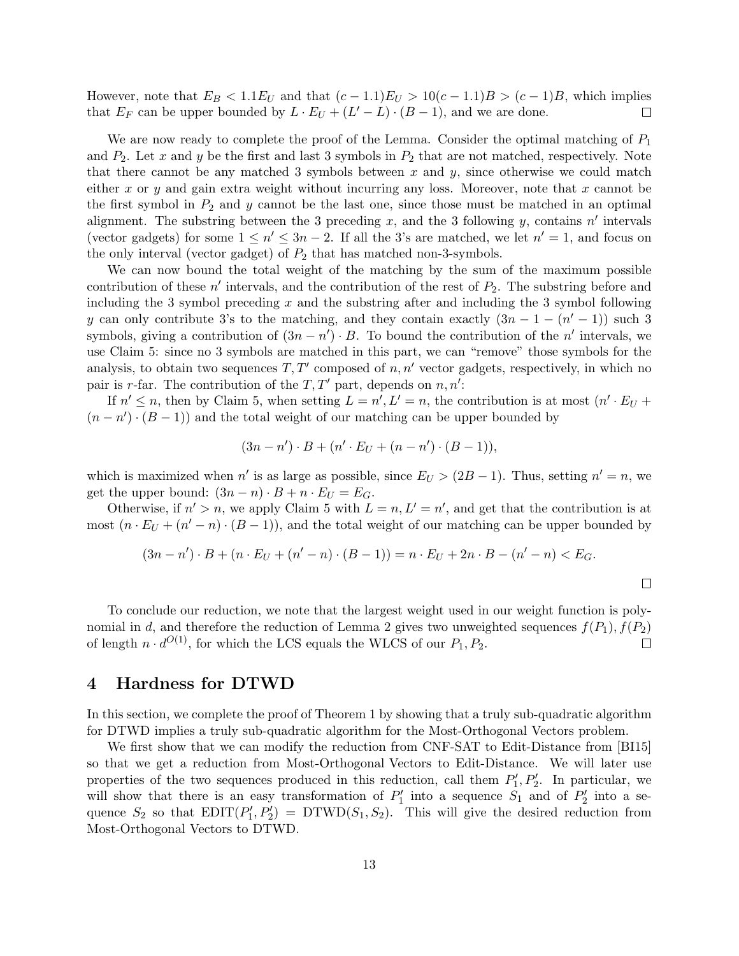However, note that  $E_B < 1.1E_U$  and that  $(c-1.1)E_U > 10(c-1.1)B > (c-1)B$ , which implies that  $E_F$  can be upper bounded by  $L \cdot E_U + (L' - L) \cdot (B - 1)$ , and we are done.  $\Box$ 

We are now ready to complete the proof of the Lemma. Consider the optimal matching of  $P_1$ and  $P_2$ . Let x and y be the first and last 3 symbols in  $P_2$  that are not matched, respectively. Note that there cannot be any matched 3 symbols between  $x$  and  $y$ , since otherwise we could match either x or y and gain extra weight without incurring any loss. Moreover, note that x cannot be the first symbol in  $P_2$  and y cannot be the last one, since those must be matched in an optimal alignment. The substring between the 3 preceding x, and the 3 following y, contains  $n'$  intervals (vector gadgets) for some  $1 \leq n' \leq 3n - 2$ . If all the 3's are matched, we let  $n' = 1$ , and focus on the only interval (vector gadget) of  $P_2$  that has matched non-3-symbols.

We can now bound the total weight of the matching by the sum of the maximum possible contribution of these  $n'$  intervals, and the contribution of the rest of  $P_2$ . The substring before and including the 3 symbol preceding  $x$  and the substring after and including the 3 symbol following y can only contribute 3's to the matching, and they contain exactly  $(3n - 1 - (n' - 1))$  such 3 symbols, giving a contribution of  $(3n - n') \cdot B$ . To bound the contribution of the n' intervals, we use Claim 5: since no 3 symbols are matched in this part, we can "remove" those symbols for the analysis, to obtain two sequences  $T, T'$  composed of  $n, n'$  vector gadgets, respectively, in which no pair is r-far. The contribution of the  $T, T'$  part, depends on  $n, n'$ :

If  $n' \leq n$ , then by Claim 5, when setting  $L = n', L' = n$ , the contribution is at most  $(n' \cdot E_U +$  $(n - n') \cdot (B - 1)$  and the total weight of our matching can be upper bounded by

$$
(3n - n') \cdot B + (n' \cdot E_U + (n - n') \cdot (B - 1)),
$$

which is maximized when n' is as large as possible, since  $E_U > (2B - 1)$ . Thus, setting  $n' = n$ , we get the upper bound:  $(3n - n) \cdot B + n \cdot E_U = E_G$ .

Otherwise, if  $n' > n$ , we apply Claim 5 with  $L = n, L' = n'$ , and get that the contribution is at most  $(n \cdot E_U + (n' - n) \cdot (B - 1))$ , and the total weight of our matching can be upper bounded by

$$
(3n - n') \cdot B + (n \cdot E_U + (n' - n) \cdot (B - 1)) = n \cdot E_U + 2n \cdot B - (n' - n) < E_G.
$$

To conclude our reduction, we note that the largest weight used in our weight function is polynomial in d, and therefore the reduction of Lemma 2 gives two unweighted sequences  $f(P_1), f(P_2)$ of length  $n \cdot d^{O(1)}$ , for which the LCS equals the WLCS of our  $P_1, P_2$ .  $\Box$ 

## 4 Hardness for DTWD

In this section, we complete the proof of Theorem 1 by showing that a truly sub-quadratic algorithm for DTWD implies a truly sub-quadratic algorithm for the Most-Orthogonal Vectors problem.

We first show that we can modify the reduction from CNF-SAT to Edit-Distance from  $|B115|$ so that we get a reduction from Most-Orthogonal Vectors to Edit-Distance. We will later use properties of the two sequences produced in this reduction, call them  $P'_1, P'_2$ . In particular, we will show that there is an easy transformation of  $P'_1$  into a sequence  $S_1$  and of  $P'_2$  into a sequence  $S_2$  so that  $EDIT(P'_1, P'_2) = DTWD(S_1, S_2)$ . This will give the desired reduction from Most-Orthogonal Vectors to DTWD.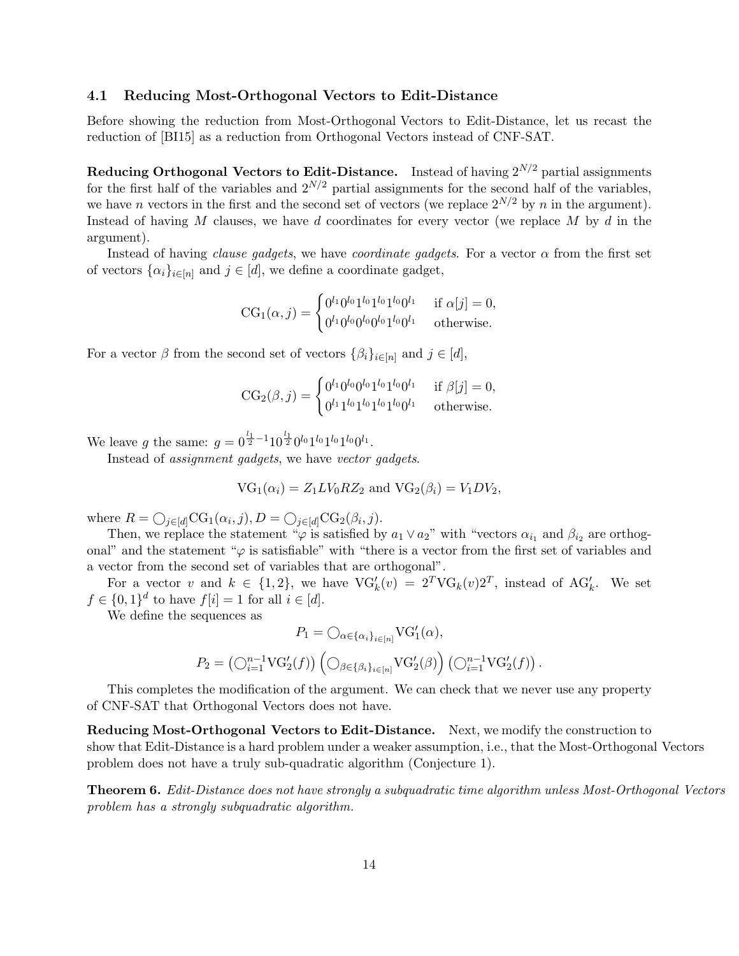## 4.1 Reducing Most-Orthogonal Vectors to Edit-Distance

Before showing the reduction from Most-Orthogonal Vectors to Edit-Distance, let us recast the reduction of [BI15] as a reduction from Orthogonal Vectors instead of CNF-SAT.

Reducing Orthogonal Vectors to Edit-Distance. Instead of having  $2^{N/2}$  partial assignments for the first half of the variables and  $2^{N/2}$  partial assignments for the second half of the variables, we have n vectors in the first and the second set of vectors (we replace  $2^{N/2}$  by n in the argument). Instead of having M clauses, we have d coordinates for every vector (we replace M by d in the argument).

Instead of having clause gadgets, we have coordinate gadgets. For a vector  $\alpha$  from the first set of vectors  $\{\alpha_i\}_{i\in[n]}$  and  $j \in [d]$ , we define a coordinate gadget,

$$
CG_1(\alpha, j) = \begin{cases} 0^{l_1} 0^{l_0} 1^{l_0} 1^{l_0} 1^{l_0} 0^{l_1} & \text{if } \alpha[j] = 0, \\ 0^{l_1} 0^{l_0} 0^{l_0} 0^{l_0} 1^{l_0} 0^{l_1} & \text{otherwise.} \end{cases}
$$

For a vector  $\beta$  from the second set of vectors  $\{\beta_i\}_{i\in[n]}$  and  $j \in [d]$ ,

$$
CG_2(\beta, j) = \begin{cases} 0^{l_1} 0^{l_0} 0^{l_0} 1^{l_0} 1^{l_0} 0^{l_1} & \text{if } \beta[j] = 0, \\ 0^{l_1} 1^{l_0} 1^{l_0} 1^{l_0} 1^{l_0} 0^{l_1} & \text{otherwise.} \end{cases}
$$

We leave g the same:  $g = 0^{\frac{l_1}{2}-1} 10^{\frac{l_1}{2}} 0^{l_0} 1^{l_0} 1^{l_0} 0^{l_1}$ .

Instead of assignment gadgets, we have vector gadgets.

$$
VG_1(\alpha_i) = Z_1 LV_0 R Z_2 \text{ and } VG_2(\beta_i) = V_1 DV_2,
$$

where  $R = \bigcirc_{j \in [d]} CG_1(\alpha_i, j), D = \bigcirc_{j \in [d]} CG_2(\beta_i, j).$ 

Then, we replace the statement " $\varphi$  is satisfied by  $a_1 \vee a_2$ " with "vectors  $\alpha_{i_1}$  and  $\beta_{i_2}$  are orthogonal" and the statement " $\varphi$  is satisfiable" with "there is a vector from the first set of variables and a vector from the second set of variables that are orthogonal".

For a vector v and  $k \in \{1,2\}$ , we have  $\text{VG}'_k(v) = 2^T \text{VG}_k(v) 2^T$ , instead of A $\text{G}'_k$ . We set  $f \in \{0,1\}^d$  to have  $f[i] = 1$  for all  $i \in [d]$ .

We define the sequences as

$$
P_1 = \bigcirc_{\alpha \in \{\alpha_i\}_{i \in [n]}} \text{VG}'_1(\alpha),
$$
  

$$
P_2 = \left(\bigcirc_{i=1}^{n-1} \text{VG}'_2(f)\right) \left(\bigcirc_{\beta \in \{\beta_i\}_{i \in [n]}} \text{VG}'_2(\beta)\right) \left(\bigcirc_{i=1}^{n-1} \text{VG}'_2(f)\right).
$$

This completes the modification of the argument. We can check that we never use any property of CNF-SAT that Orthogonal Vectors does not have.

Reducing Most-Orthogonal Vectors to Edit-Distance. Next, we modify the construction to show that Edit-Distance is a hard problem under a weaker assumption, i.e., that the Most-Orthogonal Vectors problem does not have a truly sub-quadratic algorithm (Conjecture 1).

Theorem 6. Edit-Distance does not have strongly a subquadratic time algorithm unless Most-Orthogonal Vectors problem has a strongly subquadratic algorithm.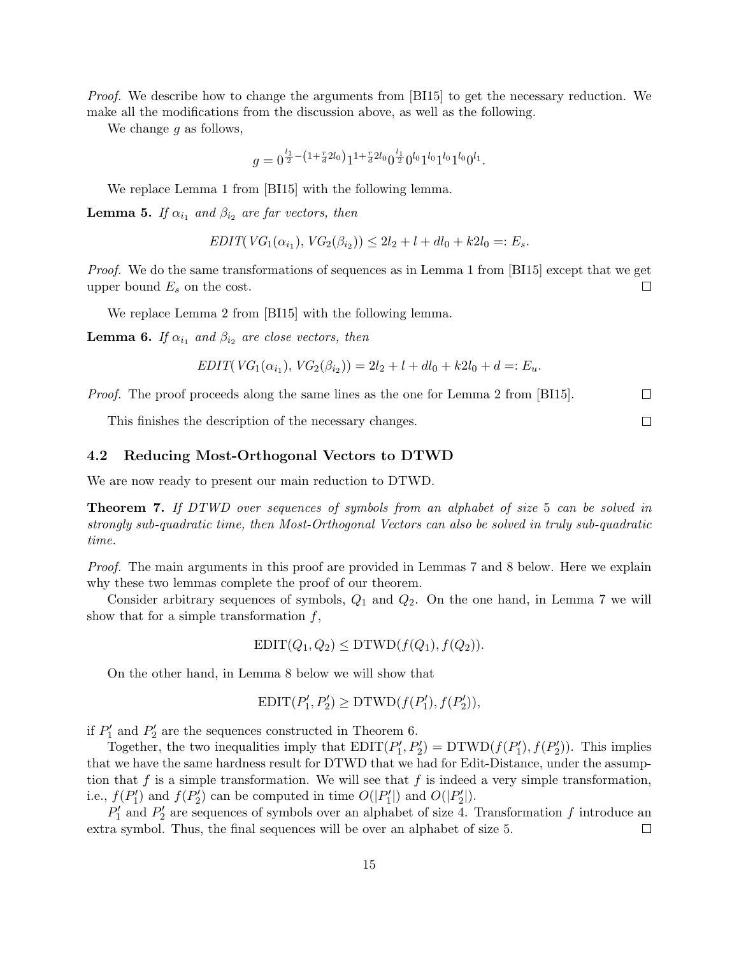*Proof.* We describe how to change the arguments from [BI15] to get the necessary reduction. We make all the modifications from the discussion above, as well as the following.

We change  $g$  as follows,

$$
g=0^{\frac{l_1}{2}-(1+\frac{r}{d}2l_0)}1^{1+\frac{r}{d}2l_0}0^{\frac{l_1}{2}}0^{l_0}1^{l_0}1^{l_0}1^{l_0}0^{l_1}.
$$

We replace Lemma 1 from [BI15] with the following lemma.

**Lemma 5.** If  $\alpha_{i_1}$  and  $\beta_{i_2}$  are far vectors, then

$$
EDIT(VG_1(\alpha_{i_1}), VG_2(\beta_{i_2})) \le 2l_2 + l + dl_0 + k2l_0 =: E_s.
$$

Proof. We do the same transformations of sequences as in Lemma 1 from [BI15] except that we get upper bound  $E_s$  on the cost.  $\Box$ 

We replace Lemma 2 from [BI15] with the following lemma.

**Lemma 6.** If  $\alpha_{i_1}$  and  $\beta_{i_2}$  are close vectors, then

$$
EDIT(VG_1(\alpha_{i_1}), VG_2(\beta_{i_2})) = 2l_2 + l + dl_0 + k2l_0 + d =: E_u.
$$

Proof. The proof proceeds along the same lines as the one for Lemma 2 from [BI15].  $\Box$ 

 $\Box$ 

This finishes the description of the necessary changes.

#### 4.2 Reducing Most-Orthogonal Vectors to DTWD

We are now ready to present our main reduction to DTWD.

**Theorem 7.** If DTWD over sequences of symbols from an alphabet of size 5 can be solved in strongly sub-quadratic time, then Most-Orthogonal Vectors can also be solved in truly sub-quadratic time.

Proof. The main arguments in this proof are provided in Lemmas 7 and 8 below. Here we explain why these two lemmas complete the proof of our theorem.

Consider arbitrary sequences of symbols,  $Q_1$  and  $Q_2$ . On the one hand, in Lemma 7 we will show that for a simple transformation  $f$ ,

$$
EDIT(Q_1, Q_2) \leq DTWD(f(Q_1), f(Q_2)).
$$

On the other hand, in Lemma 8 below we will show that

$$
EDIT(P'_1, P'_2) \ge DTWD(f(P'_1), f(P'_2)),
$$

if  $P'_1$  and  $P'_2$  are the sequences constructed in Theorem 6.

Together, the two inequalities imply that  $EDIT(P'_1, P'_2) = DTWD(f(P'_1), f(P'_2))$ . This implies that we have the same hardness result for DTWD that we had for Edit-Distance, under the assumption that f is a simple transformation. We will see that f is indeed a very simple transformation, i.e.,  $f(P'_1)$  and  $f(P'_2)$  can be computed in time  $O(|P'_1|)$  and  $O(|P'_2|)$ .

 $P'_1$  and  $P'_2$  are sequences of symbols over an alphabet of size 4. Transformation f introduce an extra symbol. Thus, the final sequences will be over an alphabet of size 5.  $\Box$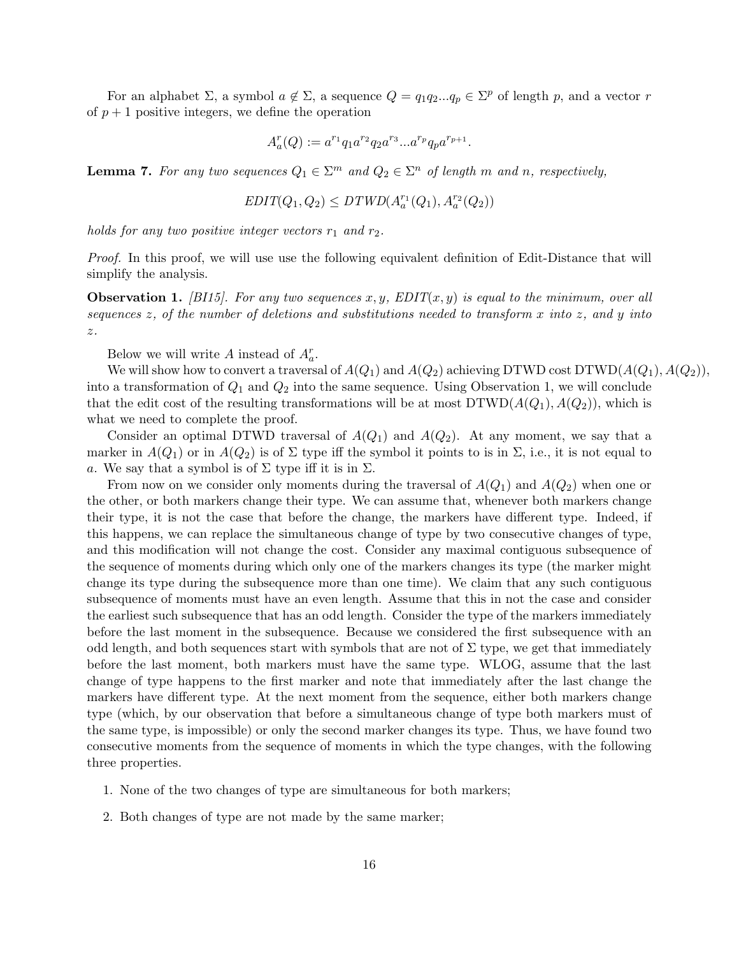For an alphabet  $\Sigma$ , a symbol  $a \notin \Sigma$ , a sequence  $Q = q_1 q_2 ... q_p \in \Sigma^p$  of length p, and a vector r of  $p + 1$  positive integers, we define the operation

$$
A_a^r(Q) := a^{r_1}q_1a^{r_2}q_2a^{r_3}...a^{r_p}q_pa^{r_{p+1}}.
$$

**Lemma 7.** For any two sequences  $Q_1 \in \Sigma^m$  and  $Q_2 \in \Sigma^n$  of length m and n, respectively,

$$
EDIT(Q_1,Q_2)\leq D\mathit{TWD}(A^{r_1}_a(Q_1),A^{r_2}_a(Q_2))
$$

holds for any two positive integer vectors  $r_1$  and  $r_2$ .

Proof. In this proof, we will use use the following equivalent definition of Edit-Distance that will simplify the analysis.

**Observation 1.** [BI15]. For any two sequences x, y, EDIT(x, y) is equal to the minimum, over all sequences z, of the number of deletions and substitutions needed to transform x into z, and y into  $\boldsymbol{z}$  .

Below we will write A instead of  $A_a^r$ .

We will show how to convert a traversal of  $A(Q_1)$  and  $A(Q_2)$  achieving DTWD cost DTWD( $A(Q_1), A(Q_2)$ ), into a transformation of  $Q_1$  and  $Q_2$  into the same sequence. Using Observation 1, we will conclude that the edit cost of the resulting transformations will be at most  $DTWD(A(Q_1),A(Q_2))$ , which is what we need to complete the proof.

Consider an optimal DTWD traversal of  $A(Q_1)$  and  $A(Q_2)$ . At any moment, we say that a marker in  $A(Q_1)$  or in  $A(Q_2)$  is of  $\Sigma$  type iff the symbol it points to is in  $\Sigma$ , i.e., it is not equal to a. We say that a symbol is of  $\Sigma$  type iff it is in  $\Sigma$ .

From now on we consider only moments during the traversal of  $A(Q_1)$  and  $A(Q_2)$  when one or the other, or both markers change their type. We can assume that, whenever both markers change their type, it is not the case that before the change, the markers have different type. Indeed, if this happens, we can replace the simultaneous change of type by two consecutive changes of type, and this modification will not change the cost. Consider any maximal contiguous subsequence of the sequence of moments during which only one of the markers changes its type (the marker might change its type during the subsequence more than one time). We claim that any such contiguous subsequence of moments must have an even length. Assume that this in not the case and consider the earliest such subsequence that has an odd length. Consider the type of the markers immediately before the last moment in the subsequence. Because we considered the first subsequence with an odd length, and both sequences start with symbols that are not of  $\Sigma$  type, we get that immediately before the last moment, both markers must have the same type. WLOG, assume that the last change of type happens to the first marker and note that immediately after the last change the markers have different type. At the next moment from the sequence, either both markers change type (which, by our observation that before a simultaneous change of type both markers must of the same type, is impossible) or only the second marker changes its type. Thus, we have found two consecutive moments from the sequence of moments in which the type changes, with the following three properties.

- 1. None of the two changes of type are simultaneous for both markers;
- 2. Both changes of type are not made by the same marker;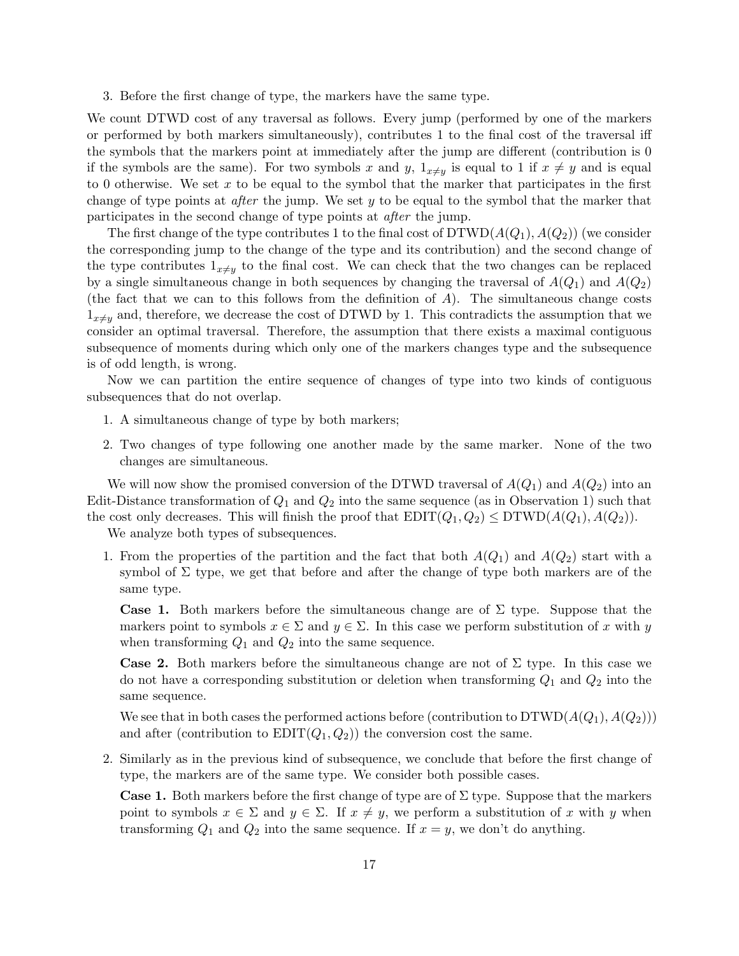3. Before the first change of type, the markers have the same type.

We count DTWD cost of any traversal as follows. Every jump (performed by one of the markers or performed by both markers simultaneously), contributes 1 to the final cost of the traversal iff the symbols that the markers point at immediately after the jump are different (contribution is 0 if the symbols are the same). For two symbols x and y,  $1_{x\neq y}$  is equal to 1 if  $x \neq y$  and is equal to 0 otherwise. We set x to be equal to the symbol that the marker that participates in the first change of type points at *after* the jump. We set  $y$  to be equal to the symbol that the marker that participates in the second change of type points at after the jump.

The first change of the type contributes 1 to the final cost of  $DTWD(A(Q_1), A(Q_2))$  (we consider the corresponding jump to the change of the type and its contribution) and the second change of the type contributes  $1_{x\neq y}$  to the final cost. We can check that the two changes can be replaced by a single simultaneous change in both sequences by changing the traversal of  $A(Q_1)$  and  $A(Q_2)$ (the fact that we can to this follows from the definition of  $A$ ). The simultaneous change costs  $1_{x\neq y}$  and, therefore, we decrease the cost of DTWD by 1. This contradicts the assumption that we consider an optimal traversal. Therefore, the assumption that there exists a maximal contiguous subsequence of moments during which only one of the markers changes type and the subsequence is of odd length, is wrong.

Now we can partition the entire sequence of changes of type into two kinds of contiguous subsequences that do not overlap.

- 1. A simultaneous change of type by both markers;
- 2. Two changes of type following one another made by the same marker. None of the two changes are simultaneous.

We will now show the promised conversion of the DTWD traversal of  $A(Q_1)$  and  $A(Q_2)$  into an Edit-Distance transformation of  $Q_1$  and  $Q_2$  into the same sequence (as in Observation 1) such that the cost only decreases. This will finish the proof that  $EDIT(Q_1, Q_2) \leq DTWD(A(Q_1), A(Q_2)).$ 

We analyze both types of subsequences.

1. From the properties of the partition and the fact that both  $A(Q_1)$  and  $A(Q_2)$  start with a symbol of  $\Sigma$  type, we get that before and after the change of type both markers are of the same type.

**Case 1.** Both markers before the simultaneous change are of  $\Sigma$  type. Suppose that the markers point to symbols  $x \in \Sigma$  and  $y \in \Sigma$ . In this case we perform substitution of x with y when transforming  $Q_1$  and  $Q_2$  into the same sequence.

Case 2. Both markers before the simultaneous change are not of  $\Sigma$  type. In this case we do not have a corresponding substitution or deletion when transforming  $Q_1$  and  $Q_2$  into the same sequence.

We see that in both cases the performed actions before (contribution to  $DTWD(A(Q_1), A(Q_2)))$ and after (contribution to  $EDIT(Q_1, Q_2)$ ) the conversion cost the same.

2. Similarly as in the previous kind of subsequence, we conclude that before the first change of type, the markers are of the same type. We consider both possible cases.

**Case 1.** Both markers before the first change of type are of  $\Sigma$  type. Suppose that the markers point to symbols  $x \in \Sigma$  and  $y \in \Sigma$ . If  $x \neq y$ , we perform a substitution of x with y when transforming  $Q_1$  and  $Q_2$  into the same sequence. If  $x = y$ , we don't do anything.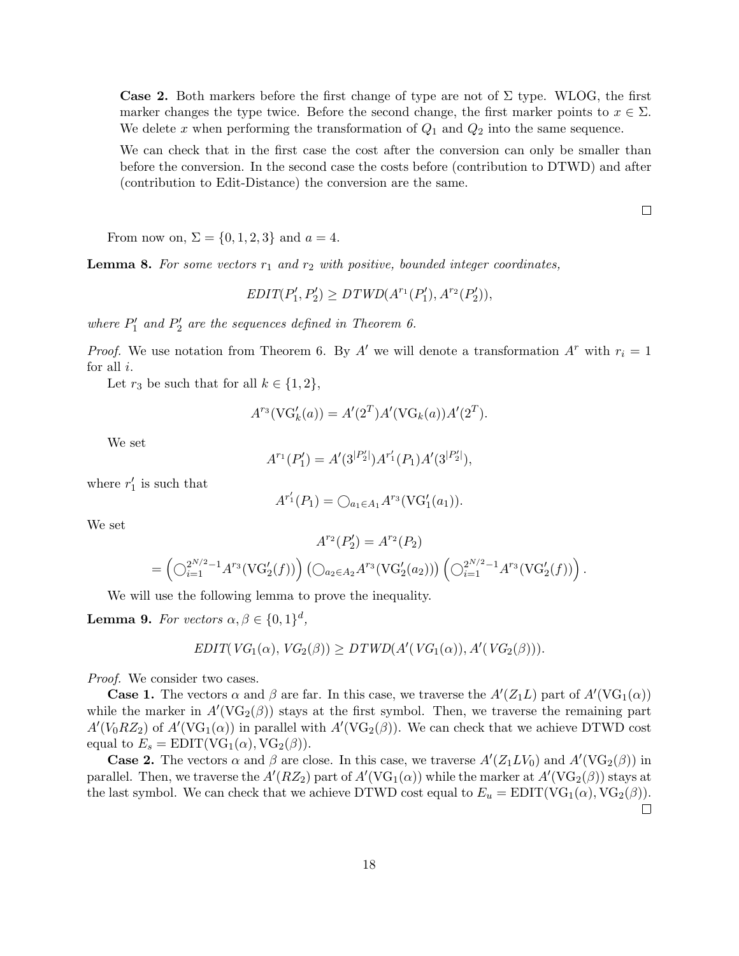**Case 2.** Both markers before the first change of type are not of  $\Sigma$  type. WLOG, the first marker changes the type twice. Before the second change, the first marker points to  $x \in \Sigma$ . We delete x when performing the transformation of  $Q_1$  and  $Q_2$  into the same sequence.

We can check that in the first case the cost after the conversion can only be smaller than before the conversion. In the second case the costs before (contribution to DTWD) and after (contribution to Edit-Distance) the conversion are the same.

From now on,  $\Sigma = \{0, 1, 2, 3\}$  and  $a = 4$ .

**Lemma 8.** For some vectors  $r_1$  and  $r_2$  with positive, bounded integer coordinates,

 $EDIT(P'_1, P'_2) \geq DTWD(A^{r_1}(P'_1), A^{r_2}(P'_2)),$ 

where  $P'_1$  and  $P'_2$  are the sequences defined in Theorem 6.

*Proof.* We use notation from Theorem 6. By A' we will denote a transformation  $A^r$  with  $r_i = 1$ for all i.

Let  $r_3$  be such that for all  $k \in \{1, 2\}$ ,

$$
A^{r_3}(\text{VG}'_k(a)) = A'(2^T)A'(\text{VG}_k(a))A'(2^T).
$$

We set

$$
A^{r_1}(P'_1) = A'(3^{|P'_2|})A^{r'_1}(P_1)A'(3^{|P'_2|}),
$$

where  $r'_1$  is such that

$$
A^{r'_1}(P_1) = \bigcirc_{a_1 \in A_1} A^{r_3}(\text{VG}'_1(a_1)).
$$

We set

$$
A^{r_2}(P'_2) = A^{r_2}(P_2)
$$
  
= 
$$
\left(\bigcirc_{i=1}^{2^{N/2}-1} A^{r_3}(\operatorname{VG}'_2(f))\right) \left(\bigcirc_{a_2 \in A_2} A^{r_3}(\operatorname{VG}'_2(a_2))\right) \left(\bigcirc_{i=1}^{2^{N/2}-1} A^{r_3}(\operatorname{VG}'_2(f))\right).
$$

We will use the following lemma to prove the inequality.

**Lemma 9.** For vectors  $\alpha, \beta \in \{0, 1\}^d$ ,

$$
EDIT(VG_1(\alpha), VG_2(\beta)) \geq DTWD(A'(VG_1(\alpha)), A'(VG_2(\beta))).
$$

Proof. We consider two cases.

**Case 1.** The vectors  $\alpha$  and  $\beta$  are far. In this case, we traverse the  $A'(Z_1L)$  part of  $A'(VG_1(\alpha))$ while the marker in  $A'(VG_2(\beta))$  stays at the first symbol. Then, we traverse the remaining part  $A'(V_0 R Z_2)$  of  $A'(V G_1(\alpha))$  in parallel with  $A'(V G_2(\beta))$ . We can check that we achieve DTWD cost equal to  $E_s = \text{EDIT}(VG_1(\alpha), VG_2(\beta)).$ 

**Case 2.** The vectors  $\alpha$  and  $\beta$  are close. In this case, we traverse  $A'(Z_1 L V_0)$  and  $A'(V G_2(\beta))$  in parallel. Then, we traverse the  $A'(RZ_2)$  part of  $A'(VG_1(\alpha))$  while the marker at  $A'(VG_2(\beta))$  stays at the last symbol. We can check that we achieve DTWD cost equal to  $E_u = \text{EDIT}(VG_1(\alpha), VG_2(\beta)).$ 

 $\Box$ 

 $\Box$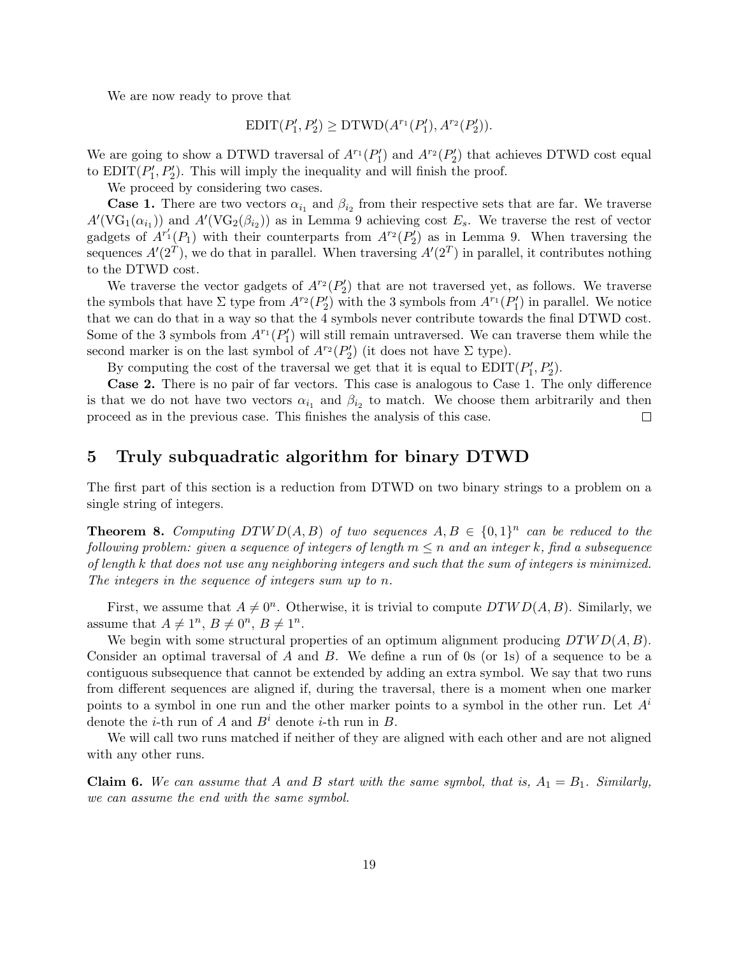We are now ready to prove that

$$
EDIT(P'_1, P'_2) \geq DTWD(A^{r_1}(P'_1), A^{r_2}(P'_2)).
$$

We are going to show a DTWD traversal of  $A^{r_1}(P'_1)$  and  $A^{r_2}(P'_2)$  that achieves DTWD cost equal to  $EDIT(P'_1, P'_2)$ . This will imply the inequality and will finish the proof.

We proceed by considering two cases.

**Case 1.** There are two vectors  $\alpha_{i_1}$  and  $\beta_{i_2}$  from their respective sets that are far. We traverse  $A'(\text{VG}_1(\alpha_{i_1}))$  and  $A'(\text{VG}_2(\beta_{i_2}))$  as in Lemma 9 achieving cost  $E_s$ . We traverse the rest of vector gadgets of  $A^{r_1'}(P_1)$  with their counterparts from  $A^{r_2}(P_2')$  as in Lemma 9. When traversing the sequences  $A'(2^T)$ , we do that in parallel. When traversing  $A'(2^T)$  in parallel, it contributes nothing to the DTWD cost.

We traverse the vector gadgets of  $A^{r_2}(P_2')$  that are not traversed yet, as follows. We traverse the symbols that have  $\Sigma$  type from  $A^{r_2}(P'_2)$  with the 3 symbols from  $A^{r_1}(P'_1)$  in parallel. We notice that we can do that in a way so that the 4 symbols never contribute towards the final DTWD cost. Some of the 3 symbols from  $A^{r_1}(P'_1)$  will still remain untraversed. We can traverse them while the second marker is on the last symbol of  $A^{r_2}(P'_2)$  (it does not have  $\Sigma$  type).

By computing the cost of the traversal we get that it is equal to  $EDIT(P'_1, P'_2)$ .

Case 2. There is no pair of far vectors. This case is analogous to Case 1. The only difference is that we do not have two vectors  $\alpha_{i_1}$  and  $\beta_{i_2}$  to match. We choose them arbitrarily and then proceed as in the previous case. This finishes the analysis of this case.  $\Box$ 

## 5 Truly subquadratic algorithm for binary DTWD

The first part of this section is a reduction from DTWD on two binary strings to a problem on a single string of integers.

**Theorem 8.** Computing DTWD(A, B) of two sequences  $A, B \in \{0,1\}^n$  can be reduced to the following problem: given a sequence of integers of length  $m \leq n$  and an integer k, find a subsequence of length k that does not use any neighboring integers and such that the sum of integers is minimized. The integers in the sequence of integers sum up to n.

First, we assume that  $A \neq 0^n$ . Otherwise, it is trivial to compute  $DTWD(A, B)$ . Similarly, we assume that  $A \neq 1^n$ ,  $B \neq 0^n$ ,  $B \neq 1^n$ .

We begin with some structural properties of an optimum alignment producing  $DTWD(A, B)$ . Consider an optimal traversal of A and B. We define a run of 0s (or 1s) of a sequence to be a contiguous subsequence that cannot be extended by adding an extra symbol. We say that two runs from different sequences are aligned if, during the traversal, there is a moment when one marker points to a symbol in one run and the other marker points to a symbol in the other run. Let  $A<sup>i</sup>$ denote the *i*-th run of A and  $B<sup>i</sup>$  denote *i*-th run in B.

We will call two runs matched if neither of they are aligned with each other and are not aligned with any other runs.

**Claim 6.** We can assume that A and B start with the same symbol, that is,  $A_1 = B_1$ . Similarly, we can assume the end with the same symbol.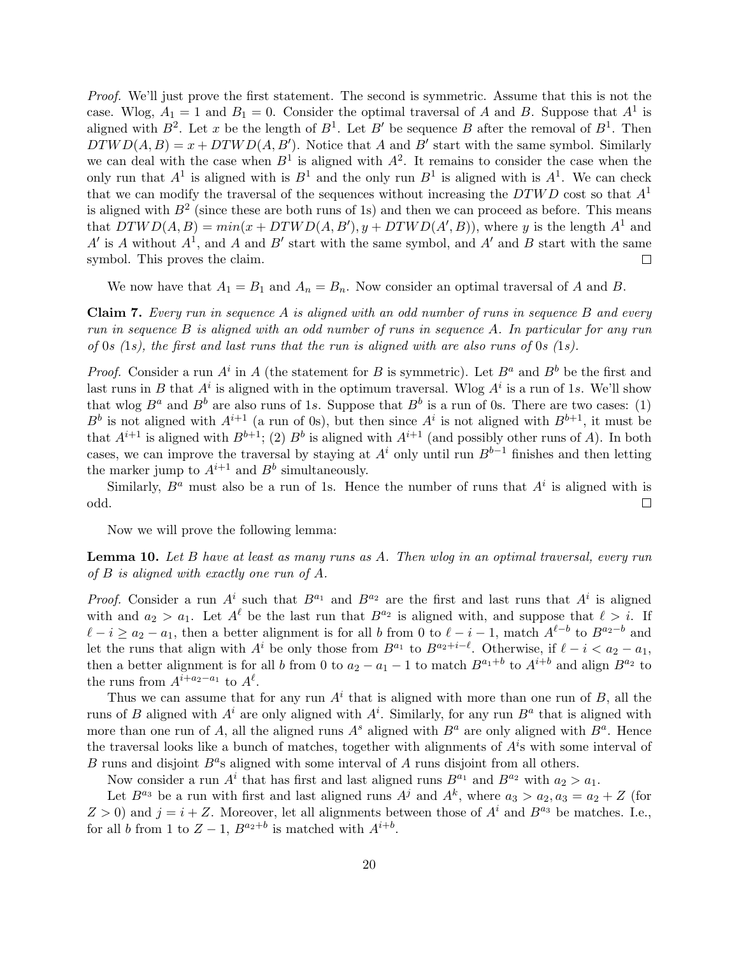Proof. We'll just prove the first statement. The second is symmetric. Assume that this is not the case. Wlog,  $A_1 = 1$  and  $B_1 = 0$ . Consider the optimal traversal of A and B. Suppose that  $A^1$  is aligned with  $B^2$ . Let x be the length of  $B^1$ . Let  $B'$  be sequence B after the removal of  $B^1$ . Then  $DTWD(A, B) = x + DTWD(A, B')$ . Notice that A and B' start with the same symbol. Similarly we can deal with the case when  $B^1$  is aligned with  $A^2$ . It remains to consider the case when the only run that  $A^1$  is aligned with is  $B^1$  and the only run  $B^1$  is aligned with is  $A^1$ . We can check that we can modify the traversal of the sequences without increasing the  $DTWD$  cost so that  $A<sup>1</sup>$ is aligned with  $B^2$  (since these are both runs of 1s) and then we can proceed as before. This means that  $DTWD(A, B) = min(x + DTWD(A, B'), y + DTWD(A', B)),$  where y is the length  $A<sup>1</sup>$  and A' is A without  $A^1$ , and A and B' start with the same symbol, and A' and B start with the same symbol. This proves the claim.  $\Box$ 

We now have that  $A_1 = B_1$  and  $A_n = B_n$ . Now consider an optimal traversal of A and B.

Claim 7. Every run in sequence A is aligned with an odd number of runs in sequence B and every run in sequence B is aligned with an odd number of runs in sequence A. In particular for any run of 0s (1s), the first and last runs that the run is aligned with are also runs of 0s (1s).

*Proof.* Consider a run  $A^i$  in A (the statement for B is symmetric). Let  $B^a$  and  $B^b$  be the first and last runs in B that  $A^i$  is aligned with in the optimum traversal. Wlog  $A^i$  is a run of 1s. We'll show that wlog  $B^a$  and  $B^b$  are also runs of 1s. Suppose that  $B^b$  is a run of 0s. There are two cases: (1)  $B^b$  is not aligned with  $A^{i+1}$  (a run of 0s), but then since  $A^i$  is not aligned with  $B^{b+1}$ , it must be that  $A^{i+1}$  is aligned with  $B^{b+1}$ ; (2)  $B^b$  is aligned with  $A^{i+1}$  (and possibly other runs of A). In both cases, we can improve the traversal by staying at  $A<sup>i</sup>$  only until run  $B<sup>b-1</sup>$  finishes and then letting the marker jump to  $A^{i+1}$  and  $B^b$  simultaneously.

Similarly,  $B^a$  must also be a run of 1s. Hence the number of runs that  $A^i$  is aligned with is odd.  $\Box$ 

Now we will prove the following lemma:

Lemma 10. Let B have at least as many runs as A. Then wlog in an optimal traversal, every run of B is aligned with exactly one run of A.

*Proof.* Consider a run  $A^i$  such that  $B^{a_1}$  and  $B^{a_2}$  are the first and last runs that  $A^i$  is aligned with and  $a_2 > a_1$ . Let  $A^{\ell}$  be the last run that  $B^{a_2}$  is aligned with, and suppose that  $\ell > i$ . If  $\ell - i \ge a_2 - a_1$ , then a better alignment is for all b from 0 to  $\ell - i - 1$ , match  $A^{\ell-b}$  to  $B^{a_2-b}$  and let the runs that align with  $A^i$  be only those from  $B^{a_1}$  to  $B^{a_2+i-\ell}$ . Otherwise, if  $\ell - i < a_2 - a_1$ , then a better alignment is for all b from 0 to  $a_2 - a_1 - 1$  to match  $B^{a_1+b}$  to  $A^{i+b}$  and align  $B^{a_2}$  to the runs from  $A^{i+a_2-a_1}$  to  $A^{\ell}$ .

Thus we can assume that for any run  $A^i$  that is aligned with more than one run of B, all the runs of B aligned with  $A^i$  are only aligned with  $A^i$ . Similarly, for any run  $B^a$  that is aligned with more than one run of A, all the aligned runs  $A^s$  aligned with  $B^a$  are only aligned with  $B^a$ . Hence the traversal looks like a bunch of matches, together with alignments of  $A<sup>i</sup>$ s with some interval of  $B$  runs and disjoint  $B^a$ s aligned with some interval of  $A$  runs disjoint from all others.

Now consider a run  $A^i$  that has first and last aligned runs  $B^{a_1}$  and  $B^{a_2}$  with  $a_2 > a_1$ .

Let  $B^{a_3}$  be a run with first and last aligned runs  $A^j$  and  $A^k$ , where  $a_3 > a_2, a_3 = a_2 + Z$  (for  $Z > 0$ ) and  $j = i + Z$ . Moreover, let all alignments between those of  $A<sup>i</sup>$  and  $B<sup>a<sub>3</sub></sup>$  be matches. I.e., for all b from 1 to  $Z-1$ ,  $B^{a_2+b}$  is matched with  $A^{i+b}$ .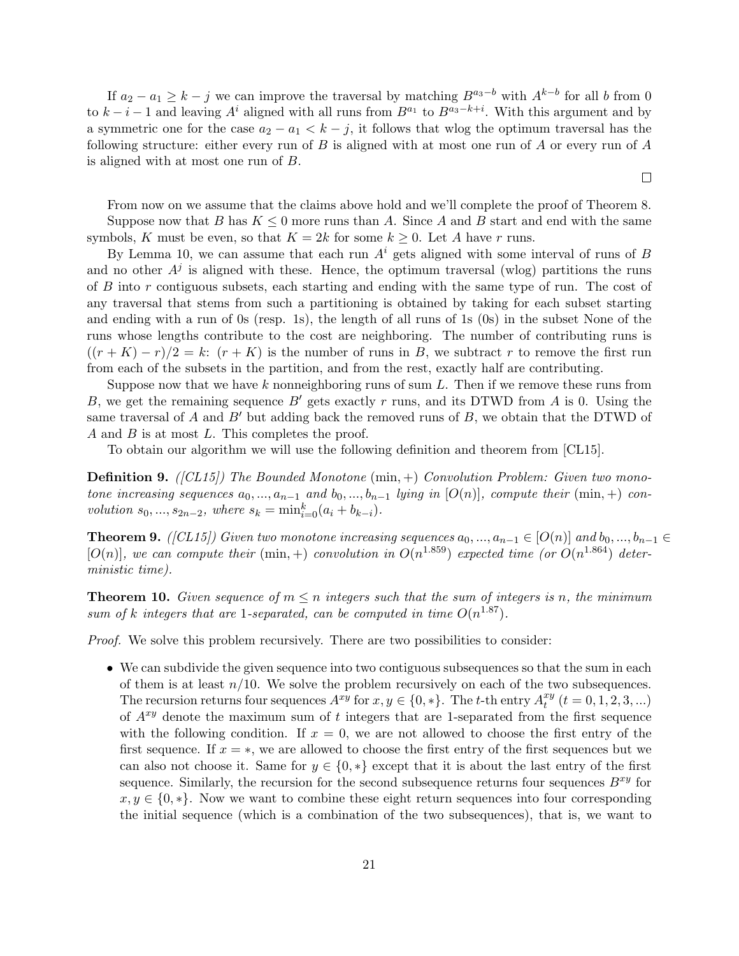If  $a_2 - a_1 \geq k - j$  we can improve the traversal by matching  $B^{a_3-b}$  with  $A^{k-b}$  for all b from 0 to  $k-i-1$  and leaving  $A^i$  aligned with all runs from  $B^{a_1}$  to  $B^{a_3-k+i}$ . With this argument and by a symmetric one for the case  $a_2 - a_1 < k - j$ , it follows that wlog the optimum traversal has the following structure: either every run of  $B$  is aligned with at most one run of  $A$  or every run of  $A$ is aligned with at most one run of B.

From now on we assume that the claims above hold and we'll complete the proof of Theorem 8. Suppose now that B has  $K \leq 0$  more runs than A. Since A and B start and end with the same symbols, K must be even, so that  $K = 2k$  for some  $k \geq 0$ . Let A have r runs.

 $\Box$ 

By Lemma 10, we can assume that each run  $A<sup>i</sup>$  gets aligned with some interval of runs of B and no other  $A<sup>j</sup>$  is aligned with these. Hence, the optimum traversal (wlog) partitions the runs of B into r contiguous subsets, each starting and ending with the same type of run. The cost of any traversal that stems from such a partitioning is obtained by taking for each subset starting and ending with a run of 0s (resp. 1s), the length of all runs of 1s (0s) in the subset None of the runs whose lengths contribute to the cost are neighboring. The number of contributing runs is  $((r+K)-r)/2=k: (r+K)$  is the number of runs in B, we subtract r to remove the first run from each of the subsets in the partition, and from the rest, exactly half are contributing.

Suppose now that we have  $k$  nonneighboring runs of sum  $L$ . Then if we remove these runs from B, we get the remaining sequence  $B'$  gets exactly r runs, and its DTWD from A is 0. Using the same traversal of A and  $B'$  but adding back the removed runs of B, we obtain that the DTWD of A and B is at most L. This completes the proof.

To obtain our algorithm we will use the following definition and theorem from [CL15].

**Definition 9.** ( $|CL15|$ ) The Bounded Monotone (min,  $+)$  Convolution Problem: Given two monotone increasing sequences  $a_0, ..., a_{n-1}$  and  $b_0, ..., b_{n-1}$  lying in  $[O(n)]$ , compute their  $(\min, +)$  convolution  $s_0, ..., s_{2n-2}$ , where  $s_k = \min_{i=0}^k (a_i + b_{k-i}).$ 

**Theorem 9.** ([CL15]) Given two monotone increasing sequences  $a_0, ..., a_{n-1} \in [O(n)]$  and  $b_0, ..., b_{n-1} \in$  $[O(n)]$ , we can compute their (min, +) convolution in  $O(n^{1.859})$  expected time (or  $O(n^{1.864})$  deterministic time).

**Theorem 10.** Given sequence of  $m \leq n$  integers such that the sum of integers is n, the minimum sum of k integers that are 1-separated, can be computed in time  $O(n^{1.87})$ .

*Proof.* We solve this problem recursively. There are two possibilities to consider:

• We can subdivide the given sequence into two contiguous subsequences so that the sum in each of them is at least  $n/10$ . We solve the problem recursively on each of the two subsequences. The recursion returns four sequences  $A^{xy}$  for  $x, y \in \{0, *\}$ . The t-th entry  $A_t^{xy}$  $t^{xy}(t=0,1,2,3,...)$ of  $A^{xy}$  denote the maximum sum of t integers that are 1-separated from the first sequence with the following condition. If  $x = 0$ , we are not allowed to choose the first entry of the first sequence. If  $x = *$ , we are allowed to choose the first entry of the first sequences but we can also not choose it. Same for  $y \in \{0, *\}$  except that it is about the last entry of the first sequence. Similarly, the recursion for the second subsequence returns four sequences  $B^{xy}$  for  $x, y \in \{0, \ast\}.$  Now we want to combine these eight return sequences into four corresponding the initial sequence (which is a combination of the two subsequences), that is, we want to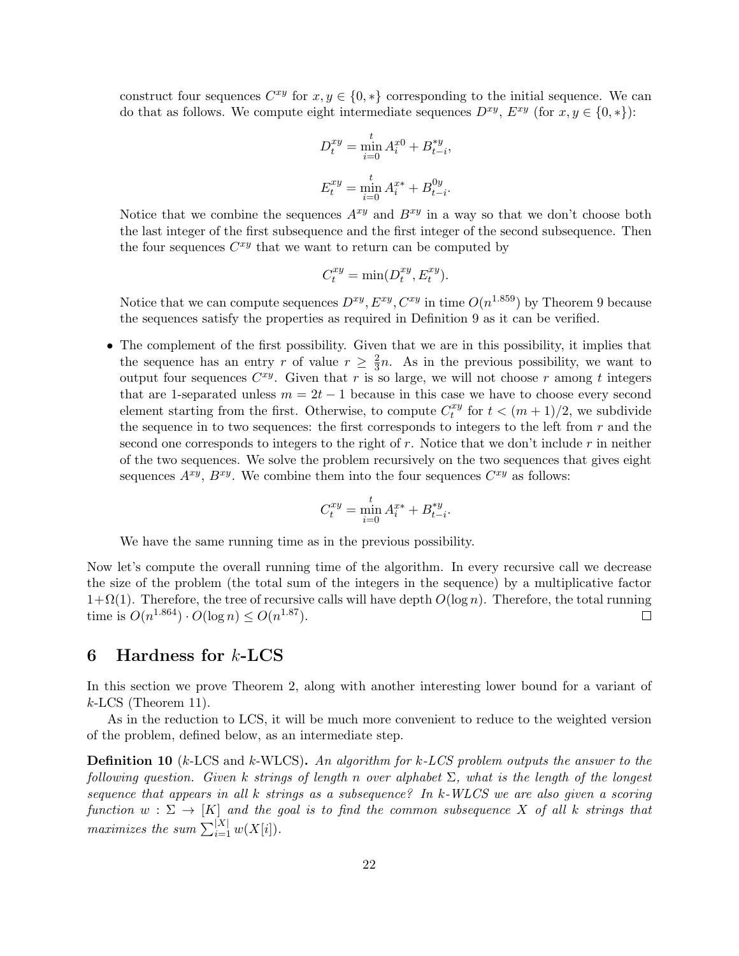construct four sequences  $C^{xy}$  for  $x, y \in \{0, *\}$  corresponding to the initial sequence. We can do that as follows. We compute eight intermediate sequences  $D^{xy}$ ,  $E^{xy}$  (for  $x, y \in \{0, *\}$ ):

$$
D_t^{xy} = \min_{i=0}^t A_i^{x0} + B_{t-i}^{*y},
$$
  

$$
E_t^{xy} = \min_{i=0}^t A_i^{x*} + B_{t-i}^{0y}.
$$

Notice that we combine the sequences  $A^{xy}$  and  $B^{xy}$  in a way so that we don't choose both the last integer of the first subsequence and the first integer of the second subsequence. Then the four sequences  $C^{xy}$  that we want to return can be computed by

$$
C_t^{xy} = \min(D_t^{xy}, E_t^{xy}).
$$

Notice that we can compute sequences  $D^{xy}, E^{xy}, C^{xy}$  in time  $O(n^{1.859})$  by Theorem 9 because the sequences satisfy the properties as required in Definition 9 as it can be verified.

• The complement of the first possibility. Given that we are in this possibility, it implies that the sequence has an entry r of value  $r \geq \frac{2}{3}$  $\frac{2}{3}n$ . As in the previous possibility, we want to output four sequences  $C^{xy}$ . Given that r is so large, we will not choose r among t integers that are 1-separated unless  $m = 2t - 1$  because in this case we have to choose every second element starting from the first. Otherwise, to compute  $C_t^{xy}$  $t_t^{xy}$  for  $t < (m+1)/2$ , we subdivide the sequence in to two sequences: the first corresponds to integers to the left from  $r$  and the second one corresponds to integers to the right of  $r$ . Notice that we don't include  $r$  in neither of the two sequences. We solve the problem recursively on the two sequences that gives eight sequences  $A^{xy}$ ,  $B^{xy}$ . We combine them into the four sequences  $C^{xy}$  as follows:

$$
C_t^{xy} = \min_{i=0}^t A_i^{x*} + B_{t-i}^{*y}.
$$

We have the same running time as in the previous possibility.

Now let's compute the overall running time of the algorithm. In every recursive call we decrease the size of the problem (the total sum of the integers in the sequence) by a multiplicative factor  $1+\Omega(1)$ . Therefore, the tree of recursive calls will have depth  $O(\log n)$ . Therefore, the total running time is  $O(n^{1.864}) \cdot O(\log n) \le O(n^{1.87})$ .  $\Box$ 

# 6 Hardness for  $k$ -LCS

In this section we prove Theorem 2, along with another interesting lower bound for a variant of  $k$ -LCS (Theorem 11).

As in the reduction to LCS, it will be much more convenient to reduce to the weighted version of the problem, defined below, as an intermediate step.

**Definition 10** (k-LCS and k-WLCS). An algorithm for  $k$ -LCS problem outputs the answer to the following question. Given k strings of length n over alphabet  $\Sigma$ , what is the length of the longest sequence that appears in all k strings as a subsequence? In k-WLCS we are also given a scoring function  $w: \Sigma \to [K]$  and the goal is to find the common subsequence X of all k strings that maximizes the sum  $\sum_{i=1}^{|X|} w(X[i]).$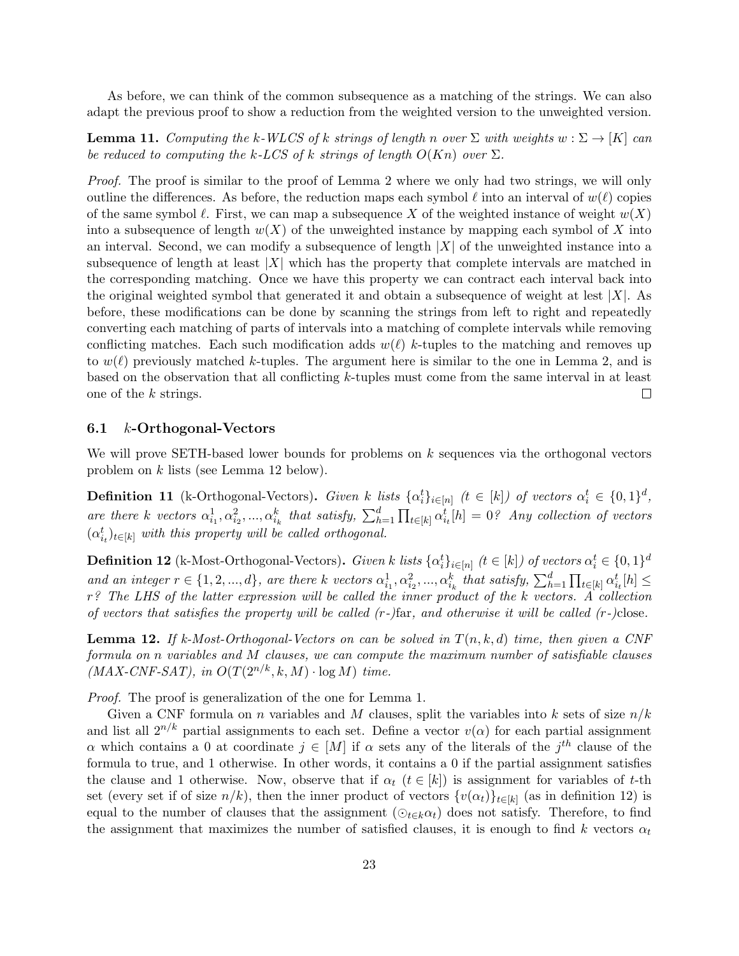As before, we can think of the common subsequence as a matching of the strings. We can also adapt the previous proof to show a reduction from the weighted version to the unweighted version.

**Lemma 11.** Computing the k-WLCS of k strings of length n over  $\Sigma$  with weights  $w : \Sigma \to [K]$  can be reduced to computing the k-LCS of k strings of length  $O(Kn)$  over  $\Sigma$ .

Proof. The proof is similar to the proof of Lemma 2 where we only had two strings, we will only outline the differences. As before, the reduction maps each symbol  $\ell$  into an interval of  $w(\ell)$  copies of the same symbol  $\ell$ . First, we can map a subsequence X of the weighted instance of weight  $w(X)$ into a subsequence of length  $w(X)$  of the unweighted instance by mapping each symbol of X into an interval. Second, we can modify a subsequence of length  $|X|$  of the unweighted instance into a subsequence of length at least  $|X|$  which has the property that complete intervals are matched in the corresponding matching. Once we have this property we can contract each interval back into the original weighted symbol that generated it and obtain a subsequence of weight at lest  $|X|$ . As before, these modifications can be done by scanning the strings from left to right and repeatedly converting each matching of parts of intervals into a matching of complete intervals while removing conflicting matches. Each such modification adds  $w(\ell)$  k-tuples to the matching and removes up to  $w(\ell)$  previously matched k-tuples. The argument here is similar to the one in Lemma 2, and is based on the observation that all conflicting k-tuples must come from the same interval in at least one of the k strings.  $\Box$ 

## 6.1 k-Orthogonal-Vectors

We will prove SETH-based lower bounds for problems on k sequences via the orthogonal vectors problem on k lists (see Lemma 12 below).

**Definition 11** (k-Orthogonal-Vectors). Given k lists  $\{\alpha_i^t\}_{i\in[n]}$  ( $t \in [k]$ ) of vectors  $\alpha_i^t \in \{0,1\}^d$ , are there k vectors  $\alpha_{i_1}^1, \alpha_{i_2}^2, ..., \alpha_{i_k}^k$  that satisfy,  $\sum_{h=1}^d \prod_{t \in [k]} \alpha_{i_t}^t[h] = 0$ ? Any collection of vectors  $(\alpha_{i_t}^t)_{t \in [k]}$  with this property will be called orthogonal.

**Definition 12** (k-Most-Orthogonal-Vectors). Given k lists  $\{\alpha_i^t\}_{i\in[n]}$  ( $t\in[k]$ ) of vectors  $\alpha_i^t\in\{0,1\}^d$ and an integer  $r \in \{1, 2, ..., d\}$ , are there k vectors  $\alpha_{i_1}^1, \alpha_{i_2}^2, ..., \alpha_{i_k}^k$  that satisfy,  $\sum_{h=1}^d \prod_{t \in [k]} \alpha_{i_t}^t[h] \leq$ r? The LHS of the latter expression will be called the inner product of the k vectors. A collection of vectors that satisfies the property will be called  $(r-)$  far, and otherwise it will be called  $(r-)$ close.

**Lemma 12.** If k-Most-Orthogonal-Vectors on can be solved in  $T(n, k, d)$  time, then given a CNF formula on n variables and M clauses, we can compute the maximum number of satisfiable clauses  $(MAX-CNF-SAT)$ , in  $O(T(2^{n/k}, k, M) \cdot \log M)$  time.

Proof. The proof is generalization of the one for Lemma 1.

Given a CNF formula on n variables and M clauses, split the variables into k sets of size  $n/k$ and list all  $2^{n/k}$  partial assignments to each set. Define a vector  $v(\alpha)$  for each partial assignment α which contains a 0 at coordinate  $j \in [M]$  if α sets any of the literals of the j<sup>th</sup> clause of the formula to true, and 1 otherwise. In other words, it contains a 0 if the partial assignment satisfies the clause and 1 otherwise. Now, observe that if  $\alpha_t$  ( $t \in [k]$ ) is assignment for variables of t-th set (every set if of size  $n/k$ ), then the inner product of vectors  $\{v(\alpha_t)\}_{t\in[k]}$  (as in definition 12) is equal to the number of clauses that the assignment  $(\odot_{t\in k}\alpha_t)$  does not satisfy. Therefore, to find the assignment that maximizes the number of satisfied clauses, it is enough to find k vectors  $\alpha_t$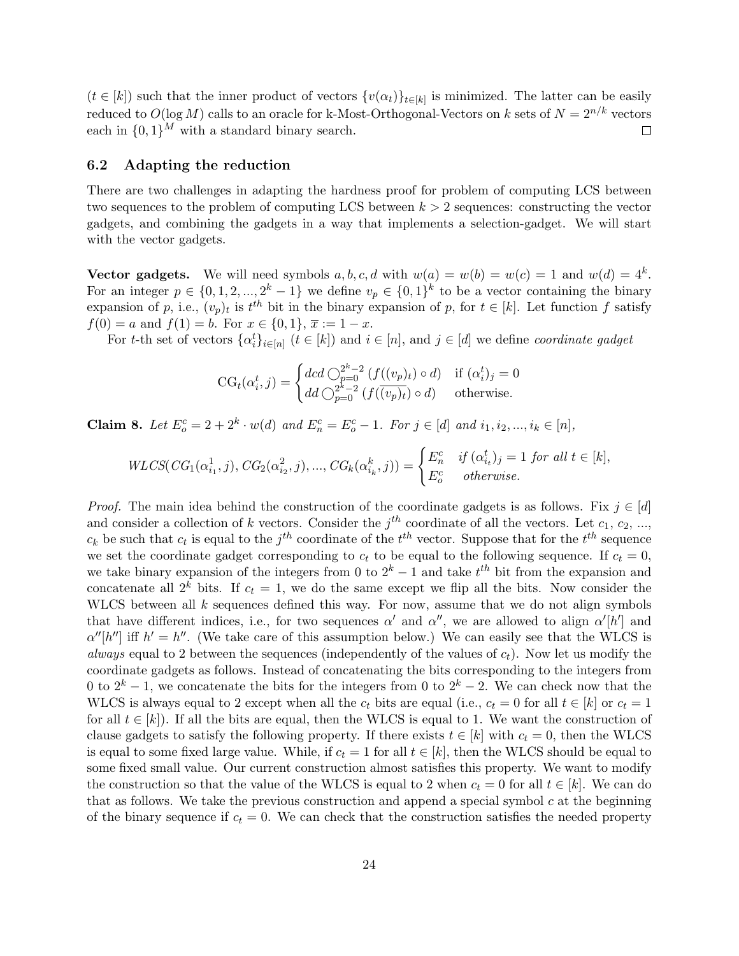$(t \in [k])$  such that the inner product of vectors  $\{v(\alpha_t)\}_{t \in [k]}$  is minimized. The latter can be easily reduced to  $O(\log M)$  calls to an oracle for k-Most-Orthogonal-Vectors on k sets of  $N = 2^{n/k}$  vectors each in  $\{0,1\}^M$  with a standard binary search.  $\Box$ 

#### 6.2 Adapting the reduction

There are two challenges in adapting the hardness proof for problem of computing LCS between two sequences to the problem of computing LCS between  $k > 2$  sequences: constructing the vector gadgets, and combining the gadgets in a way that implements a selection-gadget. We will start with the vector gadgets.

Vector gadgets. We will need symbols  $a, b, c, d$  with  $w(a) = w(b) = w(c) = 1$  and  $w(d) = 4<sup>k</sup>$ . For an integer  $p \in \{0, 1, 2, ..., 2^k - 1\}$  we define  $v_p \in \{0, 1\}^k$  to be a vector containing the binary expansion of p, i.e.,  $(v_p)_t$  is  $t^{th}$  bit in the binary expansion of p, for  $t \in [k]$ . Let function f satisfy  $f(0) = a$  and  $f(1) = b$ . For  $x \in \{0, 1\}, \overline{x} := 1 - x$ .

For t-th set of vectors  $\{\alpha_i^t\}_{i\in[n]}$   $(t \in [k])$  and  $i \in [n]$ , and  $j \in [d]$  we define *coordinate gadget* 

$$
CG_t(\alpha_i^t, j) = \begin{cases} dcd \bigcirc_{p=0}^{2^k - 2} (f((v_p)_t) \circ d) & \text{if } (\alpha_i^t)_j = 0\\ dd \bigcirc_{p=0}^{2^k - 2} (f(\overline{(v_p)_t}) \circ d) & \text{otherwise.} \end{cases}
$$

**Claim 8.** Let  $E_o^c = 2 + 2^k \cdot w(d)$  and  $E_n^c = E_o^c - 1$ . For  $j \in [d]$  and  $i_1, i_2, ..., i_k \in [n]$ ,

$$
WLCS(CG_1(\alpha_{i_1}^1, j), CG_2(\alpha_{i_2}^2, j), ..., CG_k(\alpha_{i_k}^k, j)) = \begin{cases} E_n^c & \text{if } (\alpha_{i_t}^t)_j = 1 \text{ for all } t \in [k], \\ E_o^c & \text{otherwise.} \end{cases}
$$

*Proof.* The main idea behind the construction of the coordinate gadgets is as follows. Fix  $j \in [d]$ and consider a collection of k vectors. Consider the  $j<sup>th</sup>$  coordinate of all the vectors. Let  $c_1, c_2, ...,$  $c_k$  be such that  $c_t$  is equal to the  $j^{th}$  coordinate of the  $t^{th}$  vector. Suppose that for the  $t^{th}$  sequence we set the coordinate gadget corresponding to  $c_t$  to be equal to the following sequence. If  $c_t = 0$ , we take binary expansion of the integers from 0 to  $2^k - 1$  and take  $t^{th}$  bit from the expansion and concatenate all  $2^k$  bits. If  $c_t = 1$ , we do the same except we flip all the bits. Now consider the WLCS between all  $k$  sequences defined this way. For now, assume that we do not align symbols that have different indices, i.e., for two sequences  $\alpha'$  and  $\alpha''$ , we are allowed to align  $\alpha'[h']$  and  $\alpha''[h'']$  iff  $h' = h''$ . (We take care of this assumption below.) We can easily see that the WLCS is *always* equal to 2 between the sequences (independently of the values of  $c_t$ ). Now let us modify the coordinate gadgets as follows. Instead of concatenating the bits corresponding to the integers from 0 to  $2^k - 1$ , we concatenate the bits for the integers from 0 to  $2^k - 2$ . We can check now that the WLCS is always equal to 2 except when all the  $c_t$  bits are equal (i.e.,  $c_t = 0$  for all  $t \in [k]$  or  $c_t = 1$ for all  $t \in [k]$ . If all the bits are equal, then the WLCS is equal to 1. We want the construction of clause gadgets to satisfy the following property. If there exists  $t \in [k]$  with  $c_t = 0$ , then the WLCS is equal to some fixed large value. While, if  $c_t = 1$  for all  $t \in [k]$ , then the WLCS should be equal to some fixed small value. Our current construction almost satisfies this property. We want to modify the construction so that the value of the WLCS is equal to 2 when  $c_t = 0$  for all  $t \in [k]$ . We can do that as follows. We take the previous construction and append a special symbol  $c$  at the beginning of the binary sequence if  $c_t = 0$ . We can check that the construction satisfies the needed property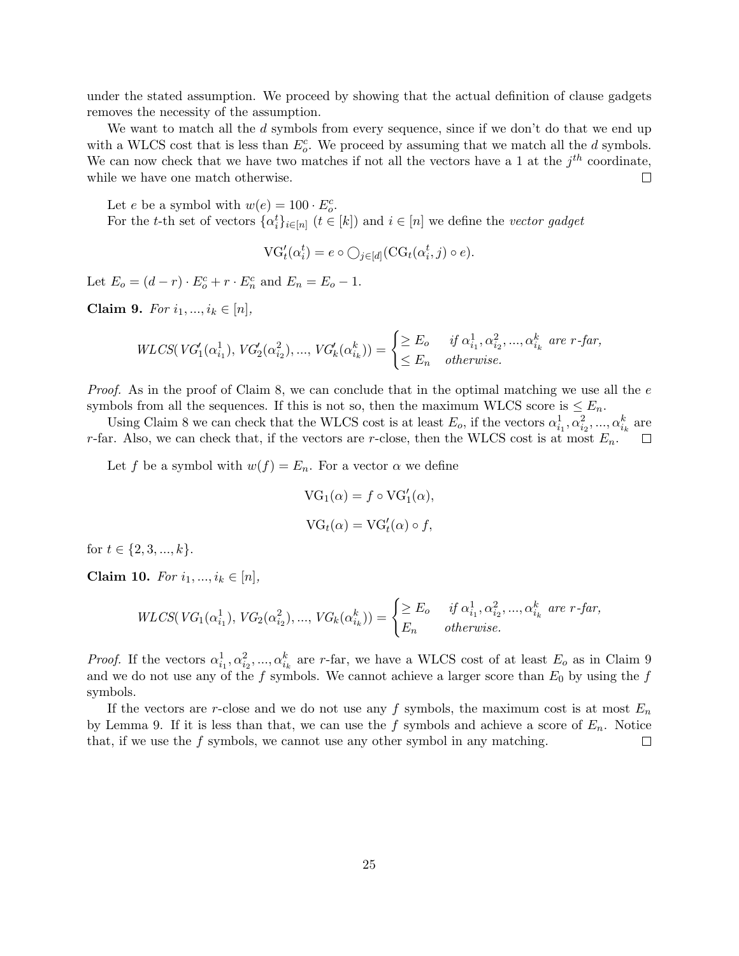under the stated assumption. We proceed by showing that the actual definition of clause gadgets removes the necessity of the assumption.

We want to match all the  $d$  symbols from every sequence, since if we don't do that we end up with a WLCS cost that is less than  $E_o^c$ . We proceed by assuming that we match all the d symbols. We can now check that we have two matches if not all the vectors have a 1 at the  $j^{th}$  coordinate,  $\Box$ while we have one match otherwise.

Let *e* be a symbol with  $w(e) = 100 \cdot E_c^c$ . For the t-th set of vectors  $\{\alpha_i^t\}_{i \in [n]}$   $(t \in [k])$  and  $i \in [n]$  we define the vector gadget

$$
VG'_{t}(\alpha_i^t) = e \circ \bigcirc_{j \in [d]} (CG_t(\alpha_i^t, j) \circ e).
$$

Let  $E_o = (d - r) \cdot E_o^c + r \cdot E_n^c$  and  $E_n = E_o - 1$ .

Claim 9. For  $i_1, ..., i_k \in [n]$ ,

$$
WLCS(VG'_1(\alpha_{i_1}^1), VG'_2(\alpha_{i_2}^2), ..., VG'_k(\alpha_{i_k}^k)) = \begin{cases} \geq E_o & \text{if } \alpha_{i_1}^1, \alpha_{i_2}^2, ..., \alpha_{i_k}^k \text{ are } r\text{-far,} \\ \leq E_n & \text{otherwise.} \end{cases}
$$

*Proof.* As in the proof of Claim 8, we can conclude that in the optimal matching we use all the  $e$ symbols from all the sequences. If this is not so, then the maximum WLCS score is  $\leq E_n$ .

Using Claim 8 we can check that the WLCS cost is at least  $E_o$ , if the vectors  $\alpha_{i_1}^1, \alpha_{i_2}^2, ..., \alpha_{i_k}^k$  are r-far. Also, we can check that, if the vectors are r-close, then the WLCS cost is at most  $E_n$ .

Let f be a symbol with  $w(f) = E_n$ . For a vector  $\alpha$  we define

$$
VG_1(\alpha) = f \circ VG'_1(\alpha),
$$
  

$$
VG_t(\alpha) = VG'_t(\alpha) \circ f,
$$

for  $t \in \{2, 3, ..., k\}$ .

Claim 10. For  $i_1, ..., i_k \in [n]$ ,

$$
WLCS(VG_1(\alpha_{i_1}^1), VG_2(\alpha_{i_2}^2), ..., VG_k(\alpha_{i_k}^k)) = \begin{cases} \geq E_o & \text{if } \alpha_{i_1}^1, \alpha_{i_2}^2, ..., \alpha_{i_k}^k \text{ are } r\text{-far,} \\ E_n & \text{otherwise.} \end{cases}
$$

*Proof.* If the vectors  $\alpha_{i_1}^1, \alpha_{i_2}^2, ..., \alpha_{i_k}^k$  are r-far, we have a WLCS cost of at least  $E_o$  as in Claim 9 and we do not use any of the f symbols. We cannot achieve a larger score than  $E_0$  by using the f symbols.

If the vectors are r-close and we do not use any f symbols, the maximum cost is at most  $E_n$ by Lemma 9. If it is less than that, we can use the f symbols and achieve a score of  $E_n$ . Notice that, if we use the  $f$  symbols, we cannot use any other symbol in any matching.  $\Box$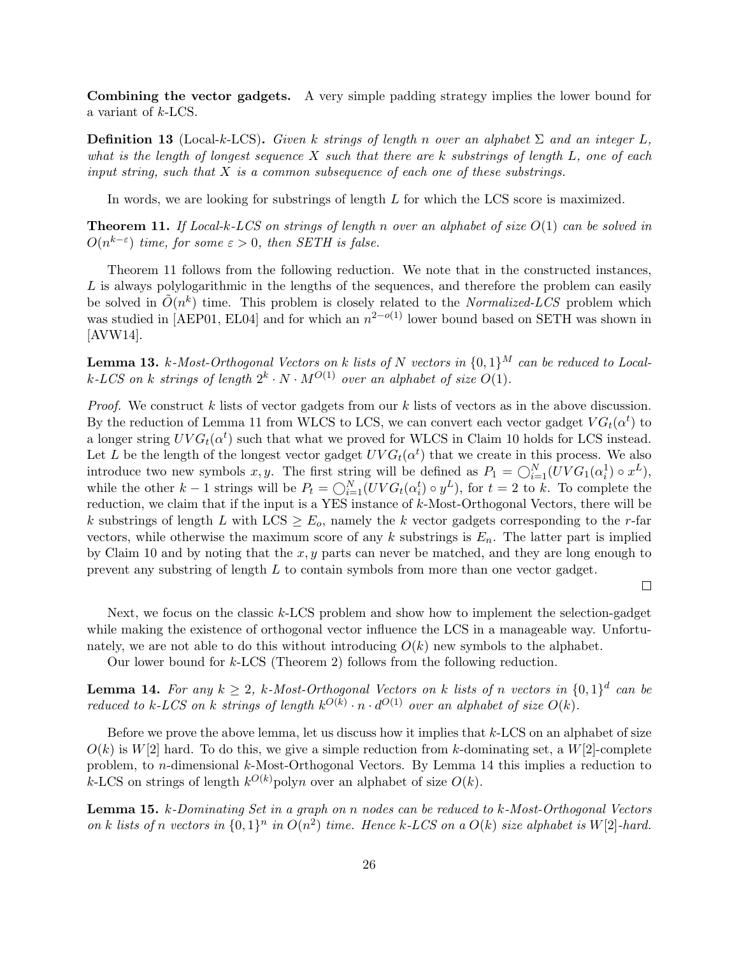Combining the vector gadgets. A very simple padding strategy implies the lower bound for a variant of k-LCS.

**Definition 13** (Local-k-LCS). Given k strings of length n over an alphabet  $\Sigma$  and an integer L, what is the length of longest sequence X such that there are k substrings of length  $L$ , one of each input string, such that  $X$  is a common subsequence of each one of these substrings.

In words, we are looking for substrings of length L for which the LCS score is maximized.

**Theorem 11.** If Local-k-LCS on strings of length n over an alphabet of size  $O(1)$  can be solved in  $O(n^{k-\varepsilon})$  time, for some  $\varepsilon > 0$ , then SETH is false.

Theorem 11 follows from the following reduction. We note that in the constructed instances,  $L$  is always polylogarithmic in the lengths of the sequences, and therefore the problem can easily be solved in  $\tilde{O}(n^k)$  time. This problem is closely related to the *Normalized-LCS* problem which was studied in [AEP01, EL04] and for which an  $n^{2-o(1)}$  lower bound based on SETH was shown in [AVW14].

**Lemma 13.** k-Most-Orthogonal Vectors on k lists of N vectors in  $\{0,1\}^M$  can be reduced to Localk-LCS on k strings of length  $2^k \cdot N \cdot M^{O(1)}$  over an alphabet of size  $O(1)$ .

*Proof.* We construct k lists of vector gadgets from our k lists of vectors as in the above discussion. By the reduction of Lemma 11 from WLCS to LCS, we can convert each vector gadget  $VG_t(\alpha^t)$  to a longer string  $UVG_t(\alpha^t)$  such that what we proved for WLCS in Claim 10 holds for LCS instead. Let L be the length of the longest vector gadget  $UVG_t(\alpha^t)$  that we create in this process. We also introduce two new symbols x, y. The first string will be defined as  $P_1 = \bigcirc_{i=1}^{N} (UVG_1(\alpha_i^1) \circ x^L)$ , while the other  $k-1$  strings will be  $P_t = \bigcirc_{i=1}^N (UVG_t(\alpha_i^t) \circ y^L)$ , for  $t = 2$  to k. To complete the reduction, we claim that if the input is a YES instance of k-Most-Orthogonal Vectors, there will be k substrings of length L with LCS  $\geq E_o$ , namely the k vector gadgets corresponding to the r-far vectors, while otherwise the maximum score of any  $k$  substrings is  $E_n$ . The latter part is implied by Claim 10 and by noting that the  $x, y$  parts can never be matched, and they are long enough to prevent any substring of length L to contain symbols from more than one vector gadget.

 $\Box$ 

Next, we focus on the classic k-LCS problem and show how to implement the selection-gadget while making the existence of orthogonal vector influence the LCS in a manageable way. Unfortunately, we are not able to do this without introducing  $O(k)$  new symbols to the alphabet.

Our lower bound for k-LCS (Theorem 2) follows from the following reduction.

**Lemma 14.** For any  $k \geq 2$ , k-Most-Orthogonal Vectors on k lists of n vectors in  $\{0,1\}^d$  can be reduced to k-LCS on k strings of length  $k^{O(k)} \cdot n \cdot d^{O(1)}$  over an alphabet of size  $O(k)$ .

Before we prove the above lemma, let us discuss how it implies that k-LCS on an alphabet of size  $O(k)$  is  $W[2]$  hard. To do this, we give a simple reduction from k-dominating set, a  $W[2]$ -complete problem, to n-dimensional k-Most-Orthogonal Vectors. By Lemma 14 this implies a reduction to k-LCS on strings of length  $k^{O(k)}$  polyn over an alphabet of size  $O(k)$ .

Lemma 15. k-Dominating Set in a graph on n nodes can be reduced to k-Most-Orthogonal Vectors on k lists of n vectors in  $\{0,1\}^n$  in  $O(n^2)$  time. Hence k-LCS on a  $O(k)$  size alphabet is W[2]-hard.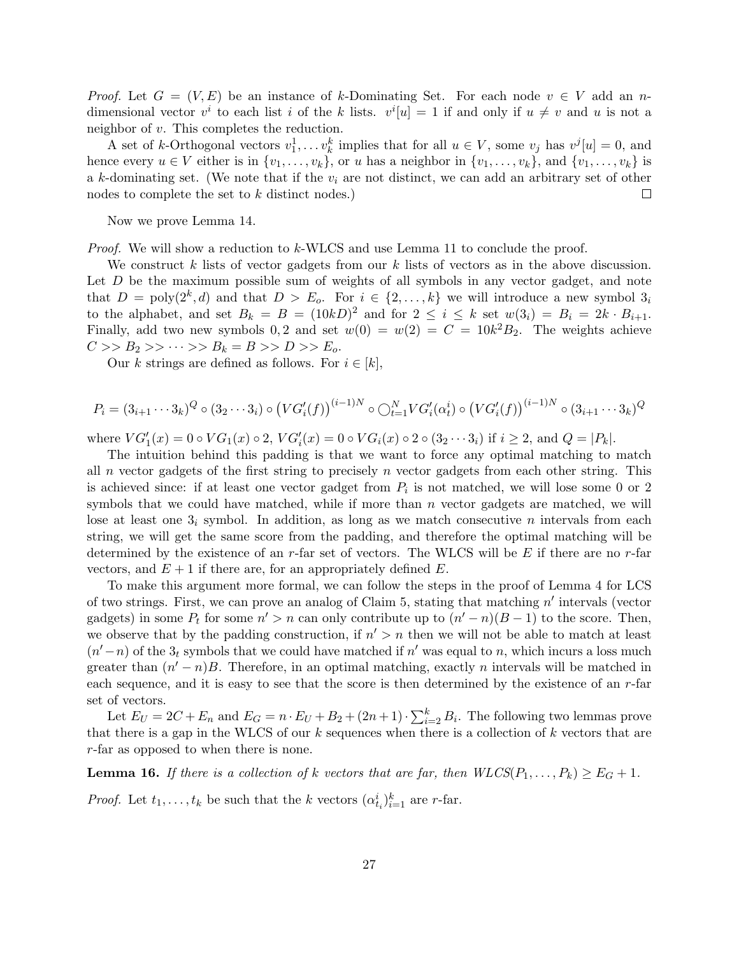*Proof.* Let  $G = (V, E)$  be an instance of k-Dominating Set. For each node  $v \in V$  add an ndimensional vector  $v^i$  to each list i of the k lists.  $v^i[u] = 1$  if and only if  $u \neq v$  and u is not a neighbor of v. This completes the reduction.

A set of k-Orthogonal vectors  $v_1^1, \ldots v_k^k$  implies that for all  $u \in V$ , some  $v_j$  has  $v^j[u] = 0$ , and hence every  $u \in V$  either is in  $\{v_1, \ldots, v_k\}$ , or u has a neighbor in  $\{v_1, \ldots, v_k\}$ , and  $\{v_1, \ldots, v_k\}$  is a k-dominating set. (We note that if the  $v_i$  are not distinct, we can add an arbitrary set of other nodes to complete the set to k distinct nodes.)  $\Box$ 

Now we prove Lemma 14.

Proof. We will show a reduction to k-WLCS and use Lemma 11 to conclude the proof.

We construct k lists of vector gadgets from our k lists of vectors as in the above discussion. Let D be the maximum possible sum of weights of all symbols in any vector gadget, and note that  $D = \text{poly}(2^k, d)$  and that  $D > E_o$ . For  $i \in \{2, ..., k\}$  we will introduce a new symbol  $3_i$ to the alphabet, and set  $B_k = B = (10kD)^2$  and for  $2 \le i \le k$  set  $w(3_i) = B_i = 2k \cdot B_{i+1}$ . Finally, add two new symbols 0,2 and set  $w(0) = w(2) = C = 10k^2B_2$ . The weights achieve  $C >> B_2 >> \cdots >> B_k = B >> D >> E_o.$ 

Our k strings are defined as follows. For  $i \in [k]$ ,

$$
P_i = (3_{i+1} \cdots 3_k)^Q \circ (3_2 \cdots 3_i) \circ (VG'_i(f))^{(i-1)N} \circ \bigcirc_{t=1}^N VG'_i(\alpha_t^i) \circ (VG'_i(f))^{(i-1)N} \circ (3_{i+1} \cdots 3_k)^Q
$$

where  $VG'_{1}(x) = 0 \circ VG_{1}(x) \circ 2$ ,  $VG'_{i}(x) = 0 \circ VG_{i}(x) \circ 2 \circ (3_{2} \cdots 3_{i})$  if  $i \geq 2$ , and  $Q = |P_{k}|$ .

The intuition behind this padding is that we want to force any optimal matching to match all n vector gadgets of the first string to precisely n vector gadgets from each other string. This is achieved since: if at least one vector gadget from  $P_i$  is not matched, we will lose some 0 or 2 symbols that we could have matched, while if more than  $n$  vector gadgets are matched, we will lose at least one  $3<sub>i</sub>$  symbol. In addition, as long as we match consecutive n intervals from each string, we will get the same score from the padding, and therefore the optimal matching will be determined by the existence of an  $r$ -far set of vectors. The WLCS will be E if there are no  $r$ -far vectors, and  $E + 1$  if there are, for an appropriately defined E.

To make this argument more formal, we can follow the steps in the proof of Lemma 4 for LCS of two strings. First, we can prove an analog of Claim  $5$ , stating that matching  $n'$  intervals (vector gadgets) in some  $P_t$  for some  $n' > n$  can only contribute up to  $(n'-n)(B-1)$  to the score. Then, we observe that by the padding construction, if  $n' > n$  then we will not be able to match at least  $(n'-n)$  of the  $3<sub>t</sub>$  symbols that we could have matched if n' was equal to n, which incurs a loss much greater than  $(n'-n)B$ . Therefore, in an optimal matching, exactly *n* intervals will be matched in each sequence, and it is easy to see that the score is then determined by the existence of an r-far set of vectors.

Let  $E_U = 2C + E_n$  and  $E_G = n \cdot E_U + B_2 + (2n+1) \cdot \sum_{i=2}^k B_i$ . The following two lemmas prove that there is a gap in the WLCS of our  $k$  sequences when there is a collection of  $k$  vectors that are r-far as opposed to when there is none.

**Lemma 16.** If there is a collection of k vectors that are far, then  $WLCS(P_1, \ldots, P_k) \ge E_G + 1$ .

*Proof.* Let  $t_1, \ldots, t_k$  be such that the k vectors  $(\alpha_{t_i}^i)_{i=1}^k$  are r-far.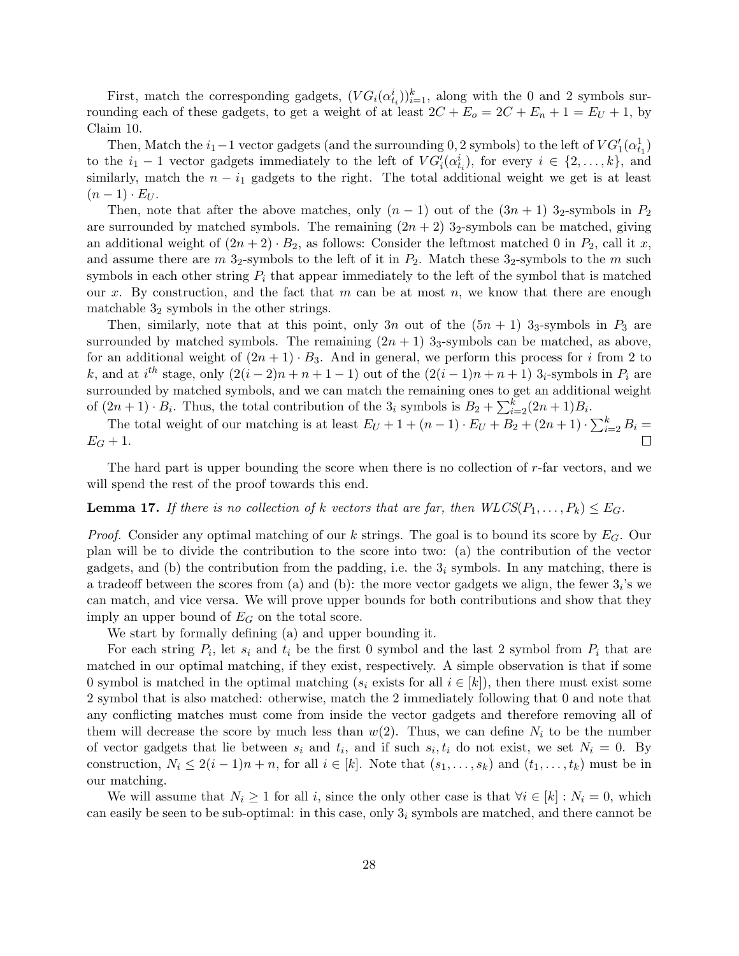First, match the corresponding gadgets,  $(VG_i(\alpha_{t_i}^i))_{i=1}^k$ , along with the 0 and 2 symbols surrounding each of these gadgets, to get a weight of at least  $2C + E_0 = 2C + E_n + 1 = E_U + 1$ , by Claim 10.

Then, Match the  $i_1-1$  vector gadgets (and the surrounding 0, 2 symbols) to the left of  $VG'_1(\alpha^1_{t_1})$ to the  $i_1 - 1$  vector gadgets immediately to the left of  $VG'_i(\alpha_{t_i}^i)$ , for every  $i \in \{2, ..., k\}$ , and similarly, match the  $n - i_1$  gadgets to the right. The total additional weight we get is at least  $(n-1) \cdot E_{U}$ .

Then, note that after the above matches, only  $(n-1)$  out of the  $(3n+1)$  3<sub>2</sub>-symbols in  $P_2$ are surrounded by matched symbols. The remaining  $(2n + 2)$  3<sub>2</sub>-symbols can be matched, giving an additional weight of  $(2n + 2) \cdot B_2$ , as follows: Consider the leftmost matched 0 in  $P_2$ , call it x, and assume there are  $m$  3<sub>2</sub>-symbols to the left of it in  $P_2$ . Match these 3<sub>2</sub>-symbols to the m such symbols in each other string  $P_i$  that appear immediately to the left of the symbol that is matched our x. By construction, and the fact that m can be at most n, we know that there are enough matchable  $3<sub>2</sub>$  symbols in the other strings.

Then, similarly, note that at this point, only 3n out of the  $(5n + 1)$  3<sub>3</sub>-symbols in  $P_3$  are surrounded by matched symbols. The remaining  $(2n + 1)$  3<sub>3</sub>-symbols can be matched, as above, for an additional weight of  $(2n + 1) \cdot B_3$ . And in general, we perform this process for i from 2 to k, and at  $i^{th}$  stage, only  $(2(i-2)n+n+1-1)$  out of the  $(2(i-1)n+n+1)$  3<sub>i</sub>-symbols in  $P_i$  are surrounded by matched symbols, and we can match the remaining ones to get an additional weight of  $(2n+1) \cdot B_i$ . Thus, the total contribution of the  $3_i$  symbols is  $B_2 + \sum_{i=2}^{k} (2n+1)B_i$ .

The total weight of our matching is at least  $E_U + 1 + (n - 1) \cdot E_U + B_2 + (2n + 1) \cdot \sum_{i=2}^{k} B_i =$  $E_G + 1.$ 

The hard part is upper bounding the score when there is no collection of  $r$ -far vectors, and we will spend the rest of the proof towards this end.

## **Lemma 17.** If there is no collection of k vectors that are far, then  $WLCS(P_1, \ldots, P_k) \leq E_G$ .

*Proof.* Consider any optimal matching of our k strings. The goal is to bound its score by  $E_G$ . Our plan will be to divide the contribution to the score into two: (a) the contribution of the vector gadgets, and (b) the contribution from the padding, i.e. the  $3<sub>i</sub>$  symbols. In any matching, there is a tradeoff between the scores from (a) and (b): the more vector gadgets we align, the fewer  $3_i$ 's we can match, and vice versa. We will prove upper bounds for both contributions and show that they imply an upper bound of  $E_G$  on the total score.

We start by formally defining (a) and upper bounding it.

For each string  $P_i$ , let  $s_i$  and  $t_i$  be the first 0 symbol and the last 2 symbol from  $P_i$  that are matched in our optimal matching, if they exist, respectively. A simple observation is that if some 0 symbol is matched in the optimal matching ( $s_i$  exists for all  $i \in [k]$ ), then there must exist some 2 symbol that is also matched: otherwise, match the 2 immediately following that 0 and note that any conflicting matches must come from inside the vector gadgets and therefore removing all of them will decrease the score by much less than  $w(2)$ . Thus, we can define  $N_i$  to be the number of vector gadgets that lie between  $s_i$  and  $t_i$ , and if such  $s_i, t_i$  do not exist, we set  $N_i = 0$ . By construction,  $N_i \leq 2(i-1)n + n$ , for all  $i \in [k]$ . Note that  $(s_1, \ldots, s_k)$  and  $(t_1, \ldots, t_k)$  must be in our matching.

We will assume that  $N_i \geq 1$  for all i, since the only other case is that  $\forall i \in [k]: N_i = 0$ , which can easily be seen to be sub-optimal: in this case, only  $3<sub>i</sub>$  symbols are matched, and there cannot be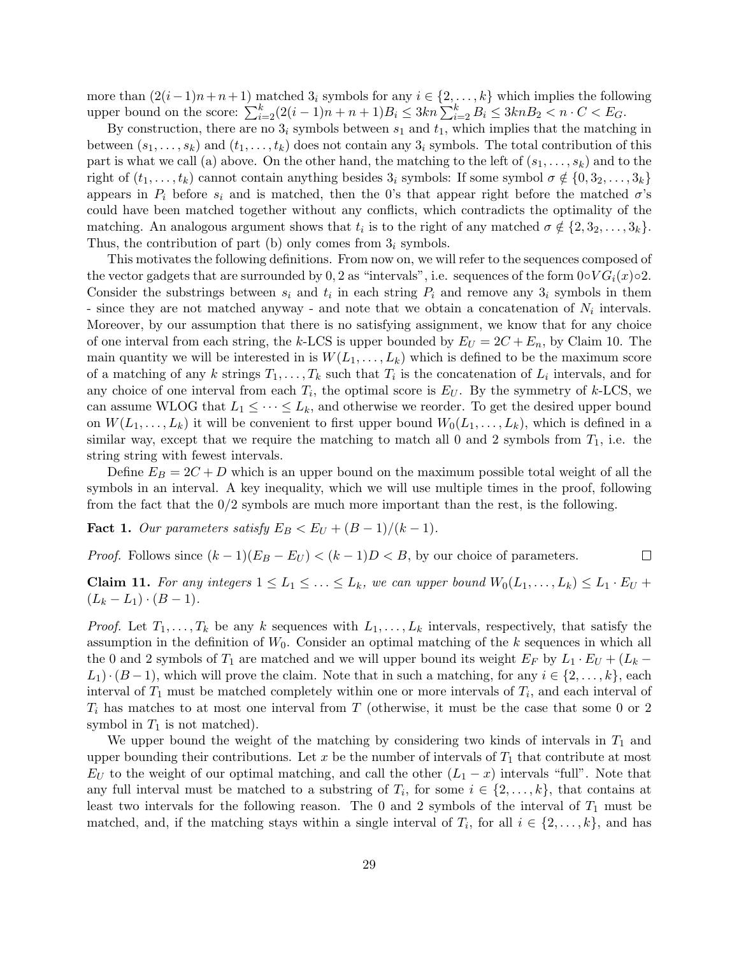more than  $(2(i-1)n+n+1)$  matched  $3<sub>i</sub>$  symbols for any  $i \in \{2,\ldots,k\}$  which implies the following upper bound on the score:  $\sum_{i=2}^{k} (2(i-1)n + n + 1)B_i \leq 3kn \sum_{i=2}^{k} B_i \leq 3knB_2 < n \cdot C < E_G$ .

By construction, there are no  $3<sub>i</sub>$  symbols between  $s<sub>1</sub>$  and  $t<sub>1</sub>$ , which implies that the matching in between  $(s_1, \ldots, s_k)$  and  $(t_1, \ldots, t_k)$  does not contain any  $3_i$  symbols. The total contribution of this part is what we call (a) above. On the other hand, the matching to the left of  $(s_1, \ldots, s_k)$  and to the right of  $(t_1, \ldots, t_k)$  cannot contain anything besides  $3_i$  symbols: If some symbol  $\sigma \notin \{0, 3_2, \ldots, 3_k\}$ appears in  $P_i$  before  $s_i$  and is matched, then the 0's that appear right before the matched  $\sigma$ 's could have been matched together without any conflicts, which contradicts the optimality of the matching. An analogous argument shows that  $t_i$  is to the right of any matched  $\sigma \notin \{2, 3_2, \ldots, 3_k\}.$ Thus, the contribution of part (b) only comes from  $3<sub>i</sub>$  symbols.

This motivates the following definitions. From now on, we will refer to the sequences composed of the vector gadgets that are surrounded by 0, 2 as "intervals", i.e. sequences of the form  $0 \circ V G_i(x) \circ 2$ . Consider the substrings between  $s_i$  and  $t_i$  in each string  $P_i$  and remove any  $3_i$  symbols in them - since they are not matched anyway - and note that we obtain a concatenation of  $N_i$  intervals. Moreover, by our assumption that there is no satisfying assignment, we know that for any choice of one interval from each string, the k-LCS is upper bounded by  $E_U = 2C + E_n$ , by Claim 10. The main quantity we will be interested in is  $W(L_1, \ldots, L_k)$  which is defined to be the maximum score of a matching of any k strings  $T_1, \ldots, T_k$  such that  $T_i$  is the concatenation of  $L_i$  intervals, and for any choice of one interval from each  $T_i$ , the optimal score is  $E_U$ . By the symmetry of k-LCS, we can assume WLOG that  $L_1 \leq \cdots \leq L_k$ , and otherwise we reorder. To get the desired upper bound on  $W(L_1, \ldots, L_k)$  it will be convenient to first upper bound  $W_0(L_1, \ldots, L_k)$ , which is defined in a similar way, except that we require the matching to match all 0 and 2 symbols from  $T_1$ , i.e. the string string with fewest intervals.

Define  $E_B = 2C + D$  which is an upper bound on the maximum possible total weight of all the symbols in an interval. A key inequality, which we will use multiple times in the proof, following from the fact that the 0/2 symbols are much more important than the rest, is the following.

**Fact 1.** Our parameters satisfy  $E_B < E_U + (B-1)/(k-1)$ .

*Proof.* Follows since  $(k-1)(E_B - E_U) < (k-1)D < B$ , by our choice of parameters.  $\Box$ 

**Claim 11.** For any integers  $1 \leq L_1 \leq \ldots \leq L_k$ , we can upper bound  $W_0(L_1, \ldots, L_k) \leq L_1 \cdot E_U +$  $(L_k - L_1) \cdot (B - 1).$ 

*Proof.* Let  $T_1, \ldots, T_k$  be any k sequences with  $L_1, \ldots, L_k$  intervals, respectively, that satisfy the assumption in the definition of  $W_0$ . Consider an optimal matching of the k sequences in which all the 0 and 2 symbols of  $T_1$  are matched and we will upper bound its weight  $E_F$  by  $L_1 \cdot E_U + (L_k L_1\cdot (B-1)$ , which will prove the claim. Note that in such a matching, for any  $i \in \{2, \ldots, k\}$ , each interval of  $T_1$  must be matched completely within one or more intervals of  $T_i$ , and each interval of  $T_i$  has matches to at most one interval from T (otherwise, it must be the case that some 0 or 2 symbol in  $T_1$  is not matched).

We upper bound the weight of the matching by considering two kinds of intervals in  $T_1$  and upper bounding their contributions. Let x be the number of intervals of  $T_1$  that contribute at most  $E_U$  to the weight of our optimal matching, and call the other  $(L_1 - x)$  intervals "full". Note that any full interval must be matched to a substring of  $T_i$ , for some  $i \in \{2, \ldots, k\}$ , that contains at least two intervals for the following reason. The 0 and 2 symbols of the interval of  $T_1$  must be matched, and, if the matching stays within a single interval of  $T_i$ , for all  $i \in \{2, \ldots, k\}$ , and has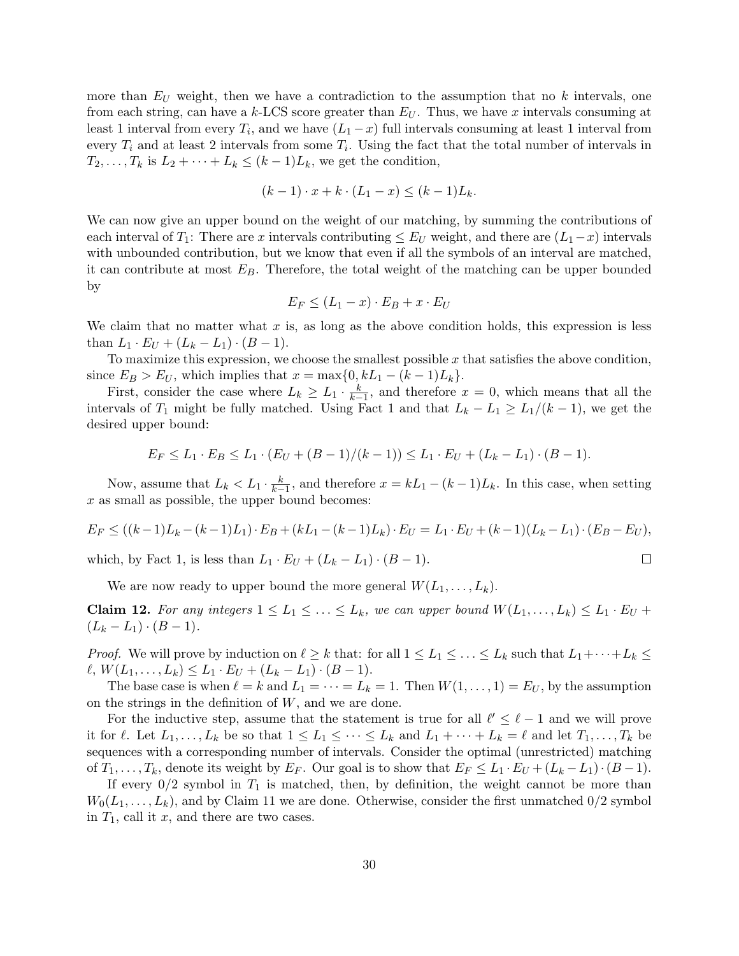more than  $E_U$  weight, then we have a contradiction to the assumption that no k intervals, one from each string, can have a k-LCS score greater than  $E_U$ . Thus, we have x intervals consuming at least 1 interval from every  $T_i$ , and we have  $(L_1 - x)$  full intervals consuming at least 1 interval from every  $T_i$  and at least 2 intervals from some  $T_i$ . Using the fact that the total number of intervals in  $T_2, \ldots, T_k$  is  $L_2 + \cdots + L_k \leq (k-1)L_k$ , we get the condition,

$$
(k-1) \cdot x + k \cdot (L_1 - x) \le (k-1)L_k.
$$

We can now give an upper bound on the weight of our matching, by summing the contributions of each interval of  $T_1$ : There are x intervals contributing  $\leq E_U$  weight, and there are  $(L_1-x)$  intervals with unbounded contribution, but we know that even if all the symbols of an interval are matched, it can contribute at most  $E_B$ . Therefore, the total weight of the matching can be upper bounded by

$$
E_F \le (L_1 - x) \cdot E_B + x \cdot E_U
$$

We claim that no matter what  $x$  is, as long as the above condition holds, this expression is less than  $L_1 \cdot E_U + (L_k - L_1) \cdot (B - 1)$ .

To maximize this expression, we choose the smallest possible  $x$  that satisfies the above condition. since  $E_B > E_U$ , which implies that  $x = \max\{0, kL_1 - (k-1)L_k\}.$ 

First, consider the case where  $L_k \ge L_1 \cdot \frac{k}{k-1}$ , and therefore  $x = 0$ , which means that all the intervals of  $T_1$  might be fully matched. Using Fact 1 and that  $L_k - L_1 \ge L_1/(k-1)$ , we get the desired upper bound:

$$
E_F \le L_1 \cdot E_B \le L_1 \cdot (E_U + (B-1)/(k-1)) \le L_1 \cdot E_U + (L_k - L_1) \cdot (B-1).
$$

Now, assume that  $L_k < L_1 \cdot \frac{k}{k-1}$ , and therefore  $x = kL_1 - (k-1)L_k$ . In this case, when setting  $x$  as small as possible, the upper bound becomes:

$$
E_F \le ((k-1)L_k - (k-1)L_1) \cdot E_B + (kL_1 - (k-1)L_k) \cdot E_U = L_1 \cdot E_U + (k-1)(L_k - L_1) \cdot (E_B - E_U),
$$

 $\Box$ 

which, by Fact 1, is less than  $L_1 \cdot E_U + (L_k - L_1) \cdot (B - 1)$ .

We are now ready to upper bound the more general  $W(L_1, \ldots, L_k)$ .

**Claim 12.** For any integers  $1 \leq L_1 \leq \ldots \leq L_k$ , we can upper bound  $W(L_1, \ldots, L_k) \leq L_1 \cdot E_U +$  $(L_k - L_1) \cdot (B - 1).$ 

*Proof.* We will prove by induction on  $\ell \geq k$  that: for all  $1 \leq L_1 \leq \ldots \leq L_k$  such that  $L_1+\cdots+L_k \leq$  $\ell, W(L_1, \ldots, L_k) \leq L_1 \cdot E_U + (L_k - L_1) \cdot (B - 1).$ 

The base case is when  $\ell = k$  and  $L_1 = \cdots = L_k = 1$ . Then  $W(1, \ldots, 1) = E_U$ , by the assumption on the strings in the definition of  $W$ , and we are done.

For the inductive step, assume that the statement is true for all  $\ell' \leq \ell - 1$  and we will prove it for  $\ell$ . Let  $L_1, \ldots, L_k$  be so that  $1 \leq L_1 \leq \cdots \leq L_k$  and  $L_1 + \cdots + L_k = \ell$  and let  $T_1, \ldots, T_k$  be sequences with a corresponding number of intervals. Consider the optimal (unrestricted) matching of  $T_1, \ldots, T_k$ , denote its weight by  $E_F$ . Our goal is to show that  $E_F \leq L_1 \cdot E_U + (L_k - L_1) \cdot (B - 1)$ .

If every  $0/2$  symbol in  $T_1$  is matched, then, by definition, the weight cannot be more than  $W_0(L_1, \ldots, L_k)$ , and by Claim 11 we are done. Otherwise, consider the first unmatched  $0/2$  symbol in  $T_1$ , call it x, and there are two cases.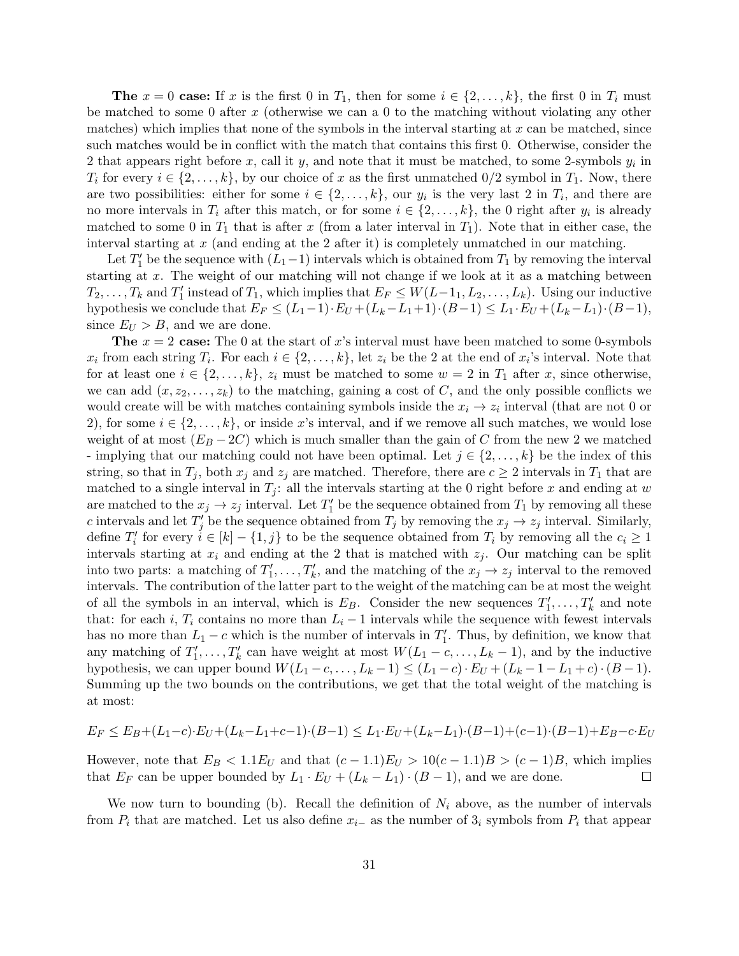**The**  $x = 0$  case: If x is the first 0 in  $T_1$ , then for some  $i \in \{2, ..., k\}$ , the first 0 in  $T_i$  must be matched to some 0 after x (otherwise we can a 0 to the matching without violating any other matches) which implies that none of the symbols in the interval starting at  $x$  can be matched, since such matches would be in conflict with the match that contains this first 0. Otherwise, consider the 2 that appears right before x, call it y, and note that it must be matched, to some 2-symbols  $y_i$  in  $T_i$  for every  $i \in \{2, \ldots, k\}$ , by our choice of x as the first unmatched  $0/2$  symbol in  $T_1$ . Now, there are two possibilities: either for some  $i \in \{2, \ldots, k\}$ , our  $y_i$  is the very last 2 in  $T_i$ , and there are no more intervals in  $T_i$  after this match, or for some  $i \in \{2, \ldots, k\}$ , the 0 right after  $y_i$  is already matched to some 0 in  $T_1$  that is after x (from a later interval in  $T_1$ ). Note that in either case, the interval starting at  $x$  (and ending at the 2 after it) is completely unmatched in our matching.

Let  $T_1'$  be the sequence with  $(L_1-1)$  intervals which is obtained from  $T_1$  by removing the interval starting at x. The weight of our matching will not change if we look at it as a matching between  $T_2, \ldots, T_k$  and  $T'_1$  instead of  $T_1$ , which implies that  $E_F \leq W(L-1_1, L_2, \ldots, L_k)$ . Using our inductive hypothesis we conclude that  $E_F \leq (L_1-1) \cdot E_U + (L_k-L_1+1) \cdot (B-1) \leq L_1 \cdot E_U + (L_k-L_1) \cdot (B-1),$ since  $E_U > B$ , and we are done.

**The**  $x = 2$  case: The 0 at the start of x's interval must have been matched to some 0-symbols  $x_i$  from each string  $T_i$ . For each  $i \in \{2, \ldots, k\}$ , let  $z_i$  be the 2 at the end of  $x_i$ 's interval. Note that for at least one  $i \in \{2, \ldots, k\}$ ,  $z_i$  must be matched to some  $w = 2$  in  $T_1$  after x, since otherwise, we can add  $(x, z_2, \ldots, z_k)$  to the matching, gaining a cost of C, and the only possible conflicts we would create will be with matches containing symbols inside the  $x_i \rightarrow z_i$  interval (that are not 0 or 2), for some  $i \in \{2, \ldots, k\}$ , or inside x's interval, and if we remove all such matches, we would lose weight of at most  $(E_B - 2C)$  which is much smaller than the gain of C from the new 2 we matched - implying that our matching could not have been optimal. Let  $j \in \{2, \ldots, k\}$  be the index of this string, so that in  $T_i$ , both  $x_i$  and  $z_i$  are matched. Therefore, there are  $c \geq 2$  intervals in  $T_1$  that are matched to a single interval in  $T_i$ : all the intervals starting at the 0 right before x and ending at w are matched to the  $x_j \to z_j$  interval. Let  $T'_1$  be the sequence obtained from  $T_1$  by removing all these c intervals and let  $T'_j$  be the sequence obtained from  $T_j$  by removing the  $x_j \to z_j$  interval. Similarly, define  $T_i'$  for every  $i \in [k] - \{1, j\}$  to be the sequence obtained from  $T_i$  by removing all the  $c_i \geq 1$ intervals starting at  $x_i$  and ending at the 2 that is matched with  $z_j$ . Our matching can be split into two parts: a matching of  $T'_1, \ldots, T'_k$ , and the matching of the  $x_j \to z_j$  interval to the removed intervals. The contribution of the latter part to the weight of the matching can be at most the weight of all the symbols in an interval, which is  $E_B$ . Consider the new sequences  $T'_1, \ldots, T'_k$  and note that: for each i,  $T_i$  contains no more than  $L_i - 1$  intervals while the sequence with fewest intervals has no more than  $L_1 - c$  which is the number of intervals in  $T_1'$ . Thus, by definition, we know that any matching of  $T'_1, \ldots, T'_k$  can have weight at most  $W(L_1 - c, \ldots, L_k - 1)$ , and by the inductive hypothesis, we can upper bound  $W(L_1-c,\ldots,L_k-1) \leq (L_1-c)\cdot E_U + (L_k-1-L_1+c)\cdot (B-1)$ . Summing up the two bounds on the contributions, we get that the total weight of the matching is at most:

$$
E_F \le E_B + (L_1 - c) \cdot E_U + (L_k - L_1 + c - 1) \cdot (B - 1) \le L_1 \cdot E_U + (L_k - L_1) \cdot (B - 1) + (c - 1) \cdot (B - 1) + E_B - c \cdot E_U
$$

However, note that  $E_B < 1.1E_U$  and that  $(c-1.1)E_U > 10(c-1.1)B > (c-1)B$ , which implies that  $E_F$  can be upper bounded by  $L_1 \cdot E_U + (L_k - L_1) \cdot (B - 1)$ , and we are done.  $\Box$ 

We now turn to bounding (b). Recall the definition of  $N_i$  above, as the number of intervals from  $P_i$  that are matched. Let us also define  $x_i$ − as the number of  $3_i$  symbols from  $P_i$  that appear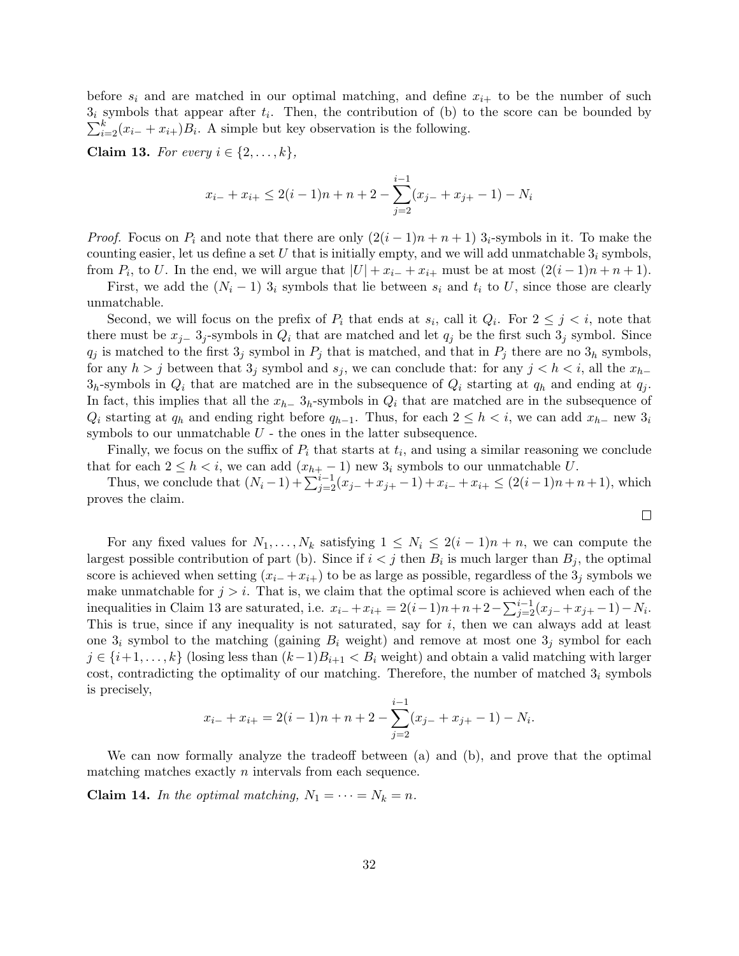before  $s_i$  and are matched in our optimal matching, and define  $x_{i+}$  to be the number of such  $3<sub>i</sub>$  symbols that appear after  $t<sub>i</sub>$ . Then, the contribution of (b) to the score can be bounded by  $\sum_{i=2}^{k} (x_{i-} + x_{i+})B_i$ . A simple but key observation is the following.

Claim 13. For every  $i \in \{2, \ldots, k\},\$ 

$$
x_{i-} + x_{i+} \le 2(i-1)n + n + 2 - \sum_{j=2}^{i-1} (x_{j-} + x_{j+} - 1) - N_i
$$

*Proof.* Focus on  $P_i$  and note that there are only  $(2(i - 1)n + n + 1)$  3<sub>i</sub>-symbols in it. To make the counting easier, let us define a set U that is initially empty, and we will add unmatchable  $3<sub>i</sub>$  symbols, from  $P_i$ , to U. In the end, we will argue that  $|U| + x_{i-} + x_{i+}$  must be at most  $(2(i-1)n + n + 1)$ .

First, we add the  $(N_i - 1)$  3<sub>i</sub> symbols that lie between  $s_i$  and  $t_i$  to U, since those are clearly unmatchable.

Second, we will focus on the prefix of  $P_i$  that ends at  $s_i$ , call it  $Q_i$ . For  $2 \leq j \leq i$ , note that there must be  $x_{j-}$  3<sub>j</sub>-symbols in  $Q_i$  that are matched and let  $q_j$  be the first such 3<sub>j</sub> symbol. Since  $q_i$  is matched to the first  $3_j$  symbol in  $P_i$  that is matched, and that in  $P_i$  there are no  $3_h$  symbols, for any  $h > j$  between that  $3_j$  symbol and  $s_j$ , we can conclude that: for any  $j < h < i$ , all the  $x_{h-1}$  $3<sub>h</sub>$ -symbols in  $Q<sub>i</sub>$  that are matched are in the subsequence of  $Q<sub>i</sub>$  starting at  $q<sub>h</sub>$  and ending at  $q<sub>j</sub>$ . In fact, this implies that all the  $x_{h-}$  3<sub>h</sub>-symbols in  $Q_i$  that are matched are in the subsequence of  $Q_i$  starting at  $q_h$  and ending right before  $q_{h-1}$ . Thus, for each  $2 \leq h \leq i$ , we can add  $x_{h-}$  new  $3_i$ symbols to our unmatchable  $U$  - the ones in the latter subsequence.

Finally, we focus on the suffix of  $P_i$  that starts at  $t_i$ , and using a similar reasoning we conclude that for each  $2 \leq h \leq i$ , we can add  $(x_{h+} - 1)$  new  $3_i$  symbols to our unmatchable U.

Thus, we conclude that  $(N_i - 1) + \sum_{j=2}^{i-1} (x_{j-} + x_{j+} - 1) + x_{i-} + x_{i+} \le (2(i-1)n + n+1)$ , which proves the claim.

 $\Box$ 

For any fixed values for  $N_1, \ldots, N_k$  satisfying  $1 \leq N_i \leq 2(i-1)n + n$ , we can compute the largest possible contribution of part (b). Since if  $i < j$  then  $B_i$  is much larger than  $B_j$ , the optimal score is achieved when setting  $(x_i + x_{i+})$  to be as large as possible, regardless of the  $3<sub>i</sub>$  symbols we make unmatchable for  $j > i$ . That is, we claim that the optimal score is achieved when each of the inequalities in Claim 13 are saturated, i.e.  $x_{i-} + x_{i+} = 2(i-1)n + n + 2 - \sum_{j=2}^{i-1} (x_{j-} + x_{j+} - 1) - N_i$ . This is true, since if any inequality is not saturated, say for  $i$ , then we can always add at least one  $3<sub>i</sub>$  symbol to the matching (gaining  $B<sub>i</sub>$  weight) and remove at most one  $3<sub>j</sub>$  symbol for each  $j \in \{i+1,\ldots,k\}$  (losing less than  $(k-1)B_{i+1} < B_i$  weight) and obtain a valid matching with larger cost, contradicting the optimality of our matching. Therefore, the number of matched  $3<sub>i</sub>$  symbols is precisely,

$$
x_{i-} + x_{i+} = 2(i-1)n + n + 2 - \sum_{j=2}^{i-1} (x_{j-} + x_{j+} - 1) - N_i.
$$

We can now formally analyze the tradeoff between (a) and (b), and prove that the optimal matching matches exactly  $n$  intervals from each sequence.

**Claim 14.** In the optimal matching,  $N_1 = \cdots = N_k = n$ .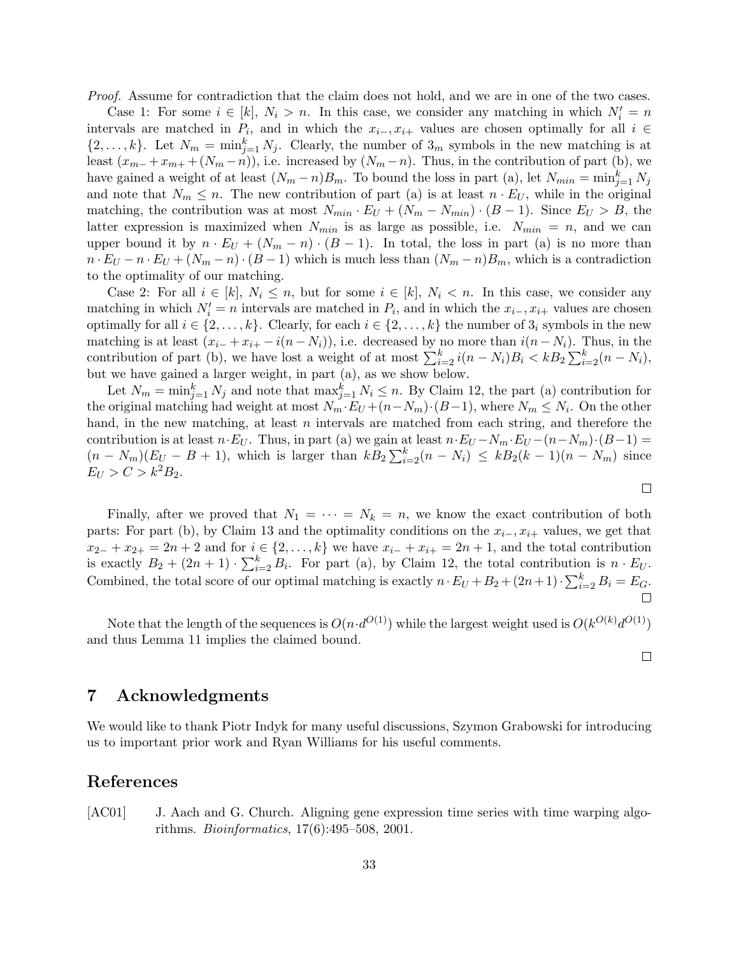Proof. Assume for contradiction that the claim does not hold, and we are in one of the two cases.

Case 1: For some  $i \in [k]$ ,  $N_i > n$ . In this case, we consider any matching in which  $N'_i = n$ intervals are matched in  $P_i$ , and in which the  $x_{i-}$ ,  $x_{i+}$  values are chosen optimally for all  $i \in$  $\{2,\ldots,k\}$ . Let  $N_m = \min_{j=1}^k N_j$ . Clearly, the number of  $3_m$  symbols in the new matching is at least  $(x_{m-}+x_{m+}+(N_m-n))$ , i.e. increased by  $(N_m-n)$ . Thus, in the contribution of part (b), we have gained a weight of at least  $(N_m - n)B_m$ . To bound the loss in part (a), let  $N_{min} = \min_{j=1}^k N_j$ and note that  $N_m \leq n$ . The new contribution of part (a) is at least  $n \cdot E_U$ , while in the original matching, the contribution was at most  $N_{min} \cdot E_U + (N_m - N_{min}) \cdot (B - 1)$ . Since  $E_U > B$ , the latter expression is maximized when  $N_{min}$  is as large as possible, i.e.  $N_{min} = n$ , and we can upper bound it by  $n \cdot E_U + (N_m - n) \cdot (B - 1)$ . In total, the loss in part (a) is no more than  $n \cdot E_U - n \cdot E_U + (N_m - n) \cdot (B - 1)$  which is much less than  $(N_m - n)B_m$ , which is a contradiction to the optimality of our matching.

Case 2: For all  $i \in [k], N_i \leq n$ , but for some  $i \in [k], N_i < n$ . In this case, we consider any matching in which  $N_i' = n$  intervals are matched in  $P_i$ , and in which the  $x_{i-}$ ,  $x_{i+}$  values are chosen optimally for all  $i \in \{2, \ldots, k\}$ . Clearly, for each  $i \in \{2, \ldots, k\}$  the number of  $3_i$  symbols in the new matching is at least  $(x_{i-} + x_{i+} - i(n - N_i))$ , i.e. decreased by no more than  $i(n - N_i)$ . Thus, in the contribution of part (b), we have lost a weight of at most  $\sum_{i=2}^{k} i(n - N_i)B_i < kB_2 \sum_{i=2}^{k}(n - N_i)$ , but we have gained a larger weight, in part (a), as we show below.

Let  $N_m = \min_{j=1}^k N_j$  and note that  $\max_{j=1}^k N_i \leq n$ . By Claim 12, the part (a) contribution for the original matching had weight at most  $N_m \cdot E_U + (n - N_m) \cdot (B-1)$ , where  $N_m \le N_i$ . On the other hand, in the new matching, at least  $n$  intervals are matched from each string, and therefore the contribution is at least  $n \cdot E_U$ . Thus, in part (a) we gain at least  $n \cdot E_U - N_m \cdot E_U - (n - N_m) \cdot (B - 1) =$  $(n - N_m)(E_U - B + 1)$ , which is larger than  $kB_2 \sum_{i=2}^{k} (n - N_i) \le kB_2(k-1)(n - N_m)$  since  $E_U > C > k^2 B_2$ .

Finally, after we proved that  $N_1 = \cdots = N_k = n$ , we know the exact contribution of both parts: For part (b), by Claim 13 and the optimality conditions on the  $x_{i-}$ ,  $x_{i+}$  values, we get that  $x_{2-} + x_{2+} = 2n + 2$  and for  $i \in \{2, ..., k\}$  we have  $x_{i-} + x_{i+} = 2n + 1$ , and the total contribution is exactly  $B_2 + (2n + 1) \cdot \sum_{i=2}^{k} B_i$ . For part (a), by Claim 12, the total contribution is  $n \cdot E_U$ . Combined, the total score of our optimal matching is exactly  $n \cdot E_U + B_2 + (2n+1) \cdot \sum_{i=2}^{k} B_i = E_G$ . П

Note that the length of the sequences is  $O(n \cdot d^{O(1)})$  while the largest weight used is  $O(k^{O(k)} d^{O(1)})$ and thus Lemma 11 implies the claimed bound.

 $\Box$ 

 $\Box$ 

# 7 Acknowledgments

We would like to thank Piotr Indyk for many useful discussions, Szymon Grabowski for introducing us to important prior work and Ryan Williams for his useful comments.

## References

[AC01] J. Aach and G. Church. Aligning gene expression time series with time warping algorithms. Bioinformatics, 17(6):495–508, 2001.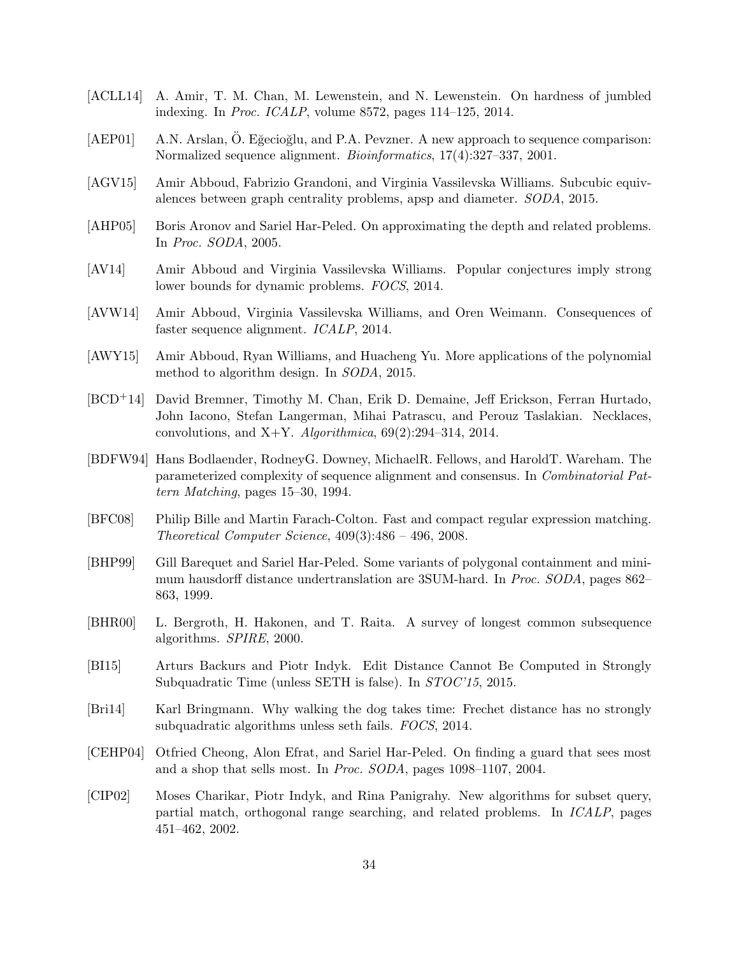- [ACLL14] A. Amir, T. M. Chan, M. Lewenstein, and N. Lewenstein. On hardness of jumbled indexing. In Proc. ICALP, volume 8572, pages 114–125, 2014.
- [AEP01] A.N. Arslan, Ö. Eğecioğlu, and P.A. Pevzner. A new approach to sequence comparison: Normalized sequence alignment. Bioinformatics, 17(4):327–337, 2001.
- [AGV15] Amir Abboud, Fabrizio Grandoni, and Virginia Vassilevska Williams. Subcubic equivalences between graph centrality problems, apsp and diameter. SODA, 2015.
- [AHP05] Boris Aronov and Sariel Har-Peled. On approximating the depth and related problems. In Proc. SODA, 2005.
- [AV14] Amir Abboud and Virginia Vassilevska Williams. Popular conjectures imply strong lower bounds for dynamic problems. FOCS, 2014.
- [AVW14] Amir Abboud, Virginia Vassilevska Williams, and Oren Weimann. Consequences of faster sequence alignment. ICALP, 2014.
- [AWY15] Amir Abboud, Ryan Williams, and Huacheng Yu. More applications of the polynomial method to algorithm design. In SODA, 2015.
- [BCD+14] David Bremner, Timothy M. Chan, Erik D. Demaine, Jeff Erickson, Ferran Hurtado, John Iacono, Stefan Langerman, Mihai Patrascu, and Perouz Taslakian. Necklaces, convolutions, and X+Y. Algorithmica,  $69(2):294-314$ ,  $2014$ .
- [BDFW94] Hans Bodlaender, RodneyG. Downey, MichaelR. Fellows, and HaroldT. Wareham. The parameterized complexity of sequence alignment and consensus. In Combinatorial Pattern Matching, pages 15–30, 1994.
- [BFC08] Philip Bille and Martin Farach-Colton. Fast and compact regular expression matching. Theoretical Computer Science, 409(3):486 – 496, 2008.
- [BHP99] Gill Barequet and Sariel Har-Peled. Some variants of polygonal containment and minimum hausdorff distance undertranslation are 3SUM-hard. In Proc. SODA, pages 862– 863, 1999.
- [BHR00] L. Bergroth, H. Hakonen, and T. Raita. A survey of longest common subsequence algorithms. SPIRE, 2000.
- [BI15] Arturs Backurs and Piotr Indyk. Edit Distance Cannot Be Computed in Strongly Subquadratic Time (unless SETH is false). In STOC'15, 2015.
- [Bri14] Karl Bringmann. Why walking the dog takes time: Frechet distance has no strongly subquadratic algorithms unless seth fails. FOCS, 2014.
- [CEHP04] Otfried Cheong, Alon Efrat, and Sariel Har-Peled. On finding a guard that sees most and a shop that sells most. In Proc. SODA, pages 1098–1107, 2004.
- [CIP02] Moses Charikar, Piotr Indyk, and Rina Panigrahy. New algorithms for subset query, partial match, orthogonal range searching, and related problems. In ICALP, pages 451–462, 2002.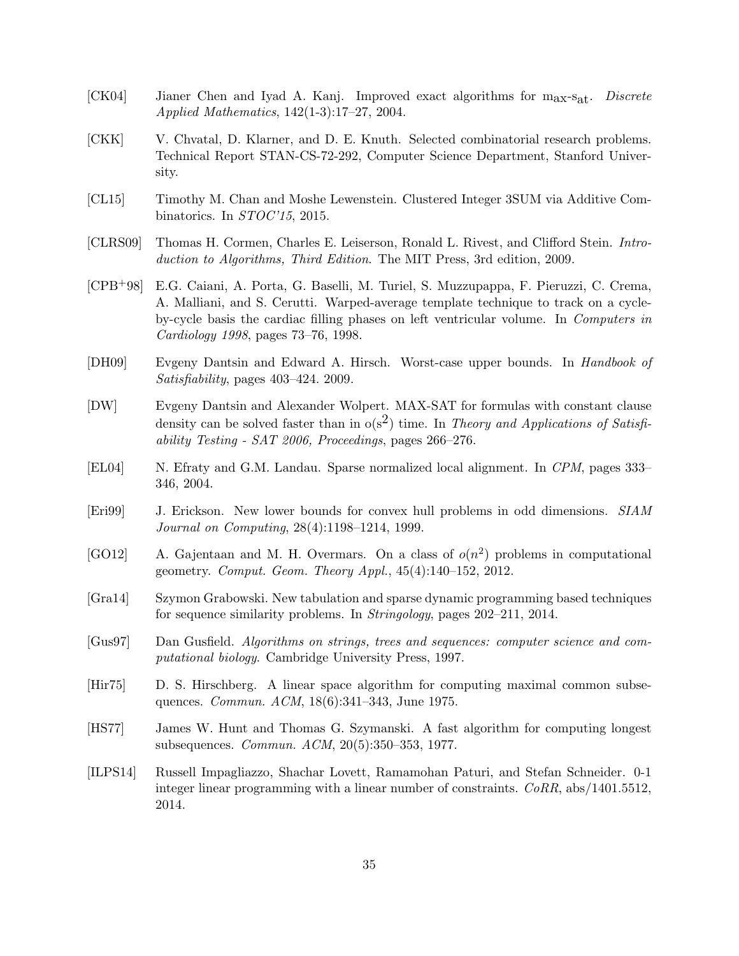- [CK04] Jianer Chen and Iyad A. Kanj. Improved exact algorithms for max-sat. Discrete Applied Mathematics, 142(1-3):17–27, 2004.
- [CKK] V. Chvatal, D. Klarner, and D. E. Knuth. Selected combinatorial research problems. Technical Report STAN-CS-72-292, Computer Science Department, Stanford University.
- [CL15] Timothy M. Chan and Moshe Lewenstein. Clustered Integer 3SUM via Additive Combinatorics. In STOC'15, 2015.
- [CLRS09] Thomas H. Cormen, Charles E. Leiserson, Ronald L. Rivest, and Clifford Stein. Introduction to Algorithms, Third Edition. The MIT Press, 3rd edition, 2009.
- [CPB+98] E.G. Caiani, A. Porta, G. Baselli, M. Turiel, S. Muzzupappa, F. Pieruzzi, C. Crema, A. Malliani, and S. Cerutti. Warped-average template technique to track on a cycleby-cycle basis the cardiac filling phases on left ventricular volume. In Computers in Cardiology 1998, pages 73–76, 1998.
- [DH09] Evgeny Dantsin and Edward A. Hirsch. Worst-case upper bounds. In Handbook of Satisfiability, pages 403–424. 2009.
- [DW] Evgeny Dantsin and Alexander Wolpert. MAX-SAT for formulas with constant clause density can be solved faster than in  $o(s^2)$  time. In Theory and Applications of Satisfiability Testing - SAT 2006, Proceedings, pages 266–276.
- [EL04] N. Efraty and G.M. Landau. Sparse normalized local alignment. In CPM, pages 333– 346, 2004.
- [Eri99] J. Erickson. New lower bounds for convex hull problems in odd dimensions. SIAM Journal on Computing, 28(4):1198–1214, 1999.
- [GO12] A. Gajentaan and M. H. Overmars. On a class of  $o(n^2)$  problems in computational geometry. Comput. Geom. Theory Appl., 45(4):140–152, 2012.
- [Gra14] Szymon Grabowski. New tabulation and sparse dynamic programming based techniques for sequence similarity problems. In Stringology, pages 202–211, 2014.
- [Gus97] Dan Gusfield. Algorithms on strings, trees and sequences: computer science and computational biology. Cambridge University Press, 1997.
- [Hir75] D. S. Hirschberg. A linear space algorithm for computing maximal common subsequences. Commun. ACM, 18(6):341–343, June 1975.
- [HS77] James W. Hunt and Thomas G. Szymanski. A fast algorithm for computing longest subsequences. Commun. ACM, 20(5):350–353, 1977.
- [ILPS14] Russell Impagliazzo, Shachar Lovett, Ramamohan Paturi, and Stefan Schneider. 0-1 integer linear programming with a linear number of constraints. CoRR, abs/1401.5512, 2014.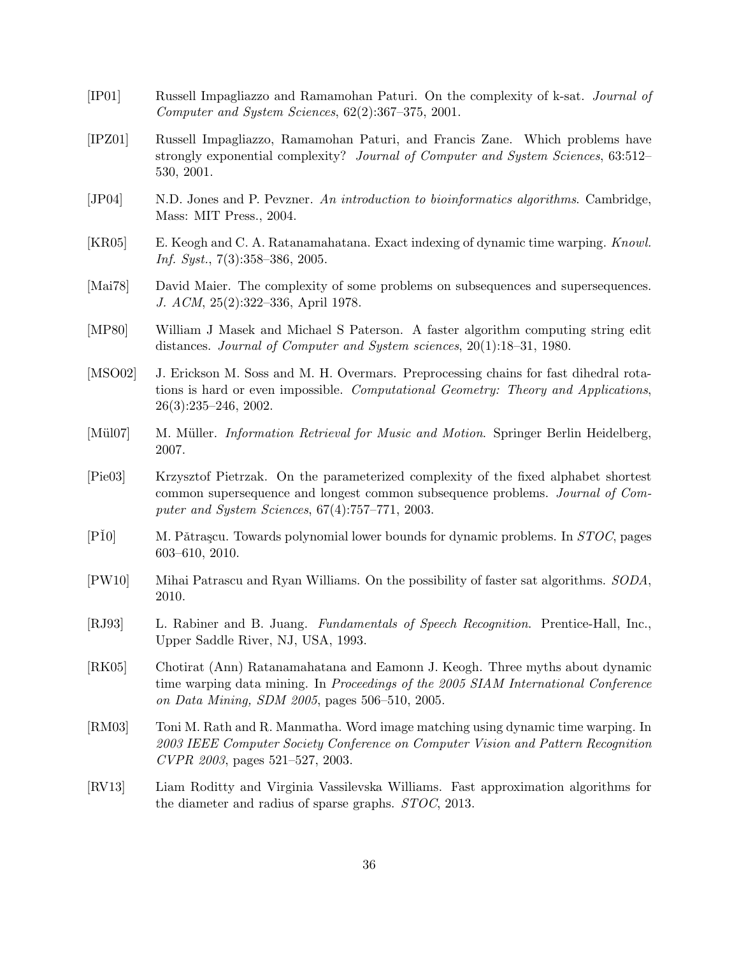| [IP01]                     | Russell Impagliazzo and Ramamohan Paturi. On the complexity of k-sat. Journal of<br>Computer and System Sciences, $62(2):367-375$ , $2001$ .                                                                              |
|----------------------------|---------------------------------------------------------------------------------------------------------------------------------------------------------------------------------------------------------------------------|
| [IPZ01]                    | Russell Impagliazzo, Ramamohan Paturi, and Francis Zane. Which problems have<br>strongly exponential complexity? Journal of Computer and System Sciences, 63:512-<br>530, 2001.                                           |
| [JP04]                     | N.D. Jones and P. Pevzner. An introduction to bioinformatics algorithms. Cambridge,<br>Mass: MIT Press., 2004.                                                                                                            |
| [KR05]                     | E. Keogh and C. A. Ratanamahatana. Exact indexing of dynamic time warping. Knowl.<br><i>Inf.</i> Syst., $7(3):358-386$ , 2005.                                                                                            |
| [Mai $78$ ]                | David Maier. The complexity of some problems on subsequences and supersequences.<br>J. ACM, 25(2):322-336, April 1978.                                                                                                    |
| [MP80]                     | William J Masek and Michael S Paterson. A faster algorithm computing string edit<br>distances. Journal of Computer and System sciences, 20(1):18-31, 1980.                                                                |
| [ $MSO02$ ]                | J. Erickson M. Soss and M. H. Overmars. Preprocessing chains for fast dihedral rota-<br>tions is hard or even impossible. Computational Geometry: Theory and Applications,<br>$26(3):235-246, 2002.$                      |
| $[M\ddot{u}l07]$           | M. Müller. <i>Information Retrieval for Music and Motion</i> . Springer Berlin Heidelberg,<br>2007.                                                                                                                       |
| [Pie03]                    | Krzysztof Pietrzak. On the parameterized complexity of the fixed alphabet shortest<br>common supersequence and longest common subsequence problems. Journal of Com-<br>puter and System Sciences, $67(4)$ :757-771, 2003. |
| [P10]                      | M. Pătrașcu. Towards polynomial lower bounds for dynamic problems. In STOC, pages<br>$603 - 610, 2010.$                                                                                                                   |
| [PW10]                     | Mihai Patrascu and Ryan Williams. On the possibility of faster sat algorithms. SODA,<br>2010.                                                                                                                             |
| [RJ93]                     | L. Rabiner and B. Juang. Fundamentals of Speech Recognition. Prentice-Hall, Inc.,<br>Upper Saddle River, NJ, USA, 1993.                                                                                                   |
| [RK05]                     | Chotirat (Ann) Ratanamahatana and Eamonn J. Keogh. Three myths about dynamic<br>time warping data mining. In Proceedings of the 2005 SIAM International Conference<br>on Data Mining, SDM 2005, pages 506–510, 2005.      |
| [RM03]                     | Toni M. Rath and R. Manmatha. Word image matching using dynamic time warping. In<br>2003 IEEE Computer Society Conference on Computer Vision and Pattern Recognition<br>CVPR 2003, pages 521-527, 2003.                   |
| $\left[\text{RV}13\right]$ | Liam Roditty and Virginia Vassilevska Williams. Fast approximation algorithms for<br>the diameter and radius of sparse graphs. STOC, 2013.                                                                                |
|                            |                                                                                                                                                                                                                           |